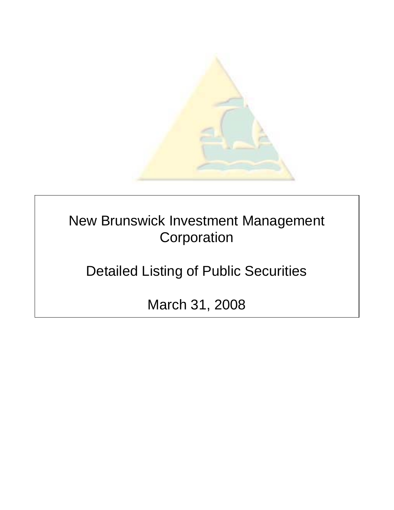

New Brunswick Investment Management **Corporation** 

Detailed Listing of Public Securities

March 31, 2008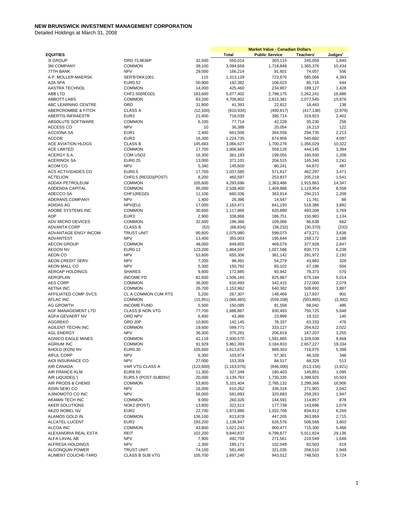|                                       |                                 |                   |                      | <b>Market Value - Canadian Dollars</b> |                    |                |
|---------------------------------------|---------------------------------|-------------------|----------------------|----------------------------------------|--------------------|----------------|
| <b>EQUITIES</b>                       |                                 |                   | Total                | <b>Public Service</b>                  | Teachers'          | Judges'        |
| 3I GROUP                              | ORD 73.8636P                    | 32,500            | 550,014              | 303,115                                | 245,059            | 1,840          |
| <b>3M COMPANY</b>                     | <b>COMMON</b>                   | 38,100            | 3,094,659            | 1,718,848                              | 1,365,378          | 10,434         |
| 77TH BANK                             | <b>NPV</b>                      | 29,000            | 166,214              | 91,601                                 | 74,057             | 556            |
| A.P. MOLLER-MAERSK                    | SER'B'DKK1001                   | 115               | 1,313,129            | 723,670                                | 585,066            | 4,393          |
| A2A SPA                               | EUR0.52                         | 50,900            | 192,382              | 106,023                                | 85,716             | 644            |
| AASTRA TECHNOL                        | <b>COMMON</b>                   | 14,000            | 425,460              | 234,907                                | 189,127            | 1,426          |
| ABB LTD                               | CHF2.50(REGD)                   | 183,600           | 5,077,402            | 2,798,175                              | 2,262,241          | 16,986         |
| <b>ABBOTT LABS</b>                    | <b>COMMON</b>                   | 83,200            | 4,708,802            | 2,615,381                              | 2,077,545          | 15,876         |
| ABC LEARNING CENTRE                   | ORD                             | 31,800            | 41,393               | 22,812                                 | 18,443             | 138            |
| ABERCROMBIE & FITCH                   | <b>CLASS A</b>                  | (12, 100)         | (910, 934)           | (490, 817)                             | (417, 138)         | (2,979)        |
| <b>ABERTIS INFRAESTR</b>              | EUR3                            | 21,400            | 718,039              | 395,714                                | 319,923            | 2,402          |
| ABSOLUTE SOFTWARE                     | <b>COMMON</b>                   | 6,100             | 77,714               | 42,228                                 | 35,230             | 256            |
| ACCESS CO                             | <b>NPV</b>                      | 10                | 36,389               | 20,054                                 | 16,213             | 122            |
| <b>ACCIONA SA</b>                     | EUR1                            | 2,400             | 661,506              | 364,558                                | 294,735            | 2,213          |
| <b>ACCOR</b>                          | EUR <sub>3</sub>                | 16,300            | 1,224,735            | 674,956                                | 545,682            | 4,097          |
| ACE AVIATION HLDGS                    | <b>CLASS B</b>                  | 145,683           | 3,066,627            | 1,700,276                              | 1,356,029          | 10,322         |
| <b>ACE LIMITED</b>                    | <b>COMMON</b>                   | 17,700            | 1,006,665            | 559,126                                | 444,145            | 3,394          |
| ACERGY S.A.                           | COM USD2                        | 16,300            | 361,193              | 199,055                                | 160,930            | 1,208          |
| <b>ACERINOX SA</b>                    | <b>EUR0.25</b>                  | 13,000            | 371,101              | 204,515                                | 165,345            | 1,241          |
| ACOM CO                               | <b>NPV</b>                      | 5,340             | 145,600              | 80,241                                 | 64,872             | 487            |
| ACS ACTIVIDADES CO                    | <b>EUR0.5</b>                   | 17,700            | 1,037,585            | 571,817                                | 462,297            | 3,471          |
| <b>ACTELION</b>                       | CHF0.5 (REGD)(POST)             | 8,200             | 460,597              | 253,837                                | 205,219            | 1,541          |
| ADDAX PETROLEUM                       | <b>COMMON</b>                   | 105,600           | 4,293,696            | 2,363,486                              | 1,915,863          | 14,347         |
| <b>ADDENDA CAPITAL</b>                | <b>COMMON</b>                   | 95,000            | 2,538,400            | 1,409,888                              | 1,119,954          | 8,558          |
| ADECCO SA                             | CHF1(REGD)                      | 11,100            | 660,336              | 363,914                                | 294,213            | 2,209          |
| ADERANS COMPANY                       | <b>NPV</b>                      | 1,400             | 26,396               | 14,547                                 | 11,761             | 88             |
| <b>ADIDAS AG</b>                      | NPV(EU)                         | 17,000            | 1,163,471            | 641,193                                | 518,386            | 3,892          |
| ADOBE SYSTEMS INC                     | <b>COMMON</b>                   | 30,600            | 1,117,866            | 620,889                                | 493,208            | 3,769          |
| ADP                                   | EUR <sub>3</sub>                | 2,900             | 338,868              | 186,751                                | 150,983            | 1,134          |
| ADV MICRO DEVICES                     | <b>COMMON</b>                   | 32,600            | 196,366              | 109,066                                | 86,638             | 662            |
| <b>ADVANTA CORP</b>                   | <b>CLASS B</b>                  | (52)              | (68, 834)            | (38, 232)                              | (30, 370)          | (232)          |
| ADVANTAGE ENGY INCOM                  | <b>TRUST UNIT</b>               | 90,800            | 1,075,980            | 599,073                                | 473,271            | 3,636          |
| <b>ADVANTEST</b>                      | <b>NPV</b>                      | 13,400            | 355,003              | 195,644                                | 158,172            | 1,188          |
| <b>AECON GROUP</b><br><b>AEGON NV</b> | <b>COMMON</b><br><b>EUR0.12</b> | 48,000            | 849,855              | 469,079                                | 377,928<br>830,773 | 2,847<br>6,238 |
| AEON CO                               | <b>NPV</b>                      | 123,200<br>53,600 | 1,864,597<br>655,306 | 1,027,586<br>361,142                   | 291,972            | 2,192          |
| <b>AEON CREDIT SERV</b>               | <b>NPV</b>                      | 7,200             | 98,491               | 54,279                                 | 43,883             | 329            |
| <b>AEON MALL CO</b>                   | <b>NPV</b>                      | 5,300             | 150,792              | 83,102                                 | 67,186             | 504            |
| AERCAP HOLDINGS                       | <b>SHARES</b>                   | 9,600             | 172,885              | 93,942                                 | 78,373             | 570            |
| AEROPLAN                              | <b>INCOME FD</b>                | 82,600            | 1,506,165            | 825,967                                | 675,184            | 5,014          |
| <b>AES CORP</b>                       | <b>COMMON</b>                   | 36,000            | 616,493              | 342,415                                | 272,000            | 2,079          |
| <b>AETNA INC</b>                      | <b>COMMON</b>                   | 26,700            | 1,152,962            | 640,382                                | 508,692            | 3,887          |
| AFFILIATED COMP SVCS                  | CL A COMMON CUM RTS             | 5,200             | 267,307              | 148,469                                | 117,937            | 901            |
| <b>AFLAC INC</b>                      | <b>COMMON</b>                   | (15, 951)         | (1,066,465)          | (559, 208)                             | (503, 865)         | (3, 392)       |
| <b>AG GROWTH</b>                      | <b>INCOME FUND</b>              | 5,500             | 150,095              | 81,558                                 | 68,042             | 495            |
| AGF MANAGEMENT LTD                    | <b>CLASS B NON VTG</b>          | 77,700            | 1,686,867            | 930,493                                | 750,725            | 5,648          |
| AGFA GEVAERT NV                       | ORD NPV                         | 5,400             | 43,366               | 23,899                                 | 19,322             | 145            |
| <b>AGGREKO</b>                        | ORD <sub>20P</sub>              | 10,800            | 142,145              | 78,337                                 | 63,333             | 476            |
| AGILENT TECHN INC                     | <b>COMMON</b>                   | 19,600            | 599,771              | 333,127                                | 264,622            | 2,022          |
| <b>AGL ENERGY</b>                     | <b>NPV</b>                      | 36,300            | 375,281              | 206,819                                | 167,207            | 1,255          |
| <b>AGNICO EAGLE MINES</b>             | <b>COMMON</b>                   | 42,118            | 2,930,570            | 1,591,865                              | 1,329,038          | 9,668          |
| <b>AGRIUM INC</b>                     | <b>COMMON</b>                   | 91,929            | 5,861,393            | 3,184,833                              | 2,657,227          | 19,334         |
| AHOLD (KON) NV                        | EUR0.30                         | 105,600           | 1,613,676            | 889,303                                | 718,975            | 5,398          |
| AIFUL CORP                            | <b>NPV</b>                      | 6,300             | 103,974              | 57,301                                 | 46,326             | 348            |
| AIOI INSURANCE CO                     | <b>NPV</b>                      | 27,000            | 153,359              | 84,517                                 | 68,329             | 513            |
| AIR CANADA                            | VAR VTG CLASS A                 | (123,600)         | (1, 163, 076)        | (646,000)                              | (513, 154)         | (3,921)        |
| AIR FRANCE-KLM                        | EUR8.50                         | 11,300            | 327,349              | 180,403                                | 145,851            | 1,095          |
| AIR LIQUIDE(L')                       | EUR5.5 (POST-SUBDIV)            | 20,000            | 3,139,763            | 1,730,335                              | 1,398,925          | 10,503         |
| AIR PRODS & CHEMS                     | <b>COMMON</b>                   | 53,800            | 5,101,404            | 2,785,132                              | 2,299,366          | 16,906         |
| AISIN SEIKI CO                        | <b>NPV</b>                      | 16,000            | 610,262              | 336,318                                | 271,903            | 2,042          |
| AJINOMOTO CO INC                      | <b>NPV</b>                      | 56,000            | 581,893              | 320,683                                | 259,263            | 1,947          |
| AKAMAI TECH INC                       | <b>COMMON</b>                   | 9,000             | 260,326              | 144,591                                | 114,857            | 878            |
| AKER SOLUTIONS                        | NOK2 (POST)                     | 13,800            | 322,513              | 177,738                                | 143,696            | 1,079          |
| AKZO NOBEL NV                         | EUR <sub>2</sub>                | 22,700            | 1,873,886            | 1,032,706                              | 834,912            | 6,269          |
| ALAMOS GOLD IN                        | <b>COMMON</b>                   | 136,100           | 813,878              | 447,205                                | 363,959            | 2,715          |
| ALCATEL-LUCENT                        | EUR <sub>2</sub>                | 193,200           | 1,136,947            | 626,576                                | 506,568            | 3,803          |
| ALCOA INC                             | <b>COMMON</b>                   | 43,800            | 1,621,243            | 900,477                                | 715,300            | 5,466          |
| ALEXANDRIA REAL ESTA                  | REIT<br><b>NPV</b>              | 102,200           | 9,840,837            | 4,799,877                              | 5,011,824          | 29,136         |
| ALFA LAVAL AB<br>ALFRESA HOLDINGS     | <b>NPV</b>                      | 7,900<br>2,300    | 492,758<br>185,171   | 271,561<br>102,049                     | 219,549<br>82,503  | 1,648<br>619   |
| ALGONQUIN POWER                       | <b>TRUST UNIT</b>               | 74,100            | 581,493              | 321,035                                | 258,510            | 1,949          |
| ALIMENT COUCHE-TARD                   | <b>CLASS B SUB VTG</b>          | 105,700           | 1,697,240            | 943,012                                | 748,503            | 5,724          |
|                                       |                                 |                   |                      |                                        |                    |                |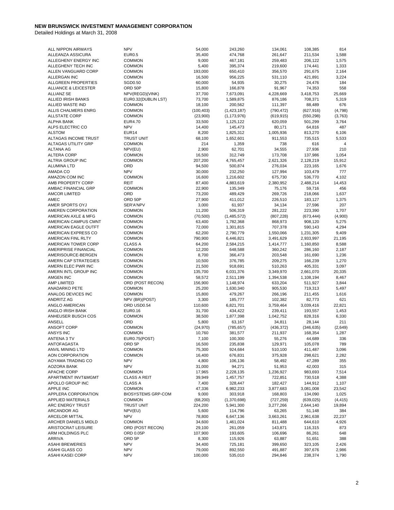| ALL NIPPON AIRWAYS     | <b>NPV</b>                | 54,000     | 243,260       | 134,061    | 108,385    | 814      |
|------------------------|---------------------------|------------|---------------|------------|------------|----------|
| ALLEANZA ASSICURA      | <b>EUR0.5</b>             | 35,400     | 474,768       | 261,647    | 211,534    | 1,588    |
| ALLEGHENY ENERGY INC   | <b>COMMON</b>             | 9,000      | 467,181       | 259,483    | 206,122    | 1,575    |
| ALLEGHENY TECH INC     | <b>COMMON</b>             | 5,400      | 395,374       | 219,600    | 174,441    | 1,333    |
| ALLEN VANGUARD CORP    | <b>COMMON</b>             | 193,000    | 650,410       | 356,570    | 291,675    | 2,164    |
| ALLERGAN INC           | <b>COMMON</b>             | 16,500     | 956,225       | 531,110    | 421,891    | 3,224    |
| ALLGREEN PROPERTIES    | SGD0.50                   | 60,000     | 54,935        | 30,275     | 24,476     | 184      |
| ALLIANCE & LEICESTER   | ORD 50P                   | 15,800     | 166,878       | 91,967     | 74,353     | 558      |
| <b>ALLIANZ SE</b>      | NPV(REGD)(VINK)           | 37,700     | 7,673,091     | 4,228,669  | 3,418,753  | 25,669   |
| ALLIED IRISH BANKS     | EUR0.32(DUBLIN LST)       | 73,700     | 1,589,875     | 876,186    | 708,371    | 5,319    |
| ALLIED WASTE IND       | <b>COMMON</b>             | 18,100     | 200,562       | 111,397    | 88,489     | 676      |
| ALLIS CHALMERS ENRG    | <b>COMMON</b>             | (100, 403) | (1,423,187)   | (790, 472) | (627, 916) | (4,798)  |
| <b>ALLSTATE CORP</b>   | <b>COMMON</b>             | (23,900)   | (1, 173, 976) | (619, 915) | (550, 298) | (3,763)  |
| <b>ALPHA BANK</b>      | <b>EUR4.70</b>            | 33,500     | 1,125,122     | 620,059    | 501,299    | 3,764    |
| ALPS ELECTRIC CO       | <b>NPV</b>                | 14,400     | 145,473       | 80,171     | 64,816     | 487      |
| <b>ALSTOM</b>          | EUR <sub>14</sub>         | 8,200      | 1,825,312     | 1,005,936  | 813,270    | 6,106    |
| ALTAGAS INCOME TRUST   | <b>TRUST UNIT</b>         | 68,100     | 1,652,601     | 911,553    | 735,515    | 5,533    |
| ALTAGAS UTILITY GRP    | <b>COMMON</b>             | 214        | 1,359         | 738        | 616        | 4        |
| <b>ALTANA AG</b>       | NPV(EU)                   | 2,900      | 62,701        | 34,555     | 27,936     | 210      |
| <b>ALTERA CORP</b>     | <b>COMMON</b>             | 16,500     | 312,749       | 173,708    | 137,986    | 1,054    |
| ALTRIA GROUP INC       | <b>COMMON</b>             | 207,200    | 4,765,457     | 2,621,326  | 2,128,219  | 15,912   |
| <b>ALUMINA LTD</b>     | ORD                       | 94,500     | 500,874       | 276,034    | 223,165    | 1,676    |
| AMADA CO               | <b>NPV</b>                | 30,000     | 232,250       | 127,994    | 103,479    | 777      |
| AMAZON COM INC         | <b>COMMON</b>             | 16,600     | 1,216,602     | 675,730    | 536,770    | 4,102    |
| AMB PROPERTY CORP      | <b>REIT</b>               | 87,400     | 4,883,619     | 2,380,952  | 2,488,214  | 14,453   |
| AMBAC FINANCIAL GRP    | <b>COMMON</b>             | 22,900     | 135,349       | 75,176     | 59,716     | 456      |
| <b>AMCOR LIMITED</b>   | ORD                       | 73,200     | 489,429       | 269,726    | 218,066    | 1,637    |
| AMEC                   | ORD 50P                   | 27,900     | 411,012       | 226,510    | 183,127    | 1,375    |
| AMER SPORTS OYJ        | SER'A'NPV                 | 3,000      | 61,937        | 34,134     | 27,596     | 207      |
| AMEREN CORPORATION     | <b>COMMON</b>             | 11,200     | 506,319       | 281,222    | 223,390    | 1,707    |
| AMERICAN AXLE & MFG    | <b>COMMON</b>             | (70, 500)  | (1,485,572)   | (807, 228) | (673, 444) | (4,900)  |
| AMERICAN CAMPUS CMNT   | <b>COMMON</b>             | 63,400     | 1,782,368     | 868,973    | 908,120    | 5,275    |
| AMERICAN EAGLE OUTFT   | <b>COMMON</b>             | 72,000     | 1,301,815     | 707,378    | 590,143    | 4,294    |
| AMERICAN EXPRESS CO    | <b>COMMON</b>             | 62,200     | 2,790,779     | 1,550,066  | 1,231,305  | 9,409    |
| AMERICAN FINL RLTY     | <b>COMMON</b>             | 790,900    | 6,446,821     | 3,491,629  | 2,933,997  | 21,195   |
| AMERICAN TOWER CORP    | CLASS A                   | 64,200     | 2,584,215     | 1,414,777  | 1,160,850  | 8,588    |
| AMERIPRISE FINANCIAL   | <b>COMMON</b>             | 12,200     | 648,588       | 360,242    | 286,160    | 2,187    |
| AMERISOURCE-BERGEN     | <b>COMMON</b>             | 8,700      | 366,473       | 203,548    | 161,690    | 1,236    |
| AMERN CAP STRATEGIES   | <b>COMMON</b>             | 10,500     | 376,785       | 209,275    | 166,239    | 1,270    |
| AMERN ELEC PWR INC     | <b>COMMON</b>             | 21,500     | 918,691       | 510,263    | 405,331    | 3,097    |
| AMERN INTL GROUP INC   | <b>COMMON</b>             | 135,700    | 6,031,376     | 3,349,970  | 2,661,070  | 20,335   |
| AMGEN INC              | <b>COMMON</b>             | 58,572     | 2,511,199     | 1,394,538  | 1,108,194  | 8,467    |
| AMP LIMITED            | ORD (POST RECON)          | 156,900    | 1,148,974     | 633,204    | 511,927    | 3,844    |
| ANADARKO PETE          | <b>COMMON</b>             | 25,200     | 1,630,340     | 905,530    | 719,313    | 5,497    |
| ANALOG DEVICES INC     | <b>COMMON</b>             | 15,800     | 479,267       | 266,196    | 211,455    | 1,616    |
| <b>ANDRITZ AG</b>      | NPV (BR)(POST)            | 3,300      | 185,777       | 102,382    | 82,773     | 621      |
| ANGLO AMERICAN         | ORD USD0.54               | 110,600    | 6,821,701     | 3,759,464  | 3,039,416  | 22,821   |
| ANGLO IRISH BANK       | <b>EUR0.16</b>            | 31,700     | 434,422       | 239,411    | 193,557    | 1,453    |
| ANHEUSER BUSCH COS     | <b>COMMON</b>             | 38,500     | 1,877,398     | 1,042,752  | 828,316    | 6,330    |
| ANSELL                 | ORD                       | 5,800      | 63,167        | 34,811     | 28,144     | 211      |
| ANSOFT CORP            | <b>COMMON</b>             | (24, 970)  | (785, 657)    | (436, 372) | (346, 635) | (2,649)  |
| ANSYS INC              | <b>COMMON</b>             | 10,760     | 381,577       | 211,937    | 168,354    | 1,287    |
| ANTENA 3 TV            | EUR0.75(POST)             | 7,100      | 100,300       | 55,276     | 44,689     | 336      |
| ANTOFAGASTA            | ORD 5P                    | 16,500     | 235,838       | 129,971    | 105,078    | 789      |
| ANVIL MINING LTD       | <b>COMMON</b>             | 75,300     | 924,684       | 510,100    | 411,487    | 3,096    |
| AON CORPORATION        | <b>COMMON</b>             | 16,400     | 676,831       | 375,928    | 298,621    | 2,282    |
| AOYAMA TRADING CO      | <b>NPV</b>                | 4,800      | 106,136       | 58,492     | 47,289     | 355      |
| <b>AOZORA BANK</b>     | <b>NPV</b>                | 31,000     | 94,271        | 51,953     | 42,003     | 315      |
| APACHE CORP            | <b>COMMON</b>             | 17,965     | 2,228,135     | 1,236,927  | 983,693    | 7,514    |
| APARTMENT INVT&MGMT    | <b>CLASS A REIT</b>       | 39,949     | 1,457,757     | 722,851    | 730,518    | 4,388    |
| APOLLO GROUP INC       | <b>CLASS A</b>            | 7,400      | 328,447       | 182,427    | 144,912    | 1,107    |
| <b>APPLE INC</b>       | <b>COMMON</b>             | 47,336     | 6,982,233     | 3,877,683  | 3,081,008  | 23,542   |
| APPLERA CORPORATION    | <b>BIOSYSTEMS GRP-COM</b> | 9,000      | 303,918       | 168,803    | 134,090    | 1,025    |
| APPLIED MATERIALS      | <b>COMMON</b>             | (68, 200)  | (1,370,698)   | (727, 259) | (639, 025) | (4, 415) |
| ARC ENERGY TRUST       | <b>TRUST UNIT</b>         | 224,200    | 5,941,300     | 3,277,266  | 2,644,140  | 19,894   |
| ARCANDOR AG            | NPV(EU)                   | 5,600      | 114,796       | 63,265     | 51,148     | 384      |
| <b>ARCELOR MITTAL</b>  | <b>NPV</b>                | 78,800     | 6,647,136     | 3,663,261  | 2,961,638  | 22,237   |
| ARCHER DANIELS MIDLD   | <b>COMMON</b>             | 34,600     | 1,461,024     | 811,488    | 644,610    | 4,926    |
| ARISTOCRAT LEISURE     | ORD (POST RECON)          | 29,100     | 261,059       | 143,871    | 116,315    | 873      |
| ARM HOLDINGS PLC       | ORD 0.05P                 | 107,900    | 193,605       | 106,696    | 86,261     | 648      |
| ARRIVA                 | ORD 5P                    | 8,300      | 115,926       | 63,887     | 51,651     | 388      |
| <b>ASAHI BREWERIES</b> | <b>NPV</b>                | 34,400     | 725,181       | 399,650    | 323,105    | 2,426    |
| ASAHI GLASS CO         | <b>NPV</b>                | 79,000     | 892,550       | 491,887    | 397,676    | 2,986    |
| ASAHI KASEI CORP       | <b>NPV</b>                | 100,000    | 535,010       | 294,846    | 238,374    | 1,790    |
|                        |                           |            |               |            |            |          |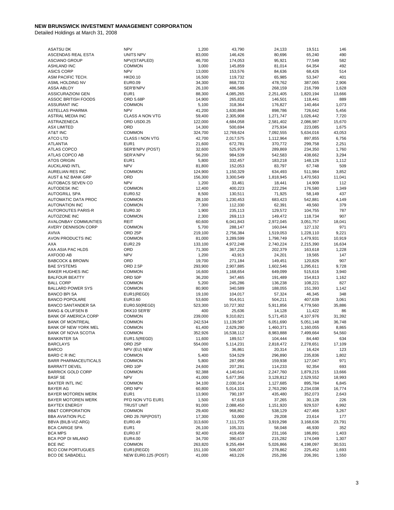| <b>ASATSU DK</b>              | <b>NPV</b>             | 1,200   | 43,790     | 24,133    | 19,511    | 146    |
|-------------------------------|------------------------|---------|------------|-----------|-----------|--------|
| ASCENDAS REAL ESTA            | UNITS NPV              | 83,000  | 146,426    | 80,696    | 65,240    | 490    |
| <b>ASCIANO GROUP</b>          | NPV(STAPLED)           | 46,700  | 174,053    | 95,921    | 77,549    | 582    |
| <b>ASHLAND INC</b>            | <b>COMMON</b>          | 3,000   | 145,859    | 81,014    | 64,354    | 492    |
| <b>ASICS CORP</b>             | <b>NPV</b>             | 13,000  | 153,576    | 84,636    | 68,426    | 514    |
| ASM PACIFIC TECH.             | <b>HKD0.10</b>         | 16,500  | 119,732    | 65,985    | 53,347    | 401    |
| ASML HOLDING NV               | EUR0.09                | 34,300  | 868,733    | 478,762   | 387,065   | 2,906  |
| <b>ASSA ABLOY</b>             | SER'B'NPV              | 26,100  | 486,586    | 268,159   | 216,799   | 1,628  |
| <b>ASSICURAZIONI GEN</b>      | EUR1                   | 88,300  | 4,085,265  | 2,251,405 | 1,820,194 | 13,666 |
| <b>ASSOC BRITISH FOODS</b>    | <b>ORD 5.68P</b>       | 14,900  | 265,832    | 146,501   | 118,441   | 889    |
| ASSURANT INC                  | <b>COMMON</b>          | 5,100   | 318,364    | 176,827   | 140,464   | 1,073  |
| ASTELLAS PHARMA               | <b>NPV</b>             | 41,200  | 1,630,884  | 898,786   | 726,642   | 5,456  |
| ASTRAL MEDIA INC              | <b>CLASS A NON VTG</b> | 59,400  | 2,305,908  | 1,271,747 | 1,026,442 | 7,720  |
| <b>ASTRAZENECA</b>            | ORD USD0.25            | 122,000 | 4,684,058  | 2,581,402 | 2,086,987 | 15,670 |
| <b>ASX LIMITED</b>            | ORD                    | 14,300  | 500,694    | 275,934   | 223,085   | 1,675  |
| AT&T INC                      | <b>COMMON</b>          | 324,700 | 12,769,624 | 7,092,555 | 5,634,016 | 43,053 |
| <b>ATCO LTD</b>               | <b>CLASS I NON VTG</b> | 42,700  | 2,017,575  | 1,112,964 | 897,855   | 6,756  |
| <b>ATLANTIA</b>               | EUR1                   | 21,600  | 672,781    | 370,772   | 299,758   | 2,251  |
| ATLAS COPCO                   | SER'B'NPV (POST)       | 32,600  | 525,979    | 289,869   | 234,350   | 1,760  |
| ATLAS COPCO AB                | SER'A'NPV              | 56,200  | 984,539    | 542,583   | 438,662   | 3,294  |
| <b>ATOS ORIGIN</b>            | EUR1                   | 5,800   | 332,457    | 183,218   | 148,126   | 1,112  |
| <b>AUCKLAND INTL</b>          | <b>NPV</b>             | 81,800  | 152,053    | 83,797    | 67,748    | 509    |
| AURELIAN RES INC              | <b>COMMON</b>          | 124,900 | 1,150,329  | 634,493   | 511,984   | 3,852  |
| <b>AUST &amp; NZ BANK GRP</b> | ORD                    | 156,300 | 3,300,549  | 1,818,945 | 1,470,563 | 11,041 |
| AUTOBACS SEVEN CO             | <b>NPV</b>             | 1,200   | 33,461     | 18,441    | 14,909    | 112    |
| <b>AUTODESK INC</b>           | <b>COMMON</b>          | 12,400  | 400,223    | 222,294   | 176,580   | 1,349  |
| <b>AUTOGRILL SPA</b>          | EUR0.52                | 8,500   | 130,511    | 71,925    | 58,149    | 437    |
| <b>AUTOMATIC DATA PROC</b>    | <b>COMMON</b>          | 28,100  | 1,230,453  | 683,423   | 542,881   | 4,149  |
| <b>AUTONATION INC</b>         | <b>COMMON</b>          | 7,300   | 112,330    | 62,391    | 49,560    | 379    |
| AUTOROUTES PARIS-R            | EUR0.30                | 1,900   | 235,113    | 129,572   | 104,755   | 787    |
| AUTOZONE INC                  | <b>COMMON</b>          | 2,300   | 269,113    | 149,472   | 118,734   | 907    |
| AVALONBAY COMMUNTIES          | REIT                   | 60,600  | 6,041,843  | 2,972,045 | 3,051,757 | 18,041 |
| <b>AVERY DENNISON CORP</b>    | <b>COMMON</b>          | 5,700   | 288,147    | 160,044   | 127,132   | 971    |
| <b>AVIVA</b>                  | ORD <sub>25P</sub>     | 219,100 | 2,756,384  | 1,519,053 | 1,228,110 | 9,221  |
| AVON PRODUCTS INC             | <b>COMMON</b>          | 81,000  | 3,289,599  | 1,798,749 | 1,479,931 | 10,919 |
| <b>AXA</b>                    | <b>EUR2.29</b>         | 133,100 | 4,972,248  | 2,740,224 | 2,215,390 | 16,634 |
| AXA ASIA PAC HLDS             | ORD                    | 71,300  | 367,226    | 202,379   | 163,618   | 1,228  |
| AXFOOD AB                     | <b>NPV</b>             | 1,200   | 43,913     | 24,201    | 19,565    | 147    |
| <b>BABCOCK &amp; BROWN</b>    | ORD                    | 19,700  | 271,184    | 149,451   | 120,826   | 907    |
| <b>BAE SYSTEMS</b>            | ORD 2.5P               | 293,900 | 2,907,885  | 1,602,546 | 1,295,611 | 9,728  |
| <b>BAKER HUGHES INC</b>       | <b>COMMON</b>          | 16,600  | 1,168,654  | 649,099   | 515,616   | 3,940  |
| <b>BALFOUR BEATTY</b>         | ORD 50P                | 36,200  | 347,465    | 191,489   | 154,813   | 1,162  |
| <b>BALL CORP</b>              | <b>COMMON</b>          | 5,200   | 245,286    | 136,238   | 108,221   | 827    |
| <b>BALLARD POWER SYS</b>      | <b>COMMON</b>          | 80,900  | 340,589    | 188,055   | 151,393   | 1,142  |
| <b>BANCO BPI SA</b>           | EUR1(REGD)             | 19,100  | 104,017    | 57,324    | 46,345    | 348    |
| <b>BANCO POPOLARE</b>         | EUR3.60                | 53,600  | 914,911    | 504,211   | 407,639   | 3,061  |
| <b>BANCO SANTANDER SA</b>     | EUR0.50(REGD)          | 523,300 | 10,727,302 | 5,911,856 | 4,779,560 | 35,886 |
| <b>BANG &amp; OLUFSEN B</b>   | DKK10 SER'B'           | 400     | 25,636     | 14,128    | 11,422    | 86     |
| <b>BANK OF AMERICA CORP</b>   | <b>COMMON</b>          | 239,000 | 9,310,821  | 5,171,453 | 4,107,976 | 31,392 |
| <b>BANK OF MONTREAL</b>       | <b>COMMON</b>          | 242,534 | 11,139,587 | 6,051,690 | 5,051,148 | 36,748 |
| BANK OF NEW YORK MEL          | COMMON                 | 61,400  | 2,629,290  | 1,460,371 | 1,160,055 | 8,865  |
| <b>BANK OF NOVA SCOTIA</b>    | <b>COMMON</b>          | 352,926 | 16,538,112 | 8,983,888 | 7,499,664 | 54,560 |
| <b>BANKINTER SA</b>           | EUR1.5(REGD)           | 11,600  | 189,517    | 104,444   | 84,440    | 634    |
| <b>BARCLAYS</b>               | ORD <sub>25</sub> P    | 554,000 | 5,114,231  | 2,818,472 | 2,278,651 | 17,109 |
| <b>BARCO</b>                  | NPV (EU) NEW           | 500     | 36,861     | 20,314    | 16,424    | 123    |
| BARD C R INC                  | <b>COMMON</b>          | 5,400   | 534,529    | 296,890   | 235,836   | 1,802  |
| <b>BARR PHARMACEUTICALS</b>   | <b>COMMON</b>          | 5,800   | 287,956    | 159,938   | 127,047   | 971    |
| <b>BARRATT DEVEL</b>          | ORD 10P                | 24,600  | 207,281    | 114,233   | 92,354    | 693    |
| <b>BARRICK GOLD CORP</b>      | <b>COMMON</b>          | 92,388  | 4,140,641  | 2,247,760 | 1,879,215 | 13,666 |
| <b>BASF SE</b>                | <b>NPV</b>             | 41,000  | 5,677,356  | 3,128,812 | 2,529,552 | 18,993 |
| <b>BAXTER INTL INC</b>        | <b>COMMON</b>          | 34,100  | 2,030,314  | 1,127,685 | 895,784   | 6,845  |
| <b>BAYER AG</b>               | ORD NPV                | 60,800  | 5,014,101  | 2,763,290 | 2,234,038 | 16,774 |
| <b>BAYER MOTOREN WERK</b>     | EUR1                   | 13,900  | 790,197    | 435,480   | 352,073   | 2,643  |
| <b>BAYER MOTOREN WERK</b>     | PFD NON VTG EUR1       | 1,500   | 67,619     | 37,265    | 30,128    | 226    |
| <b>BAYTEX ENERGY</b>          | <b>TRUST UNIT</b>      | 91,000  | 2,088,450  | 1,151,920 | 929,537   | 6,992  |
| <b>BB&amp;T CORPORATION</b>   | <b>COMMON</b>          | 29,400  | 968,862    | 538,129   | 427,466   | 3,267  |
| <b>BBA AVIATION PLC</b>       | ORD 29.76P(POST)       | 17,300  | 53,000     | 29,208    | 23,614    | 177    |
| BBVA (BILB-VIZ-ARG)           | EUR0.49                | 313,600 | 7,111,725  | 3,919,298 | 3,168,636 | 23,791 |
| <b>BCA CARIGE SPA</b>         | EUR <sub>1</sub>       | 26,100  | 105,331    | 58,048    | 46,930    | 352    |
| <b>BCA MPS</b>                | <b>EUR0.67</b>         | 92,400  | 419,459    | 231,166   | 186,891   | 1,403  |
| BCA POP DI MILANO             | EUR4.00                | 34,700  | 390,637    | 215,282   | 174,049   | 1,307  |
| <b>BCE INC</b>                | <b>COMMON</b>          | 263,820 | 9,255,494  | 5,026,866 | 4,198,097 | 30,531 |
| <b>BCO COM PORTUGUES</b>      | EUR1(REGD)             | 151,100 | 506,007    | 278,862   | 225,452   | 1,693  |
| <b>BCO DE SABADELL</b>        | NEW EUR0.125 (POST)    | 41,000  | 463,226    | 255,286   | 206,391   | 1,550  |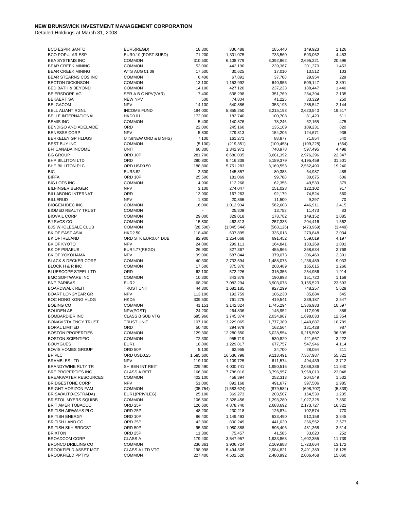| <b>BCO ESPIR SANTO</b>         | EUR5(REGD)           | 18,800    | 336,488     | 185,440    | 149,923    | 1,126    |
|--------------------------------|----------------------|-----------|-------------|------------|------------|----------|
| <b>BCO POPULAR ESP</b>         | EUR0.10 (POST SUBD)  | 71,200    | 1,331,075   | 733,560    | 593,062    | 4,453    |
| <b>BEA SYSTEMS INC</b>         | <b>COMMON</b>        | 310,500   | 6,108,779   | 3,392,962  | 2,695,221  | 20,596   |
| <b>BEAR CREEK MINING</b>       | <b>COMMON</b>        | 53,000    | 442,190     | 239,367    | 201,370    | 1,453    |
| <b>BEAR CREEK MINING</b>       | <b>WTS AUG 01 09</b> | 17,500    | 30,625      | 17,010     | 13,512     | 103      |
| BEAR STEARNS COS INC           | <b>COMMON</b>        | 6,400     | 67,891      | 37,708     | 29,954     | 229      |
| <b>BECTON DICKINSON</b>        | <b>COMMON</b>        | 13,100    | 1,153,992   | 640,955    | 509,147    | 3,891    |
| <b>BED BATH &amp; BEYOND</b>   | <b>COMMON</b>        | 14,100    | 427,120     | 237,233    | 188,447    | 1,440    |
| <b>BEIERSDORF AG</b>           | SER A B C NPV(VAR)   | 7,400     | 638,298     | 351,769    | 284,394    | 2,135    |
| <b>BEKAERT SA</b>              | <b>NEW NPV</b>       | 500       | 74,804      | 41,225     | 33,329     | 250      |
| <b>BELGACOM</b>                | <b>NPV</b>           | 14,100    | 640,886     | 353,195    | 285,547    | 2,144    |
|                                | <b>INCOME FUND</b>   | 194,000   | 5,855,250   |            |            | 19,517   |
| <b>BELL ALIANT RGNL</b>        |                      |           |             | 3,215,193  | 2,620,540  |          |
| <b>BELLE INTERNATIONAL</b>     | <b>HKD0.01</b>       | 172,000   | 182,740     | 100,708    | 81,420     | 611      |
| <b>BEMIS INC</b>               | <b>COMMON</b>        | 5,400     | 140,876     | 78,246     | 62,155     | 475      |
| BENDIGO AND ADELAIDE           | ORD                  | 22,000    | 245,160     | 135,109    | 109,231    | 820      |
| <b>BENESSE CORP</b>            | <b>NPV</b>           | 5,800     | 279,813     | 154,206    | 124,671    | 936      |
| BERKELEY GP HLDGS              | UTS(NEW ORD & B SHS) | 7,100     | 161,271     | 88,877     | 71,854     | 540      |
| <b>BEST BUY INC</b>            | <b>COMMON</b>        | (5, 100)  | (219, 351)  | (109, 458) | (109, 228) | (664)    |
| <b>BFI CANADA INCOME</b>       | <b>UNIT</b>          | 60,300    | 1,342,971   | 740,978    | 597,495    | 4,498    |
| <b>BG GROUP</b>                | ORD 10P              | 281,700   | 6,680,035   | 3,681,392  | 2,976,296  | 22,347   |
| <b>BHP BILLITON LTD</b>        | ORD                  | 280,800   | 9,416,339   | 5,189,379  | 4,195,459  | 31,501   |
| <b>BHP BILLITON PLC</b>        | ORD USD0.50          | 188,800   | 5,751,283   | 3,169,553  | 2,562,490  | 19,240   |
| <b>BIC</b>                     | EUR3.82              | 2,300     | 145,857     | 80,383     | 64,987     | 488      |
| <b>BIFFA</b>                   | ORD 10P              | 25,500    | 181,069     | 99,788     | 80,675     | 606      |
| <b>BIG LOTS INC</b>            | <b>COMMON</b>        | 4,900     | 112,268     | 62,356     | 49,533     | 379      |
| <b>BILFINGER BERGER</b>        | <b>NPV</b>           | 3,100     | 274,047     | 151,028    | 122,102    | 917      |
| <b>BILLABONG INTERNAT</b>      | ORD                  | 13,900    | 167,263     | 92,179     | 74,524     | 560      |
| <b>BILLERUD</b>                | <b>NPV</b>           | 1,800     | 20,866      | 11,500     | 9,297      | 70       |
| <b>BIOGEN IDEC INC</b>         | <b>COMMON</b>        | 16,000    | 1,012,934   | 562,608    | 446,911    | 3,415    |
| <b>BIOMED REALTY TRUST</b>     | <b>COMMON</b>        |           | 25,309      | 13,753     | 11,473     | 83       |
| <b>BIOVAIL CORP</b>            | <b>COMMON</b>        | 29,000    | 329,018     | 178,782    | 149,152    | 1,085    |
| <b>BJ SVCS CO</b>              | <b>COMMON</b>        | 15,800    | 463,313     | 257,335    | 204,416    | 1,562    |
| <b>BJS WHOLESALE CLUB</b>      | <b>COMMON</b>        | (28, 500) | (1,045,544) | (568, 126) | (473,969)  | (3, 449) |
|                                |                      |           |             |            |            |          |
| BK OF EAST ASIA                | <b>HKD2.50</b>       | 118,400   | 607,895     | 335,013    | 270,848    | 2,034    |
| BK OF IRELAND                  | ORD STK EUR0.64 DUB  | 82,900    | 1,254,668   | 691,452    | 559,019    | 4,197    |
| BK OF KYOTO                    | <b>NPV</b>           | 24,000    | 299,111     | 164,841    | 133,269    | 1,001    |
| <b>BK OF PIRAEUS</b>           | EUR4.77(REGD)        | 26,900    | 827,367     | 455,965    | 368,634    | 2,768    |
| BK OF YOKOHAMA                 | <b>NPV</b>           | 99,000    | 687,844     | 379,073    | 306,469    | 2,301    |
| <b>BLACK &amp; DECKER CORP</b> | <b>COMMON</b>        | 40,300    | 2,733,594   | 1,488,073  | 1,236,489  | 9,033    |
| <b>BLOCK H &amp; R INC</b>     | <b>COMMON</b>        | 17,500    | 375,370     | 208,489    | 165,615    | 1,266    |
| <b>BLUESCOPE STEEL LTD</b>     | ORD                  | 62,100    | 572,226     | 315,356    | 254,956    | 1,914    |
| <b>BMC SOFTWARE INC</b>        | <b>COMMON</b>        | 10,300    | 343,878     | 190,998    | 151,720    | 1,159    |
| <b>BNP PARIBAS</b>             | EUR <sub>2</sub>     | 68,200    | 7,082,294   | 3,903,078  | 3,155,523  | 23,693   |
| <b>BOARDWALK REIT</b>          | <b>TRUST UNIT</b>    | 44,300    | 1,681,185   | 927,299    | 748,257    | 5,629    |
| <b>BOART LONGYEAR GR</b>       | <b>NPV</b>           | 113,100   | 192,759     | 106,230    | 85,884     | 645      |
| <b>BOC HONG KONG HLDG</b>      | HKD <sub>5</sub>     | 309,500   | 761,275     | 419,541    | 339,187    | 2,547    |
| <b>BOEING CO</b>               | <b>COMMON</b>        | 41,151    | 3,142,824   | 1,745,294  | 1,386,933  | 10,597   |
| <b>BOLIDEN AB</b>              | NPV(POST)            | 24,200    | 264,836     | 145,952    | 117,998    | 886      |
| <b>BOMBARDIER INC</b>          | CLASS B SUB VTG      | 685,966   | 3,745,374   | 2,034,987  | 1,698,033  | 12,354   |
| <b>BONAVISTA ENGY TRUST</b>    | <b>TRUST UNIT</b>    | 107,100   | 3,229,065   | 1,777,389  | 1,440,887  | 10,789   |
| <b>BORAL LIMITED</b>           | ORD                  | 50,400    | 294,979     | 162,564    | 131,428    | 987      |
| <b>BOSTON PROPERTIES</b>       | <b>COMMON</b>        | 129,300   | 12,280,650  | 6,028,554  | 6,215,502  | 36,595   |
| <b>BOSTON SCIENTIFIC</b>       | <b>COMMON</b>        | 72,300    | 955,719     | 530,829    | 421,667    | 3,222    |
| <b>BOUYGUES</b>                | EUR <sub>1</sub>     | 18,800    | 1,229,817   | 677,757    | 547,946    | 4,114    |
| <b>BOVIS HOMES GROUP</b>       | ORD 50P              | 5,100     | 62,965      | 34,700     | 28,054     | 211      |
|                                |                      |           |             |            |            |          |
| BP PLC                         | ORD USD0.25          | 1,585,600 | 16,536,798  | 9,113,491  | 7,367,987  | 55,321   |
| <b>BRAMBLES LTD</b>            | <b>NPV</b>           | 119,100   | 1,109,725   | 611,574    | 494,439    | 3,712    |
| <b>BRANDYWINE RLTY TR</b>      | SH BEN INT REIT      | 229,490   | 4,000,741   | 1,950,515  | 2,038,386  | 11,840   |
| BRE PROPERTIES INC             | <b>CLASS A REIT</b>  | 166,300   | 7,788,016   | 3,796,957  | 3,968,010  | 23,048   |
| <b>BREAKWATER RESOURCES</b>    | <b>COMMON</b>        | 402,100   | 458,394     | 252,313    | 204,549    | 1,532    |
| <b>BRIDGESTONE CORP</b>        | <b>NPV</b>           | 51,000    | 892,168     | 491,677    | 397,506    | 2,985    |
| <b>BRIGHT HORIZON FAM</b>      | <b>COMMON</b>        | (35, 754) | (1,583,624) | (879, 582) | (698, 702) | (5, 339) |
| BRISA(AUTO-ESTRADA)            | EUR1(PRIVILEG)       | 25,100    | 369,273     | 203,507    | 164,530    | 1,235    |
| <b>BRISTOL MYERS SQUIBB</b>    | <b>COMMON</b>        | 106,500   | 2,328,456   | 1,293,280  | 1,027,325  | 7,850    |
| BRIT AMER TOBACCO              | ORD <sub>25P</sub>   | 126,600   | 4,878,740   | 2,688,692  | 2,173,727  | 16,321   |
| <b>BRITISH AIRWAYS PLC</b>     | ORD <sub>25P</sub>   | 48,200    | 230,218     | 126,874    | 102,574    | 770      |
| <b>BRITISH ENERGY</b>          | ORD 10P              | 86,400    | 1,149,493   | 633,490    | 512,158    | 3,845    |
| <b>BRITISH LAND CO</b>         | ORD <sub>25P</sub>   | 42,800    | 800,249     | 441,020    | 356,552    | 2,677    |
| <b>BRITISH SKY BRDCST</b>      | ORD 50P              | 95,300    | 1,080,388   | 595,406    | 481,368    | 3,614    |
| <b>BRIXTON</b>                 | ORD <sub>25P</sub>   | 11,300    | 75,457      | 41,585     | 33,620     | 252      |
| <b>BROADCOM CORP</b>           | <b>CLASS A</b>       | 179,400   | 3,547,957   | 1,933,863  | 1,602,355  | 11,739   |
| <b>BRONCO DRILLING CO</b>      | <b>COMMON</b>        | 236,361   | 3,906,724   | 2,169,888  | 1,723,664  | 13,172   |
| <b>BROOKFIELD ASSET MGT</b>    | CLASS A LTD VTG      | 198,998   | 5,494,335   | 2,984,821  | 2,491,389  | 18,125   |
| <b>BROOKFIELD PPTYS</b>        | <b>COMMON</b>        | 227,400   | 4,502,520   | 2,480,992  | 2,006,468  | 15,060   |
|                                |                      |           |             |            |            |          |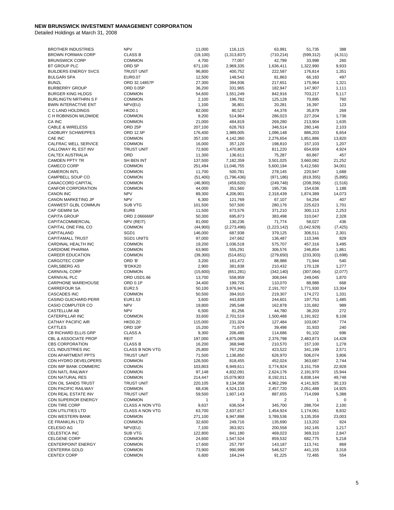| <b>BROTHER INDUSTRIES</b>       | <b>NPV</b>             | 11,000    | 116,115       | 63,991        | 51,735      | 388      |
|---------------------------------|------------------------|-----------|---------------|---------------|-------------|----------|
| <b>BROWN FORMAN CORP</b>        | <b>CLASS B</b>         | (19, 100) | (1, 313, 837) | (710, 214)    | (599, 312)  | (4, 311) |
|                                 |                        |           |               |               |             |          |
| <b>BRUNSWICK CORP</b>           | <b>COMMON</b>          | 4,700     | 77,057        | 42,799        | 33,998      | 260      |
| BT GROUP PLC                    | ORD <sub>5P</sub>      | 671,100   | 2,969,335     | 1,636,411     | 1,322,990   | 9,933    |
| <b>BUILDERS ENERGY SVCS</b>     | <b>TRUST UNIT</b>      | 96,800    | 400,752       | 222,587       | 176,814     | 1,351    |
| <b>BULGARI SPA</b>              | <b>EUR0.07</b>         | 12,500    | 148,543       | 81,863        | 66,183      | 497      |
|                                 |                        |           |               |               |             |          |
| <b>BUNZL</b>                    | ORD 32.14857P          | 27,300    | 394,936       | 217,651       | 175,964     | 1,321    |
| <b>BURBERRY GROUP</b>           | ORD 0.05P              | 36,200    | 331,965       | 182,947       | 147,907     | 1,111    |
| <b>BURGER KING HLDGS</b>        | <b>COMMON</b>          | 54,600    | 1,551,249     | 842,916       | 703,217     | 5,117    |
| <b>BURLINGTN NRTHRN S F</b>     | <b>COMMON</b>          | 2,100     | 196,782       | 125,128       | 70,895      | 760      |
|                                 |                        |           |               |               |             |          |
| <b>BWIN INTERACTIVE ENT</b>     | NPV(EU)                | 1,100     | 36,801        | 20,281        | 16,397      | 123      |
| C C LAND HOLDINGS               | <b>HKD0.1</b>          | 82,000    | 80,527        | 44,378        | 35,879      | 269      |
| C H ROBINSON WLDWIDE            | <b>COMMON</b>          | 9,200     | 514,964       | 286,023       | 227,204     | 1,736    |
| CA INC                          | <b>COMMON</b>          | 21,000    | 484,819       | 269,280       | 213,904     | 1,635    |
|                                 | ORD <sub>25P</sub>     |           |               |               |             |          |
| <b>CABLE &amp; WIRELESS</b>     |                        | 207,100   | 628.763       | 346,514       | 280,146     | 2,103    |
| <b>CADBURY SCHWEPPES</b>        | ORD 12.5P              | 176,400   | 1,989,005     | 1,096,148     | 886,203     | 6,654    |
| <b>CAE INC</b>                  | <b>COMMON</b>          | 357,100   | 4,142,360     | 2,276,654     | 1,851,886   | 13,820   |
| CALFRAC WELL SERVICE            | <b>COMMON</b>          | 16,000    | 357,120       | 198,810       | 157,103     | 1,207    |
| CALLOWAY RL EST INV             | <b>TRUST UNIT</b>      |           |               |               |             | 4,924    |
|                                 |                        | 72,600    | 1,470,803     | 811,220       | 654,659     |          |
| CALTEX AUSTRALIA                | ORD                    | 11,300    | 136,611       | 75,287        | 60,867      | 457      |
| <b>CAMDEN PPTY TR</b>           | SH BEN INT             | 137,500   | 7,182,359     | 3,501,025     | 3,660,082   | 21,252   |
| CAMECO CORP                     | <b>COMMON</b>          | 251,494   | 11,046,755    | 5,600,194     | 5,412,560   | 34,001   |
| <b>CAMERON INTL</b>             | <b>COMMON</b>          | 11,700    |               | 278,145       | 220,947     | 1,688    |
|                                 |                        |           | 500,781       |               |             |          |
| CAMPBELL SOUP CO                | <b>COMMON</b>          | (51, 400) | (1,796,436)   | (971, 186)    | (819, 355)  | (5,895)  |
| CANACCORD CAPITAL               | <b>COMMON</b>          | (46,900)  | (459, 620)    | (249, 748)    | (208, 356)  | (1, 516) |
| <b>CANFOR CORPORATION</b>       | <b>COMMON</b>          | 44,000    | 351,560       | 195,736       | 154,636     | 1,188    |
| <b>CANON INC</b>                | <b>NPV</b>             |           |               |               |             |          |
|                                 |                        | 89,300    | 4,206,901     | 2,318,439     | 1,874,389   | 14,073   |
| <b>CANON MARKETING JP</b>       | <b>NPV</b>             | 6,300     | 121,769       | 67,107        | 54,254      | 407      |
| CANWEST GLBL COMMUN             | <b>SUB VTG</b>         | 101,500   | 507,500       | 280,176       | 225,623     | 1,701    |
| <b>CAP GEMINI SA</b>            | EUR8                   | 11,500    | 673,576       | 371,210       | 300,113     | 2,253    |
| <b>CAPITA GROUP</b>             |                        |           |               |               |             |          |
|                                 | ORD 2.066666P          | 50,300    | 695,873       | 383,498       | 310,047     | 2,328    |
| CAPITACOMMERCIAL                | NPV (REIT)             | 81,000    | 130,236       | 71,774        | 58,027      | 436      |
| CAPITAL ONE FINL CO             | <b>COMMON</b>          | (44,900)  | (2,273,496)   | (1, 223, 142) | (1,042,929) | (7, 425) |
| CAPITALAND                      | SGD1                   | 146,000   | 687,938       | 379,125       | 306,511     | 2,301    |
| <b>CAPITAMALL TRUST</b>         | <b>SGD1 UNITS</b>      |           |               |               |             | 829      |
|                                 |                        | 97,000    | 247,662       | 136,487       | 110,346     |          |
| CARDINAL HEALTH INC             | <b>COMMON</b>          | 19,200    | 1,036,518     | 575,707       | 457,316     | 3,495    |
| <b>CARDIOME PHARMA</b>          | <b>COMMON</b>          | 63,900    | 555,291       | 306,576       | 246,854     | 1,861    |
| <b>CAREER EDUCATION</b>         | <b>COMMON</b>          | (39, 300) | (514, 651)    | (279, 650)    | (233, 303)  | (1,698)  |
| <b>CARGOTEC CORP</b>            | ORD 'B'                | 3,200     | 161,472       | 88,988        | 71,944      | 540      |
|                                 |                        |           |               |               |             |          |
| <b>CARLSBERG AS</b>             | 'B'DKK20               | 2,900     | 381,838       | 210,432       | 170,128     | 1,277    |
| <b>CARNIVAL CORP</b>            | <b>COMMON</b>          | (15,600)  | (651, 281)    | (342, 140)    | (307, 064)  | (2,077)  |
| <b>CARNIVAL PLC</b>             | ORD USD1.66            | 13,700    | 558,959       | 308,044       | 249,045     | 1,870    |
| CARPHONE WAREHOUSE              | ORD 0.1P               | 34,400    | 199,726       | 110,070       | 88,988      | 668      |
|                                 |                        |           |               |               |             |          |
| <b>CARREFOUR SA</b>             | <b>EUR2.5</b>          | 50,100    | 3,976,941     | 2,191,707     | 1,771,930   | 13,304   |
| <b>CASCADES INC</b>             | <b>COMMON</b>          | 50,500    | 394,910       | 219,307       | 174,272     | 1,331    |
| <b>CASINO GUICHARD-PERR</b>     | EUR1.53                | 3,600     | 443,839       | 244,601       | 197,753     | 1,485    |
| CASIO COMPUTER CO               | <b>NPV</b>             | 19,800    | 295,548       | 162,878       | 131,682     | 989      |
|                                 |                        |           |               |               |             |          |
| CASTELLUM AB                    | <b>NPV</b>             | 6,500     | 81,256        | 44,780        | 36,203      | 272      |
| CATERPILLAR INC                 | <b>COMMON</b>          | 33,600    | 2,701,519     | 1,500,488     | 1,191,922   | 9,108    |
| CATHAY PACIFIC AIR              | <b>HKD0.20</b>         | 115,000   | 231,324       | 127,484       | 103,067     | 774      |
| <b>CATTLES</b>                  | ORD 10P                | 15,200    | 71,670        | 39,498        | 31,933      | 240      |
| CB RICHARD ELLIS GRP            | <b>CLASS A</b>         | 9,300     | 206,485       |               |             | 696      |
|                                 |                        |           |               | 114,686       | 91,102      |          |
| <b>CBL &amp; ASSOCIATE PROP</b> | REIT                   | 197,000   | 4,875,098     | 2,376,798     | 2,483,873   | 14,428   |
| <b>CBS CORPORATION</b>          | <b>CLASS B</b>         | 16,200    | 368,948       | 210,570       | 157,100     | 1,278    |
| <b>CCL INDUSTRIES INC</b>       | <b>CLASS B NON VTG</b> | 25,800    | 767,292       | 423,522       | 341,199     | 2,571    |
| <b>CDN APARTMENT PPTS</b>       | <b>TRUST UNIT</b>      |           |               |               |             |          |
|                                 |                        | 71,500    | 1,136,850     | 626,970       | 506,074     | 3,806    |
| CDN HYDRO DEVELOPERS            | <b>COMMON</b>          | 126,500   | 818,455       | 452,024       | 363,687     | 2,744    |
| <b>CDN IMP BANK COMMERC</b>     | <b>COMMON</b>          | 103,803   | 6,949,611     | 3,774,924     | 3,151,759   | 22,928   |
| <b>CDN NATL RAILWAY</b>         | <b>COMMON</b>          | 97,148    | 4,832,091     | 2,624,176     | 2,191,970   | 15,944   |
|                                 |                        |           |               |               |             |          |
| <b>CDN NATURAL RES</b>          | <b>COMMON</b>          | 214,447   | 15,079,903    | 8,192,011     | 6,838,144   | 49,748   |
| <b>CDN OIL SANDS TRUST</b>      | TRUST UNIT             | 220,105   | 9,134,358     | 4,962,299     | 4,141,925   | 30,133   |
| <b>CDN PACIFIC RAILWAY</b>      | <b>COMMON</b>          | 68,436    | 4,524,133     | 2,457,720     | 2,051,488   | 14,925   |
| CDN REAL ESTATE INV             | <b>TRUST UNIT</b>      | 59,500    | 1,607,143     | 887,655       | 714,099     | 5,388    |
|                                 |                        |           |               |               |             |          |
| <b>CDN SUPERIOR ENERGY</b>      | <b>COMMON</b>          | 1         | 3             | 2             | 1           | 0        |
| <b>CDN TIRE CORP</b>            | <b>CLASS A NON VTG</b> | 9,637     | 636,504       | 345,700       | 288,704     | 2,100    |
| <b>CDN UTILITIES LTD</b>        | CLASS A NON VTG        | 63,700    | 2,637,817     | 1,454,924     | 1,174,061   | 8,832    |
| CDN WESTERN BANK                | <b>COMMON</b>          | 271,100   | 6,947,898     | 3,789,536     | 3,135,359   | 23,003   |
|                                 |                        |           |               |               |             |          |
| <b>CE FRANKLIN LTD</b>          | <b>COMMON</b>          | 32,600    | 249,716       | 135,690       | 113,202     | 824      |
| CELESIO AG                      | NPV(EU)                | 7,100     | 363,921       | 200,558       | 162,145     | 1,217    |
| CELESTICA INC                   | SUB VTG                | 122,800   | 841,180       | 469,023       | 369,310     | 2,847    |
| <b>CELGENE CORP</b>             | <b>COMMON</b>          | 24,600    | 1,547,524     | 859,532       | 682,775     | 5,218    |
|                                 |                        |           |               |               |             |          |
| <b>CENTERPOINT ENERGY</b>       | <b>COMMON</b>          | 17,600    | 257,797       | 143,187       | 113,741     | 869      |
| <b>CENTERRA GOLD</b>            | <b>COMMON</b>          | 73,900    | 990,999       | 546,527       | 441,155     | 3,318    |
| <b>CENTEX CORP</b>              | <b>COMMON</b>          | 6,600     | 164,244       | 91,225        | 72,465      | 554      |
|                                 |                        |           |               |               |             |          |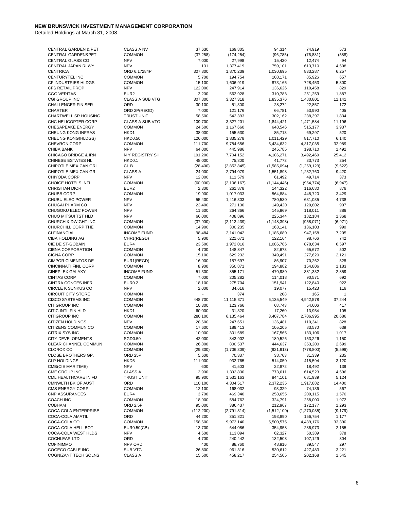| <b>CENTRAL GARDEN &amp; PET</b> | <b>CLASS A NV</b>      | 37,630                   | 169,805       | 94,314        | 74,919        | 573          |
|---------------------------------|------------------------|--------------------------|---------------|---------------|---------------|--------------|
| CENTRAL GARDEN&PET              | <b>COMMON</b>          | (37, 258)                | (174, 254)    | (96, 785)     | (76, 881)     | (588)        |
| CENTRAL GLASS CO                | <b>NPV</b>             | 7,000                    | 27,998        | 15,430        | 12,474        | 94           |
| CENTRAL JAPAN RLWY              | <b>NPV</b>             | 131                      | 1,377,419     | 759,101       | 613,710       | 4,608        |
| <b>CENTRICA</b>                 | ORD 6.17284P           | 307,800                  | 1,870,239     | 1,030,695     | 833,287       | 6,257        |
| CENTURYTEL INC                  | <b>COMMON</b>          | 5,700                    | 194,754       | 108,171       | 85,926        | 657          |
|                                 | <b>COMMON</b>          |                          |               |               |               |              |
| CF INDUSTRIES HLDGS             |                        | 15,100                   | 1,606,919     | 873,165       | 728,453       | 5,300        |
| <b>CFS RETAIL PROP</b>          | <b>NPV</b>             | 122,000                  | 247,914       | 136,626       | 110,458       | 829          |
| <b>CGG VERITAS</b>              | EUR <sub>2</sub>       | 2,200                    | 563,928       | 310,783       | 251,259       | 1,887        |
| CGI GROUP INC                   | CLASS A SUB VTG        | 307,800                  | 3,327,318     | 1,835,376     | 1,480,801     | 11,141       |
| CHALLENGER FIN SER              | ORD                    | 30,100                   | 51,300        | 28,272        | 22,857        | 172          |
| <b>CHARTER</b>                  | ORD 2P(REGD)           | 7,000                    | 121,176       | 66,781        | 53,990        | 405          |
|                                 |                        |                          |               |               |               |              |
| CHARTWELL SR HOUSING            | <b>TRUST UNIT</b>      | 58,500                   | 542,393       | 302,162       | 238,397       | 1,834        |
| CHC HELICOPTER CORP             | <b>CLASS A SUB VTG</b> | 109,700                  | 3,327,201     | 1,844,421     | 1,471,584     | 11,196       |
| CHESAPEAKE ENERGY               | <b>COMMON</b>          | 24,600                   | 1,167,660     | 648,546       | 515,177       | 3,937        |
| CHEUNG KONG INFRAS              | HKD1                   | 38,000                   | 155,530       | 85,713        | 69,297        | 520          |
| CHEUNG KONG(HLDGS)              | <b>HKD0.50</b>         | 126,000                  | 1,835,278     | 1,011,429     | 817,710       | 6,140        |
| <b>CHEVRON CORP</b>             | <b>COMMON</b>          | 111,700                  | 9,784,656     | 5,434,632     | 4,317,035     | 32,989       |
| <b>CHIBA BANK</b>               | <b>NPV</b>             | 64,000                   | 445,986       | 245,785       | 198,710       | 1,492        |
| <b>CHICAGO BRIDGE &amp; IRN</b> | N Y REGISTRY SH        | 191,200                  | 7,704,152     | 4,186,271     | 3,492,469     | 25,412       |
|                                 | <b>HKD0.1</b>          |                          |               |               |               | 254          |
| CHINESE ESTATES HL              |                        | 48,000                   | 75,800        | 41,773        | 33,773        |              |
| CHIPOTLE MEXICAN GRI            | CL B                   | (28, 400)                | (2,853,845)   | (1,585,094)   | (1,259,129)   | (9,622)      |
| CHIPOTLE MEXICAN GRL            | <b>CLASS A</b>         | 24,000                   | 2,794,079     | 1,551,898     | 1,232,760     | 9,420        |
| CHIYODA CORP                    | <b>NPV</b>             | 12,000                   | 111,579       | 61,492        | 49,714        | 373          |
| CHOICE HOTELS INTL              | <b>COMMON</b>          | (60,000)                 | (2, 106, 167) | (1, 144, 446) | (954, 774)    | (6, 947)     |
| <b>CHRISTIAN DIOR</b>           | EUR <sub>2</sub>       | 2,300                    | 261,878       | 144,322       | 116,680       | 876          |
| <b>CHUBB CORP</b>               | <b>COMMON</b>          | 19,900                   | 1,017,033     | 564,884       | 448,720       | 3,429        |
| CHUBU ELEC POWER                |                        |                          |               |               |               |              |
|                                 | <b>NPV</b>             | 55,400                   | 1,416,303     | 780,530       | 631,035       | 4,738        |
| CHUGAI PHARM CO                 | <b>NPV</b>             | 23,400                   | 271,130       | 149,420       | 120,802       | 907          |
| CHUGOKU ELEC POWER              | <b>NPV</b>             | 11,600                   | 264,866       | 145,969       | 118,011       | 886          |
| CHUO MITSUI TST HLD             | <b>NPV</b>             | 66,000                   | 408,896       | 225,344       | 182,184       | 1,368        |
| CHURCH & DWIGHT INC             | <b>COMMON</b>          | (37,900)                 | (2, 113, 439) | (1, 148, 398) | (958, 071)    | (6,971)      |
| CHURCHILL CORP THE              | <b>COMMON</b>          | 14,900                   | 300,235       | 163,141       | 136,103       | 990          |
| <b>CI FINANCIAL</b>             | <b>INCOME FUND</b>     |                          |               |               |               |              |
|                                 |                        | 98,484                   | 2,141,042     | 1,186,680     | 947,158       | 7,205        |
| CIBA HOLDING AG                 | CHF1(REGD)             | 5,900                    | 221,671       | 122,164       | 98,766        | 742          |
| CIE DE ST-GOBAIN                | EUR4                   | 23,500                   | 1,972,016     | 1,086,786     | 878,634       | 6,597        |
| <b>CIENA CORPORATION</b>        | <b>COMMON</b>          | 4,700                    | 148,847       | 82,673        | 65,672        | 502          |
| <b>CIGNA CORP</b>               | <b>COMMON</b>          | 15,100                   | 629,232       | 349,491       | 277,620       | 2,121        |
| <b>CIMPOR CIMENTOS DE</b>       | EUR1(REGD)             | 16,900                   | 157,697       | 86,907        | 70,262        | 528          |
| <b>CINCINNATI FINL CORP</b>     | <b>COMMON</b>          | 8,900                    | 350,871       | 194,882       | 154,806       | 1,183        |
| <b>CINEPLEX GALAXY</b>          | <b>INCOME FUND</b>     | 51,300                   | 855,171       | 470,980       | 381,332       | 2,859        |
|                                 |                        |                          |               |               |               |              |
| <b>CINTAS CORP</b>              | <b>COMMON</b>          | 7,000                    | 205,282       | 114,018       | 90,571        | 692          |
| <b>CINTRA CONCES INFR</b>       | <b>EUR0.2</b>          | 18,100                   | 275,704       | 151,941       | 122,840       | 922          |
| CIRCLE K SUNKUS CO              | <b>NPV</b>             | 2,000                    | 34,616        | 19,077        | 15,423        | 116          |
| <b>CIRCUIT CITY STORE</b>       | <b>COMMON</b>          | $\overline{\phantom{a}}$ | 374           | 208           | 165           | $\mathbf{1}$ |
| CISCO SYSTEMS INC               | <b>COMMON</b>          | 448,700                  | 11,115,371    | 6,135,549     | 4,942,578     | 37,244       |
| CIT GROUP INC                   | <b>COMMON</b>          | 10,300                   | 123,766       | 68,743        | 54,606        | 417          |
| CITIC INTL FIN HLD              | HKD1                   |                          |               |               |               | 105          |
|                                 |                        | 60,000                   | 31,320        | 17,260        | 13,954        |              |
| <b>CITIGROUP INC</b>            | <b>COMMON</b>          | 280,100                  | 6,135,464     | 3,407,784     | 2,706,995     | 20,686       |
| <b>CITIZEN HOLDINGS</b>         | <b>NPV</b>             | 28,600                   | 247,651       | 136,481       | 110,341       | 828          |
| CITIZENS COMMUN CO              | <b>COMMON</b>          | 17,600                   | 189,413       | 105,205       | 83,570        | 639          |
| CITRIX SYS INC                  | <b>COMMON</b>          | 10,000                   | 301,689       | 167,565       | 133,106       | 1,017        |
| <b>CITY DEVELOPMENTS</b>        | SGD0.50                | 42,000                   | 343,902       | 189,526       | 153,226       | 1,150        |
| CLEAR CHANNEL COMMUN            | <b>COMMON</b>          | 26,800                   | 800,537       | 444,637       | 353,200       | 2,699        |
| <b>CLOROX CO</b>                | <b>COMMON</b>          |                          |               |               |               |              |
|                                 |                        | (29, 300)                | (1,706,309)   | (921, 913)    | (778, 800)    | (5,596)      |
| CLOSE BROTHERS GP.              | ORD <sub>25P</sub>     | 5,600                    | 70,337        | 38,763        | 31,339        | 235          |
| <b>CLP HOLDINGS</b>             | HKD <sub>5</sub>       | 111,000                  | 932,765       | 514,050       | 415,594       | 3,120        |
| CMB(CIE MARITIME)               | <b>NPV</b>             | 600                      | 41,503        | 22,872        | 18,492        | 139          |
| CME GROUP INC                   | <b>CLASS A</b>         | 2,900                    | 1,392,830     | 773,611       | 614,523       | 4,696        |
| CML HEALTHCARE IN FD            | <b>TRUST UNIT</b>      | 95,900                   | 1,531,163     | 844,101       | 681,939       | 5,124        |
| CMNWLTH BK OF AUST              | ORD                    | 110,100                  | 4,304,517     | 2,372,235     | 1,917,882     | 14,400       |
|                                 |                        |                          |               |               |               |              |
| <b>CMS ENERGY CORP</b>          | <b>COMMON</b>          | 12,100                   | 168,032       | 93,329        | 74,136        | 567          |
| <b>CNP ASSURANCES</b>           | EUR4                   | 3,700                    | 469,340       | 258,655       | 209,115       | 1,570        |
| <b>COACH INC</b>                | <b>COMMON</b>          | 18,900                   | 584,762       | 324,791       | 258,000       | 1,972        |
| <b>COBHAM</b>                   | ORD 2.5P               | 95,000                   | 386,437       | 212,967       | 172,177       | 1,293        |
| COCA COLA ENTERPRISE            | <b>COMMON</b>          | (112,200)                | (2,791,314)   | (1,512,100)   | (1, 270, 035) | (9, 179)     |
| COCA-COLA AMATIL                | ORD                    | 44,200                   | 351,821       | 193,890       | 156,754       | 1,177        |
| COCA-COLA CO                    | <b>COMMON</b>          | 158,600                  | 9,973,140     |               | 4,439,176     |              |
|                                 |                        |                          |               | 5,500,575     |               | 33,390       |
| COCA-COLA HELL BOT              | EUR0.50(CB)            | 13,700                   | 644,086       | 354,958       | 286,973       | 2,155        |
| COCA-COLA WEST HLDS             | <b>NPV</b>             | 4,600                    | 113,094       | 62,327        | 50,389        | 378          |
| <b>COCHLEAR LTD</b>             | ORD                    | 4,700                    | 240,442       | 132,508       | 107,129       | 804          |
| <b>COFINIMMO</b>                | NPV ORD                | 400                      | 88,760        | 48,916        | 39,547        | 297          |
| COGECO CABLE INC                | SUB VTG                | 26,800                   | 961,316       | 530,612       | 427,483       | 3,221        |
| COGNIZANT TECH SOLNS            | <b>CLASS A</b>         | 15,500                   | 458,217       | 254,505       | 202,168       | 1,545        |
|                                 |                        |                          |               |               |               |              |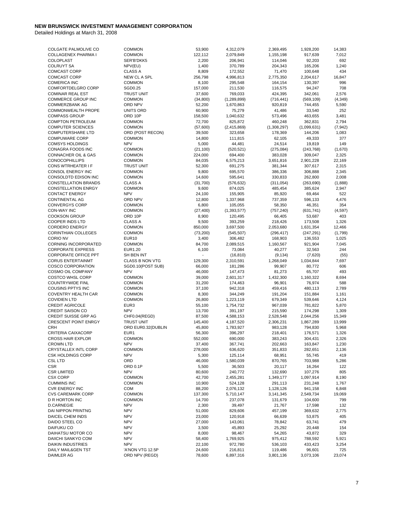| COLGATE PALMOLIVE CO             | <b>COMMON</b>          | 53,900    | 4,312,079     | 2,369,495   | 1,928,200   | 14,383   |
|----------------------------------|------------------------|-----------|---------------|-------------|-------------|----------|
| COLLAGENEX PHARMA I              | <b>COMMON</b>          | 122,112   | 2,079,849     | 1,155,198   | 917,639     | 7,012    |
| <b>COLOPLAST</b>                 | SER'B'DKK5             | 2,200     | 206,941       | 114,046     | 92,203      | 692      |
| <b>COLRUYT SA</b>                | NPV(EU)                | 1,400     | 370,789       | 204,343     | 165,206     | 1,240    |
| <b>COMCAST CORP</b>              | <b>CLASS A</b>         | 8,809     | 172,552       | 71,470      | 100,648     | 434      |
| <b>COMCAST CORP</b>              | NEW CL A SPL           | 256,798   | 4,996,813     | 2,775,350   | 2,204,617   | 16,847   |
| <b>COMERICA INC</b>              | <b>COMMON</b>          | 8,100     | 295,548       | 164,154     | 130,397     | 996      |
| COMFORTDELGRO CORP               | SGD0.25                | 157,000   |               |             | 94,247      | 708      |
|                                  |                        |           | 211,530       | 116,575     |             |          |
| <b>COMINAR REAL EST</b>          | <b>TRUST UNIT</b>      | 37,600    | 769,033       | 424,395     | 342,061     | 2,576    |
| <b>COMMERCE GROUP INC</b>        | <b>COMMON</b>          | (34, 800) | (1, 289, 899) | (716, 441)  | (569, 109)  | (4, 349) |
| <b>COMMERZBANK AG</b>            | ORD NPV                | 52,200    | 1,670,863     | 920,819     | 744,455     | 5,590    |
| <b>COMMONWEALTH PROPE</b>        | UNITS ORD              | 60,900    | 75,279        | 41,486      | 33,540      | 252      |
| <b>COMPASS GROUP</b>             | ORD 10P                | 158,500   | 1,040,632     | 573,496     | 463,655     | 3,481    |
| <b>COMPTON PETROLEUM</b>         | <b>COMMON</b>          | 72,700    | 825,872       | 460,248     | 362,831     | 2,794    |
| <b>COMPUTER SCIENCES</b>         | <b>COMMON</b>          | (57,600)  | (2, 415, 869) | (1,308,297) | (1,099,631) | (7, 942) |
| <b>COMPUTERSHARE LTD</b>         | ORD (POST RECON)       | 39,500    | 323,658       | 178,369     | 144,206     | 1,083    |
| <b>COMPUWARE CORP</b>            | <b>COMMON</b>          | 14,800    | 111,815       | 62,105      | 49,333      | 377      |
| <b>COMSYS HOLDINGS</b>           | <b>NPV</b>             | 5,000     | 44,481        | 24,514      | 19,819      | 149      |
| CONAGRA FOODS INC                | <b>COMMON</b>          |           |               |             |             |          |
|                                  |                        | (21, 100) | (520, 521)    | (275, 084)  | (243, 768)  | (1,670)  |
| CONNACHER OIL & GAS              | <b>COMMON</b>          | 224,000   | 694,400       | 383,028     | 309,047     | 2,325    |
| <b>CONOCOPHILLIPS</b>            | <b>COMMON</b>          | 84,035    | 6,575,213     | 3,651,816   | 2,901,228   | 22,169   |
| CONS WTRHEATER I F               | <b>TRUST UNIT</b>      | 52,300    | 691,275       | 381,344     | 307,617     | 2,315    |
| CONSOL ENERGY INC                | <b>COMMON</b>          | 9,800     | 695,570       | 386,336     | 306,888     | 2,345    |
| CONSOLDTD EDISON INC             | <b>COMMON</b>          | 14,600    | 595,641       | 330,833     | 262,800     | 2,008    |
| <b>CONSTELLATION BRANDS</b>      | <b>CLASS A</b>         | (31,700)  | (576, 632)    | (311, 054)  | (263, 690)  | (1,888)  |
| <b>CONSTELLATION ENRGY</b>       | <b>COMMON</b>          | 9,600     | 874,025       | 485,454     | 385,624     | 2,947    |
| <b>CONTACT ENERGY</b>            | <b>NPV</b>             | 24,100    | 155,905       | 85,920      | 69,464      | 522      |
| <b>CONTINENTAL AG</b>            | ORD NPV                | 12,800    | 1,337,968     | 737,359     | 596,133     | 4,476    |
| <b>CONVERGYS CORP</b>            | <b>COMMON</b>          |           |               |             |             |          |
|                                  |                        | 6,800     | 105,055       | 58,350      | 46,351      | 354      |
| <b>CON-WAY INC</b>               | <b>COMMON</b>          | (27, 400) | (1, 393, 577) | (757, 240)  | (631, 741)  | (4, 597) |
| <b>COOKSON GROUP</b>             | ORD 10P                | 8,900     | 120,495       | 66,405      | 53,687      | 403      |
| COOPER INDS LTD                  | <b>CLASS A</b>         | 9,500     | 393,259       | 218,426     | 173,508     | 1,326    |
| <b>CORDERO ENERGY</b>            | <b>COMMON</b>          | 850,000   | 3,697,500     | 2,053,680   | 1,631,354   | 12,466   |
| <b>CORINTHIAN COLLEGES</b>       | <b>COMMON</b>          | (73, 200) | (545, 507)    | (296, 417)  | (247, 291)  | (1,799)  |
| <b>CORIO NV</b>                  | <b>EUR10</b>           | 3,400     | 306,482       | 168,903     | 136,553     | 1,025    |
| CORNING INCORPORATED             | <b>COMMON</b>          | 84,700    | 2,089,515     | 1,160,567   | 921,904     | 7,045    |
| <b>CORPORATE EXPRESS</b>         | EUR1.20                | 6,100     | 73,084        | 40,277      | 32,563      | 244      |
| <b>CORPORATE OFFICE PPT</b>      | SH BEN INT             |           | (16, 810)     | (9, 134)    | (7,620)     | (55)     |
|                                  |                        |           |               |             |             |          |
| <b>CORUS ENTERTAINMT</b>         | <b>CLASS B NON VTG</b> | 129,300   | 2,310,591     | 1,268,049   | 1,034,844   | 7,697    |
| <b>COSCO CORPORATION</b>         | SGD0.10(POST SUB)      | 66,000    | 181,286       | 99,907      | 80,772      | 606      |
| COSMO OIL COMPANY                | <b>NPV</b>             | 46,000    | 147,473       | 81,273      | 65,707      | 493      |
| <b>COSTCO WHSL CORP</b>          | <b>COMMON</b>          | 39,000    | 2,601,317     | 1,432,300   | 1,160,322   | 8,694    |
| <b>COUNTRYWIDE FINL</b>          | <b>COMMON</b>          | 31,200    | 174,463       | 96,901      | 76,974      | 588      |
| <b>COUSINS PPTYS INC</b>         | <b>COMMON</b>          | 37,100    | 942,318       | 459,416     | 480,113     | 2,789    |
| <b>COVENTRY HEALTH CAR</b>       | <b>COMMON</b>          | 8,300     | 344,249       | 191,204     | 151,884     | 1,161    |
| <b>COVIDIEN LTD</b>              | <b>COMMON</b>          | 26,800    | 1,223,119     | 679,349     | 539,646     | 4,124    |
| <b>CREDIT AGRICOLE</b>           | EUR <sub>3</sub>       | 55,100    | 1,754,732     | 967,039     | 781,822     | 5,870    |
| <b>CREDIT SAISON CO</b>          | <b>NPV</b>             | 13,700    | 391,197       | 215,590     | 174,298     | 1,309    |
| <b>CREDIT SUISSE GRP AG</b>      | CHF0.04(REGD)          | 87,500    | 4,588,153     | 2,528,548   | 2,044,256   | 15,349   |
|                                  |                        |           |               |             |             |          |
| <b>CRESCENT POINT ENRGY</b>      | <b>TRUST UNIT</b>      | 145,400   | 4,187,520     | 2,306,231   | 1,867,289   | 13,999   |
| <b>CRH</b>                       | ORD EUR0.32(DUBLIN     | 45,800    | 1,783,927     | 983,128     | 794,830     | 5,968    |
| CRITERIA CAIXACORP               | EUR1                   | 56,300    | 396,297       | 218,401     | 176,571     | 1,326    |
| <b>CROSS HAIR EXPLOR</b>         | <b>COMMON</b>          | 552,000   | 690,000       | 383,243     | 304,431     | 2,326    |
| <b>CROWN LTD</b>                 | <b>NPV</b>             | 37,400    | 367,741       | 202,663     | 163,847     | 1,230    |
| CRYSTALLEX INTL CORP             | <b>COMMON</b>          | 278,000   | 636,620       | 351,833     | 282,651     | 2,136    |
| <b>CSK HOLDINGS CORP</b>         | <b>NPV</b>             | 5,300     | 125,114       | 68,951      | 55,745      | 419      |
| <b>CSL LTD</b>                   | ORD                    | 46,000    | 1,580,039     | 870,765     | 703,988     | 5,286    |
| <b>CSR</b>                       | ORD 0.1P               | 5,500     | 36,503        | 20,117      | 16,264      | 122      |
|                                  | <b>NPV</b>             |           |               | 132,690     |             | 805      |
| <b>CSR LIMITED</b>               |                        | 80,600    | 240,772       |             | 107,276     |          |
| <b>CSX CORP</b>                  | <b>COMMON</b>          | 42,700    | 2,455,281     | 1,349,177   | 1,097,914   | 8,190    |
| <b>CUMMINS INC</b>               | <b>COMMON</b>          | 10,900    | 524,128       | 291,113     | 231,248     | 1,767    |
| <b>CVR ENERGY INC</b>            | COM                    | 88,200    | 2,076,132     | 1,128,126   | 941,158     | 6,848    |
| <b>CVS CAREMARK CORP</b>         | <b>COMMON</b>          | 137,300   | 5,710,147     | 3,141,345   | 2,549,734   | 19,069   |
| D R HORTON INC                   | <b>COMMON</b>          | 14,700    | 237,078       | 131,679     | 104,600     | 799      |
| <b>D.CARNEGIE</b>                | <b>NPV</b>             | 2,300     | 39,497        | 21,767      | 17,598      | 132      |
| DAI NIPPON PRINTNG               | <b>NPV</b>             | 51,000    | 829,606       | 457,199     | 369,632     | 2,775    |
| DAICEL CHEM INDS                 | <b>NPV</b>             | 23,000    | 120,918       | 66,639      | 53,875      | 405      |
| DAIDO STEEL CO                   | <b>NPV</b>             | 27,000    | 143,061       | 78,842      | 63,741      | 479      |
| DAIFUKU CO                       |                        |           |               |             |             | 154      |
|                                  |                        |           |               |             |             |          |
|                                  | <b>NPV</b>             | 3,500     | 45,893        | 25,292      | 20,448      |          |
| DAIHATSU MOTOR CO                | <b>NPV</b>             | 8,000     | 98,467        | 54,265      | 43,872      | 329      |
| DAIICHI SANKYO COM               | <b>NPV</b>             | 58,400    | 1,769,925     | 975,412     | 788,592     | 5,921    |
| <b>DAIKIN INDUSTRIES</b>         | <b>NPV</b>             | 22,100    | 972,780       | 536,103     | 433,423     | 3,254    |
| DAILY MAIL&GEN TST<br>DAIMLER AG | 'A'NON VTG 12.5P       | 24,600    | 216,811       | 119,486     | 96,601      | 725      |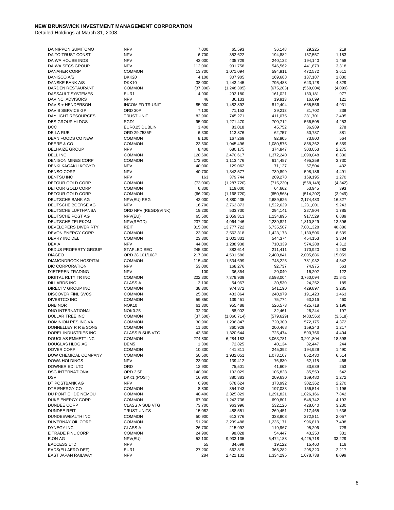| DAINIPPON SUMITOMO          | <b>NPV</b>              | 7,000     | 65,593        | 36,148     | 29,225     | 219      |
|-----------------------------|-------------------------|-----------|---------------|------------|------------|----------|
| DAITO TRUST CONST           | <b>NPV</b>              | 6,700     | 353,622       | 194,882    | 157,557    | 1,183    |
| DAIWA HOUSE INDS            | <b>NPV</b>              | 43,000    | 435,729       | 240,132    | 194,140    | 1,458    |
|                             |                         |           |               |            |            |          |
| DAIWA SECS GROUP            | <b>NPV</b>              | 112,000   | 991,758       | 546,562    | 441,879    | 3,318    |
| <b>DANAHER CORP</b>         | <b>COMMON</b>           | 13,700    | 1,071,094     | 594,911    | 472,572    | 3,611    |
| DANISCO A/S                 | DKK20                   | 4,100     | 307,905       | 169,688    | 137,187    | 1,030    |
| <b>DANSKE BANK A/S</b>      | DKK10                   | 38,000    | 1,443,445     | 795,488    | 643,128    | 4,829    |
| DARDEN RESTAURANT           | <b>COMMON</b>           | (37, 300) | (1, 248, 305) | (675, 203) | (569,004)  | (4,099)  |
| DASSAULT SYSTEMES           | EUR1                    | 4,900     | 292,180       | 161,021    | 130,181    | 977      |
| DAVINCI ADVISORS            | <b>NPV</b>              | 46        | 36,133        | 19,913     | 16,099     | 121      |
|                             |                         |           |               |            |            |          |
| DAVIS + HENDERSON           | <b>INCOM FD TR UNIT</b> | 85,900    | 1,482,892     | 812,404    | 665,556    | 4,931    |
| DAVIS SERVICE GP            | ORD 30P                 | 7,100     | 71,153        | 39,213     | 31,702     | 238      |
| <b>DAYLIGHT RESOURCES</b>   | <b>TRUST UNIT</b>       | 82,900    | 745,271       | 411,075    | 331,701    | 2,495    |
| <b>DBS GROUP HLDGS</b>      | SGD1                    | 95,000    | 1,271,470     | 700,712    | 566,505    | 4,253    |
| DCC                         | EUR0.25 DUBLIN          | 3,400     | 83,018        | 45,752     | 36,989     | 278      |
| DE LA RUE                   | ORD 29.7535P            | 6,300     | 113,876       | 62,757     | 50,737     | 381      |
| DEAN FOODS CO NEW           | <b>COMMON</b>           | 8,100     | 167,269       | 92,905     | 73,800     | 564      |
|                             |                         |           |               |            |            |          |
| DEERE & CO                  | <b>COMMON</b>           | 23,500    | 1,945,496     | 1,080,575  | 858,362    | 6,559    |
| DELHAIZE GROUP              | <b>NPV</b>              | 8,400     | 680,175       | 374,847    | 303,053    | 2,275    |
| DELL INC                    | <b>COMMON</b>           | 120,600   | 2,470,617     | 1,372,240  | 1,090,048  | 8,330    |
| <b>DENISON MINES CORP</b>   | <b>COMMON</b>           | 172,900   | 1,113,476     | 614,487    | 495,259    | 3,730    |
| DENKI KAGAKU KOGYO          | <b>NPV</b>              | 40,000    | 129,062       | 71,127     | 57,504     | 432      |
| <b>DENSO CORP</b>           | <b>NPV</b>              | 40,700    | 1,342,577     | 739,899    | 598,186    | 4,491    |
| <b>DENTSU INC</b>           | <b>NPV</b>              | 163       | 379,744       | 209,278    | 169,195    | 1,270    |
|                             |                         |           |               |            |            |          |
| DETOUR GOLD CORP            | <b>COMMON</b>           | (73,000)  | (1, 287, 720) | (715, 230) | (568, 148) | (4, 342) |
| DETOUR GOLD CORP            | <b>COMMON</b>           | 6,800     | 119,000       | 64,662     | 53,945     | 393      |
| DETOUR GOLD CORP            | <b>COMMON</b>           | (66, 200) | (1, 168, 720) | (650, 568) | (514, 202) | (3,949)  |
| DEUTSCHE BANK AG            | NPV(EU) REG             | 42,000    | 4,880,435     | 2,689,626  | 2,174,483  | 16,327   |
| DEUTSCHE BOERSE AG          | <b>NPV</b>              | 16,700    | 2,762,873     | 1,522,629  | 1,231,001  | 9,243    |
| DEUTSCHE LUFTHANSA          | ORD NPV (REGD)(VINK)    | 19,200    | 533,730       | 294,141    | 237,804    | 1,785    |
|                             | NPV(EU)                 |           |               |            |            | 6,889    |
| DEUTSCHE POST AG            |                         | 65,500    | 2,059,313     | 1,134,895  | 917,529    |          |
| DEUTSCHE TELEKOM            | NPV(REGD)               | 237,200   | 4,064,246     | 2,239,821  | 1,810,829  | 13,596   |
| DEVELOPERS DIVER RTY        | REIT                    | 315,800   | 13,777,722    | 6,735,507  | 7,001,328  | 40,886   |
| <b>DEVON ENERGY CORP</b>    | <b>COMMON</b>           | 23,900    | 2,562,318     | 1,423,173  | 1,130,506  | 8,639    |
| DEVRY INC DEL               | <b>COMMON</b>           | 23,300    | 1,001,831     | 544,374    | 454,153    | 3,304    |
| <b>DEXIA</b>                | <b>NPV</b>              | 44,000    | 1,288,938     | 710,339    | 574,288    | 4,312    |
| <b>DEXUS PROPERTY GROUP</b> | STAPLED SEC             | 245,300   | 383,614       | 211,411    | 170,920    | 1,283    |
|                             |                         |           |               |            |            |          |
| <b>DIAGEO</b>               | ORD 28 101/108P         | 217,300   | 4,501,586     | 2,480,841  | 2,005,686  | 15,059   |
| <b>DIAMONDROCK HOSPITAL</b> | <b>COMMON</b>           | 115,400   | 1,534,699     | 748,225    | 781,932    | 4,542    |
| DIC CORPORATION             | <b>NPV</b>              | 53,000    | 168,276       | 92,737     | 74,975     | 563      |
| D'IETEREN TRADING           | <b>NPV</b>              | 100       | 36,364        | 20,040     | 16,202     | 122      |
| DIGITAL RLTY TR INC         | <b>COMMON</b>           | 202,300   | 7,379,939     | 3,598,004  | 3,760,094  | 21,841   |
| <b>DILLARDS INC</b>         | <b>CLASS A</b>          | 3,100     | 54,967        | 30,530     | 24,252     | 185      |
| DIRECTV GROUP INC           | <b>COMMON</b>           | 38,300    | 974,372       | 541,190    | 429,897    | 3,285    |
|                             |                         |           |               |            |            |          |
| <b>DISCOVER FINL SVCS</b>   | <b>COMMON</b>           | 25,800    | 433,864       | 240,979    | 191,423    | 1,463    |
| <b>DIVESTCO INC</b>         | <b>COMMON</b>           | 59,850    | 139,451       | 75,774     | 63,216     | 460      |
| <b>DNB NOR</b>              | NOK <sub>10</sub>       | 61,300    | 955,488       | 526,573    | 425,718    | 3,196    |
| DNO INTERNATIONAL           | <b>NOK0.25</b>          | 32,200    | 58,902        | 32,461     | 26,244     | 197      |
| DOLLAR TREE INC             | <b>COMMON</b>           | (37,600)  | (1,066,714)   | (579, 629) | (483, 566) | (3, 518) |
| DOMINION RES INC VA         | <b>COMMON</b>           | 30,900    | 1,296,847     | 720,300    | 572,175    | 4,372    |
| DONNELLEY R R & SONS        | <b>COMMON</b>           | 11,600    | 360.929       | 200,468    | 159,243    | 1,217    |
|                             |                         |           |               |            |            |          |
| DOREL INDUSTRIES INC        | CLASS B SUB VTG         | 43,600    | 1,320,644     | 725,474    | 590,766    | 4,404    |
| DOUGLAS EMMETT INC          | <b>COMMON</b>           | 274,800   | 6,284,183     | 3,063,781  | 3,201,804  | 18,598   |
| DOUGLAS HLDG AG             | DEM <sub>5</sub>        | 1,300     | 72,825        | 40,134     | 32,447     | 244      |
| DOVER CORP                  | <b>COMMON</b>           | 10,300    | 441,811       | 245,392    | 194,929    | 1,490    |
| DOW CHEMICAL COMPANY        | <b>COMMON</b>           | 50,500    | 1,932,051     | 1,073,107  | 852,430    | 6,514    |
| DOWA HOLDINGS               | <b>NPV</b>              | 23,000    | 139,412       | 76,830     | 62,115     | 466      |
| <b>DOWNER EDI LTD</b>       | ORD                     |           |               | 41,609     |            | 253      |
|                             |                         | 12,900    | 75,501        |            | 33,639     |          |
| <b>DSG INTERNATIONAL</b>    | ORD 2.5P                | 148,900   | 192,029       | 105,828    | 85,559     | 642      |
| <b>DSV</b>                  | DKK1 (POST)             | 16,900    | 380,383       | 209,630    | 169,480    | 1,272    |
| DT POSTBANK AG              | <b>NPV</b>              | 6,900     | 678,624       | 373,992    | 302,362    | 2,270    |
| DTE ENERGY CO               | <b>COMMON</b>           | 8,800     | 354,743       | 197,033    | 156,514    | 1,196    |
| DU PONT E I DE NEMOU        | <b>COMMON</b>           | 48,400    | 2,325,829     | 1,291,821  | 1,026,166  | 7,842    |
| DUKE ENERGY CORP            | <b>COMMON</b>           | 67,900    | 1,243,736     | 690,801    | 548,742    | 4,193    |
|                             |                         |           |               |            |            |          |
| DUNDEE CORP                 | CLASS A SUB VTG         | 73,700    | 963,996       | 532,126    | 428,640    | 3,230    |
| <b>DUNDEE REIT</b>          | <b>TRUST UNITS</b>      | 15,082    | 488,551       | 269,451    | 217,465    | 1,636    |
| DUNDEEWEALTH INC            | <b>COMMON</b>           | 50,900    | 613,776       | 338,908    | 272,811    | 2,057    |
| DUVERNAY OIL CORP           | <b>COMMON</b>           | 51,200    | 2,239,488     | 1,235,171  | 996,819    | 7,498    |
| <b>DYNEGY INC</b>           | <b>CLASS A</b>          | 26,700    | 215,992       | 119,967    | 95,296     | 728      |
| E TRADE FINL CORP           | <b>COMMON</b>           | 24,900    | 98,028        | 54,447     | 43,250     | 331      |
| E.ON AG                     | NPV(EU)                 | 52,100    |               | 5,474,188  | 4,425,718  | 33,229   |
|                             |                         |           | 9,933,135     |            |            |          |
| <b>EACCESS LTD</b>          | <b>NPV</b>              | 55        | 34,698        | 19,122     | 15,460     | 116      |
| EADS(EU AERO DEF)           | EUR <sub>1</sub>        | 27,200    | 662,819       | 365,282    | 295,320    | 2,217    |
| EAST JAPAN RAILWAY          | <b>NPV</b>              | 284       | 2,421,132     | 1,334,295  | 1,078,738  | 8,099    |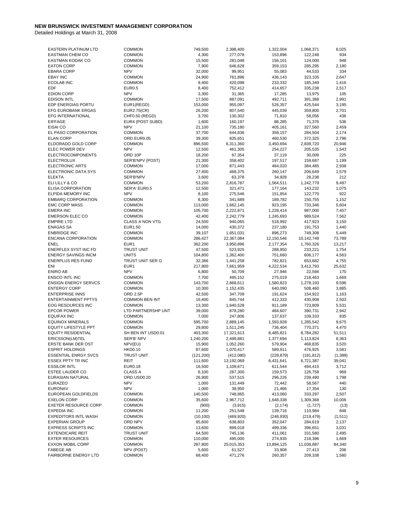| <b>EASTERN PLATINUM LTD</b> | <b>COMMON</b>               | 749,500         | 2,398,400  | 1,322,004  | 1,068,371  | 8,025    |
|-----------------------------|-----------------------------|-----------------|------------|------------|------------|----------|
| <b>EASTMAN CHEM CO</b>      | <b>COMMON</b>               | 4,300           | 277,078    | 153,896    | 122,248    | 934      |
| <b>EASTMAN KODAK CO</b>     | <b>COMMON</b>               | 15,500          | 281,048    | 156,101    | 124,000    | 948      |
| <b>EATON CORP</b>           | <b>COMMON</b>               | 7,900           | 646,628    | 359,153    | 285,295    | 2,180    |
|                             |                             |                 |            |            |            |          |
| <b>EBARA CORP</b>           | <b>NPV</b>                  | 32,000          | 99,951     | 55,083     | 44,533     | 334      |
| <b>EBAY INC</b>             | <b>COMMON</b>               | 24,900          | 761,896    | 436,143    | 323,105    | 2,647    |
| <b>ECOLAB INC</b>           | <b>COMMON</b>               | 9,400           | 420,098    | 233,332    | 185,349    | 1,416    |
| <b>EDF</b>                  | <b>EUR0.5</b>               | 8,400           | 752,412    | 414,657    | 335,238    | 2,517    |
| <b>EDION CORP</b>           | <b>NPV</b>                  | 3,300           | 31,365     | 17,285     | 13,975     | 105      |
| <b>EDISON INTL</b>          | <b>COMMON</b>               | 17,500          | 887,091    | 492,711    | 391,388    | 2,991    |
| EDP ENERGIAS PORTU          |                             | 153,000         | 955,097    | 526,357    | 425,544    | 3,195    |
|                             | EUR1(REGD)                  |                 |            |            |            |          |
| <b>EFG EUROBANK ERGAS</b>   | EUR2.75(CR)                 | 26,200          | 807,540    | 445,039    | 359,800    | 2,701    |
| EFG INTERNATIONAL           | CHF0.50 (REGD)              | 3,700           | 130,302    | 71,810     | 58,056     | 436      |
| <b>EIFFAGE</b>              | EUR4 (POST SUBD)            | 1,600           | 160,197    | 88,285     | 71,376     | 536      |
| EISAI CO                    | <b>NPV</b>                  | 21,100          | 735,180    | 405,161    | 327,560    | 2,459    |
| EL PASO CORPORATION         | COMMON                      | 37,700          | 644,836    | 358,157    | 284,504    | 2,174    |
| <b>ELAN CORP</b>            | ORD EUR0.05                 | 39,300          | 835,651    | 460,530    | 372,325    | 2,796    |
| ELDORADO GOLD CORP          | <b>COMMON</b>               | 896,500         | 6,311,360  | 3,450,694  | 2,839,720  | 20,946   |
|                             |                             |                 |            |            |            |          |
| ELEC POWER DEV              | <b>NPV</b>                  | 12,500          | 461,305    | 254,227    | 205,535    | 1,543    |
| <b>ELECTROCOMPONENTS</b>    | ORD 10P                     | 18,200          | 67,354     | 37,119     | 30,009     | 225      |
| <b>ELECTROLUX</b>           | SER'B'NPV (POST)            | 21,300          | 358,402    | 197,517    | 159,687    | 1,199    |
| <b>ELECTRONIC ARTS</b>      | <b>COMMON</b>               | 17,000          | 871,443    | 484,020    | 384,485    | 2,938    |
| ELECTRONIC DATA SYS         | <b>COMMON</b>               | 27,400          | 468,375    | 260,147    | 206,649    | 1,579    |
| <b>ELEKTA</b>               | SER'B'NPV                   | 3,600           | 63,378     | 34,928     | 28,238     | 212      |
| ELI LILLY & CO              |                             |                 |            |            |            | 9,497    |
|                             | <b>COMMON</b>               | 53,200          | 2,816,787  | 1,564,511  | 1,242,779  |          |
| <b>ELISA CORPORATION</b>    | SER'A' EUR0.5               | 12,500          | 321,471    | 177,164    | 143,232    | 1,075    |
| <b>ELPIDA MEMORY INC</b>    | <b>NPV</b>                  | 8,100           | 275,546    | 151,854    | 122,770    | 922      |
| <b>EMBARQ CORPORATION</b>   | <b>COMMON</b>               | 8,300           | 341,689    | 189,782    | 150,755    | 1,152    |
| <b>EMC CORP MASS</b>        | <b>COMMON</b>               | 113,000         | 1,662,145  | 923,195    | 733,346    | 5,604    |
| <b>EMERA INC</b>            | <b>COMMON</b>               | 105,700         | 2,222,871  | 1,228,414  | 987,000    | 7,457    |
| <b>EMERSON ELEC CO</b>      | <b>COMMON</b>               | 42,400          | 2,242,779  | 1,245,693  | 989,524    | 7,562    |
|                             | <b>CLASS A NON VTG</b>      |                 |            |            |            |          |
| <b>EMPIRE LTD</b>           |                             | 24,500          | 940,065    | 518,992    | 417,923    | 3,150    |
| <b>ENAGAS SA</b>            | EUR1.50                     | 14,000          | 430,372    | 237,180    | 191.753    | 1,440    |
| <b>ENBRIDGE INC</b>         | <b>COMMON</b>               | 39,107          | 1,651,031  | 896,273    | 749,308    | 5,449    |
| <b>ENCANA CORPORATION</b>   | <b>COMMON</b>               | 286,427         | 22,367,084 | 12,150,546 | 10,142,749 | 73,789   |
| <b>ENEL</b>                 | EUR <sub>1</sub>            | 362,200         | 3,950,896  | 2,177,354  | 1,760,326  | 13,217   |
| ENERFLEX SYST INC FD        | <b>TRUST UNIT</b>           | 47,500          | 523,925    | 288,950    | 233,221    | 1,754    |
| <b>ENERGY SAVINGS INCM</b>  | <b>UNITS</b>                | 104,800         | 1,362,400  | 751,660    | 606,177    | 4,563    |
|                             |                             |                 |            |            |            |          |
| <b>ENERPLUS RES FUND</b>    | TRUST UNIT SER G            | 32,366          | 1,441,258  | 782,821    | 653,682    | 4,755    |
| <b>ENI</b>                  | EUR1                        | 217,800         | 7,661,959  | 4,222,534  | 3,413,793  | 25,632   |
| <b>ENIRO AB</b>             | <b>NPV</b>                  | 6,800           | 50,709     | 27,946     | 22,594     | 170      |
| ENSCO INTL INC              | <b>COMMON</b>               | 7,700           | 495,152    | 275,019    | 218,463    | 1,669    |
| <b>ENSIGN ENERGY SERVCS</b> | <b>COMMON</b>               | 143,700         | 2,868,611  | 1,580,823  | 1,278,193  | 9,596    |
| <b>ENTERGY CORP</b>         | <b>COMMON</b>               | 10,300          | 1,152,435  | 640,090    | 508,460    | 3,885    |
| <b>ENTERPRISE INNS</b>      | ORD 2.5P                    | 42,500          | 347,709    | 191,624    | 154,922    | 1,163    |
|                             |                             |                 |            |            |            |          |
| <b>ENTERTAINMENT PPTYS</b>  | <b>COMMON BEN INT</b>       | 16,400          | 845,744    | 412,333    | 430,908    | 2,503    |
| <b>EOG RESOURCES INC</b>    | <b>COMMON</b>               | 13,300          | 1,640,528  | 911,189    | 723,809    | 5,531    |
| <b>EPCOR POWER</b>          | LTD PARTNERSHP UNT          | 39,000          | 878,280    | 484,607    | 390,731    | 2,942    |
| <b>EQUIFAX INC</b>          | <b>COMMON</b>               | 7,000           | 247,806    | 137,637    | 109,333    | 835      |
| <b>EQUINOX MINERALS</b>     | <b>COMMON</b>               | 595,700         | 2,889,145  | 1,593,928  | 1,285,542  | 9,675    |
| <b>EQUITY LIFESTYLE PPT</b> | <b>COMMON</b>               | 29,800          | 1,511,245  | 736,404    | 770,371    | 4,470    |
| <b>EQUITY RESIDENTIAL</b>   | SH BEN INT USD0.01          | 403,300         |            | 8,485,821  | 8,784,282  | 51,511   |
|                             |                             |                 | 17,321,613 |            |            |          |
| ERICSSON(LM)TEL             | SER'B' NPV                  | 1,240,200       | 2,499,881  | 1,377,694  | 1,113,824  | 8,363    |
| ERSTE BANK DER OST          | NPV(EU)                     | 15,900          | 1,052,260  | 579,904    | 468,835    | 3,520    |
| <b>ESPRIT HOLDINGS</b>      | <b>HKD0.10</b>              | 87,600          | 1,070,417  | 589,911    | 476,925    | 3,581    |
| <b>ESSENTIAL ENRGY SVCS</b> | TRUST UNIT                  | (121, 200)      | (412,080)  | (228, 879) | (181, 812) | (1, 389) |
| ESSEX PPTY TR INC           | REIT                        | 111,600         | 13,192,069 | 6,431,641  | 6,721,387  | 39,041   |
| <b>ESSILOR INTL</b>         | <b>EUR0.18</b>              | 16,500          | 1,109,671  | 611,544    | 494,415    | 3,712    |
| <b>ESTEE LAUDER CO</b>      |                             |                 |            |            |            |          |
|                             | <b>CLASS A</b>              | 6,100           | 287,300    | 159,573    | 126,758    | 969      |
| EURASIAN NATURAL            | ORD USD0.20                 | 26,900          | 537,515    | 296,226    | 239,490    | 1,798    |
| <b>EURAZEO</b>              | <b>NPV</b>                  | 1,000           | 131,449    | 72,442     | 58,567     | 440      |
| <b>EURONAV</b>              | <b>NPV</b>                  | 1,000           | 38,950     | 21,466     | 17,354     | 130      |
| EUROPEAN GOLDFIELDS         | <b>COMMON</b>               | 140,500         | 748,865    | 413,060    | 333,297    | 2,507    |
| <b>EXELON CORP</b>          | <b>COMMON</b>               | 35,600          | 2,967,712  | 1,648,338  | 1,309,368  | 10,006   |
| <b>EXETER RESOURCE CORP</b> | <b>COMMON</b>               | (900)           | (3,915)    | (2, 174)   |            | (13)     |
|                             |                             |                 |            |            | (1,727)    |          |
| <b>EXPEDIA INC</b>          | <b>COMMON</b>               | 11,200          | 251,548    | 139,716    | 110,984    | 848      |
| <b>EXPEDITORS INTL WASH</b> | <b>COMMON</b>               | (10, 100)       | (469, 920) | (248, 930) | (219, 479) | (1, 511) |
| <b>EXPERIAN GROUP</b>       | ORD NPV                     | 85,600          | 638,803    | 352,047    | 284,619    | 2,137    |
| <b>EXPRESS SCRIPTS INC</b>  | <b>COMMON</b>               | 13,600          | 899,018    | 499,336    | 396,651    | 3,031    |
| <b>EXTENDICARE REIT</b>     | TRUST UNIT                  | 64,500          | 745,136    | 411,061    | 331,580    | 2,495    |
| <b>EXTER RESOURCES</b>      | <b>COMMON</b>               | 110,000         | 495,000    | 274,935    | 218,396    | 1,669    |
| <b>EXXON MOBIL CORP</b>     | <b>COMMON</b>               | 287,800         | 25,015,353 | 13,894,125 | 11,036,887 | 84,340   |
|                             |                             |                 |            |            |            |          |
| <b>FABEGE AB</b>            | NPV (POST)<br><b>COMMON</b> | 5,600<br>68,400 | 61,527     | 33,908     | 27,413     | 206      |
| FAIRBORNE ENERGY LTD        |                             |                 | 471,276    | 260,357    | 209,338    | 1,580    |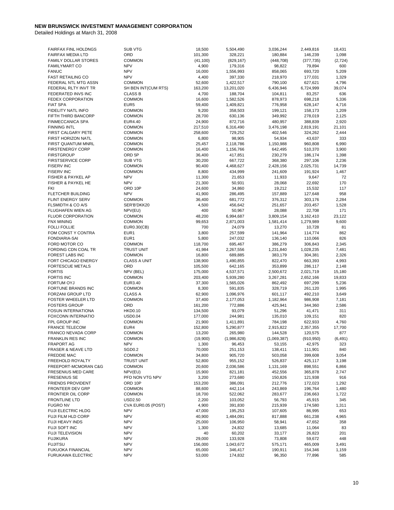| FAIRFAX FINL HOLDNGS          | <b>SUB VTG</b>      | 18,500    | 5,504,490   | 3,036,244   | 2,449,816  | 18,431   |
|-------------------------------|---------------------|-----------|-------------|-------------|------------|----------|
| <b>FAIRFAX MEDIA LTD</b>      | ORD                 | 101,300   |             | 180,884     |            | 1,098    |
|                               |                     |           | 328,221     |             | 146,239    |          |
| <b>FAMILY DOLLAR STORES</b>   | <b>COMMON</b>       | (41, 100) | (829, 167)  | (448, 708)  | (377, 735) | (2, 724) |
| <b>FAMILYMART CO</b>          | <b>NPV</b>          | 4,900     | 179,316     | 98,822      | 79,894     | 600      |
| <b>FANUC</b>                  | <b>NPV</b>          | 16,000    | 1,556,993   | 858,065     | 693,720    | 5,209    |
| <b>FAST RETAILING CO</b>      | <b>NPV</b>          | 4,400     | 397,330     | 218,970     | 177,031    | 1,329    |
| FEDERAL NTL MTG ASSN          | <b>COMMON</b>       | 52,600    | 1,422,517   | 790,100     | 627,621    | 4,796    |
| FEDERAL RLTY INVT TR          | SH BEN INT(CUM RTS) | 163,200   | 13,201,020  | 6,436,946   | 6,724,999  | 39,074   |
|                               |                     |           |             |             |            |          |
| FEDERATED INVS INC            | <b>CLASS B</b>      | 4,700     | 188,704     | 104,811     | 83,257     | 636      |
| FEDEX CORPORATION             | <b>COMMON</b>       | 16,600    | 1,582,526   | 878,973     | 698,218    | 5,336    |
| <b>FIAT SPA</b>               | EUR <sub>5</sub>    | 59,400    | 1,409,821   | 776,958     | 628,147    | 4,716    |
| FIDELITY NATL INFO            | <b>COMMON</b>       | 9,200     | 358,503     | 199,121     | 158,173    | 1,209    |
| FIFTH THIRD BANCORP           | <b>COMMON</b>       | 28,700    | 630,136     | 349,992     | 278,019    | 2,125    |
|                               |                     |           |             |             |            |          |
| <b>FINMECCANICA SPA</b>       | EUR4.40             | 24,900    | 872,716     | 480,957     | 388,839    | 2,920    |
| <b>FINNING INTL</b>           | <b>COMMON</b>       | 217,510   | 6,316,490   | 3,476,198   | 2,819,191  | 21,101   |
| FIRST CALGARY PETE            | <b>COMMON</b>       | 258,600   | 729,252     | 402,546     | 324,262    | 2,444    |
| FIRST HORIZON NATL            | <b>COMMON</b>       | 6,800     | 98,905      | 54,934      | 43,637     | 333      |
| FIRST QUANTUM MNRL            | <b>COMMON</b>       | 25,457    | 2,118,786   | 1,150,988   | 960,808    | 6,990    |
| <b>FIRSTENERGY CORP</b>       | <b>COMMON</b>       | 16,400    | 1,156,766   | 642,495     | 510,370    | 3,900    |
|                               |                     |           |             |             |            |          |
| <b>FIRSTGROUP</b>             | ORD 5P              | 36,400    | 417,851     | 230,279     | 186,174    | 1,398    |
| <b>FIRSTSERVICE CORP</b>      | SUB VTG             | 30,200    | 667,722     | 368,380     | 297,106    | 2,236    |
| <b>FISERV INC</b>             | <b>COMMON</b>       | 90,400    | 4,468,627   | 2,428,156   | 2,025,731  | 14,739   |
| <b>FISERV INC</b>             | <b>COMMON</b>       | 8,800     | 434,999     | 241,609     | 191,924    | 1,467    |
| FISHER & PAYKEL AP            | <b>NPV</b>          | 11,300    | 21,653      | 11,933      | 9,647      | 72       |
|                               |                     |           |             |             |            |          |
| FISHER & PAYKEL HE            | <b>NPV</b>          | 21,300    | 50,931      | 28,068      | 22,692     | 170      |
| <b>FKI</b>                    | ORD 10P             | 24,600    | 34,860      | 19,212      | 15,532     | 117      |
| FLETCHER BUILDING             | <b>NPV</b>          | 41,900    | 286,495     | 157,889     | 127,648    | 958      |
| FLINT ENERGY SERV             | <b>COMMON</b>       | 36,400    | 681,772     | 376,312     | 303,176    | 2,284    |
| FLSMIDTH & CO A/S             | SER'B'DKK20         | 4,500     | 456,642     | 251,657     | 203,457    | 1,528    |
| <b>FLUGHAFEN WIEN AG</b>      | NPV(EU)             | 400       | 50,967      | 28,088      | 22,708     | 171      |
|                               |                     |           |             |             |            |          |
| <b>FLUOR CORPORATION</b>      | <b>COMMON</b>       | 48,200    | 6,994,687   | 3,809,154   | 3,162,410  | 23,122   |
| <b>FNX MINING</b>             | <b>COMMON</b>       | 99,653    | 2,871,003   | 1,581,414   | 1,279,989  | 9,600    |
| <b>FOLLI FOLLIE</b>           | EUR0.30(CB)         | 700       | 24,079      | 13,270      | 10,728     | 81       |
| FOM CONST Y CONTRA            | EUR1                | 3,800     | 257,599     | 141,964     | 114,774    | 862      |
| FONDIARIA-SAI                 | EUR1                | 5,800     | 247,032     | 136,140     | 110,066    | 826      |
| FORD MOTOR CO                 |                     |           |             |             |            |          |
|                               | <b>COMMON</b>       | 118,700   | 695,467     | 386,279     | 306,843    | 2,345    |
| FORDING CDN COAL TR           | <b>TRUST UNIT</b>   | 41,984    | 2,267,556   | 1,231,840   | 1,028,235  | 7,481    |
| FOREST LABS INC               | <b>COMMON</b>       | 16,800    | 689,885     | 383,179     | 304,381    | 2,326    |
| FORT CHICAGO ENERGY           | <b>CLASS A UNIT</b> | 138,900   | 1,490,855   | 822,470     | 663,393    | 4,993    |
| <b>FORTESCUE METALS</b>       | ORD                 | 105,500   | 642,165     | 353,899     | 286,117    | 2,148    |
| <b>FORTIS</b>                 | NPV (BEL)           | 175,000   | 4,537,571   | 2,500,672   | 2,021,719  | 15,180   |
| <b>FORTIS INC</b>             | <b>COMMON</b>       |           |             | 3,267,281   | 2,652,166  | 19,833   |
|                               |                     | 203,400   | 5,939,280   |             |            |          |
| FORTUM OYJ                    | EUR3.40             | 37,300    | 1,565,026   | 862,492     | 697,299    | 5,236    |
| FORTUNE BRANDS INC            | <b>COMMON</b>       | 8,300     | 591,835     | 328,719     | 261,120    | 1,995    |
| FORZANI GROUP LTD             | <b>CLASS A</b>      | 62,900    | 1,096,976   | 601,117     | 492,210    | 3,649    |
| <b>FOSTER WHEELER LTD</b>     | <b>COMMON</b>       | 37,400    | 2,177,053   | 1,182,964   | 986,908    | 7,181    |
| <b>FOSTERS GROUP</b>          | ORD                 | 161,200   | 772,886     | 425,941     | 344,360    | 2,586    |
|                               | <b>HKD0.10</b>      | 134,500   |             |             |            |          |
| FOSUN INTERNATIONA            |                     |           | 93,079      | 51,296      | 41,471     | 311      |
| <b>FOXCONN INTERNATIO</b>     | <b>USD0.04</b>      | 177,000   | 244,981     | 135,010     | 109,151    | 820      |
| FPL GROUP INC                 | <b>COMMON</b>       | 21,900    | 1,411,891   | 784,198     | 622,933    | 4,760    |
| <b>FRANCE TELECOM</b>         | EUR4                | 152,800   | 5,290,877   | 2,915,822   | 2,357,355  | 17,700   |
| FRANCO NEVADA CORP            | <b>COMMON</b>       | 13,200    | 265,980     | 144,528     | 120,575    | 877      |
| FRANKLIN RES INC              | <b>COMMON</b>       | (19,900)  | (1,986,828) | (1,069,387) | (910, 950) | (6, 491) |
| <b>FRAPORT AG</b>             | <b>NPV</b>          |           | 96,453      | 53,155      | 42,975     | 323      |
|                               |                     | 1,300     |             |             |            |          |
| <b>FRASER &amp; NEAVE LTD</b> | SGD <sub>0.2</sub>  | 70,000    | 251,153     | 138,411     | 111,901    | 840      |
| <b>FREDDIE MAC</b>            | <b>COMMON</b>       | 34,800    | 905,720     | 503,058     | 399,608    | 3,054    |
| FREEHOLD ROYALTY              | <b>TRUST UNIT</b>   | 52,800    | 955,152     | 526,837     | 425,117    | 3,198    |
| FREEPORT-MCMORAN C&G          | <b>COMMON</b>       | 20,600    | 2,036,586   | 1,131,169   | 898,551    | 6,866    |
| FRESENIUS MED CARE            | NPV(EU)             | 15,900    | 821,181     | 452,556     | 365,878    | 2,747    |
|                               |                     |           |             |             |            |          |
| <b>FRESENIUS SE</b>           | PFD NON VTG NPV     | 3,200     | 273,680     | 150,826     | 121,938    | 916      |
| FRIENDS PROVIDENT             | ORD 10P             | 153,200   | 386,091     | 212,776     | 172,023    | 1,292    |
| FRONTEER DEV GRP              | <b>COMMON</b>       | 88,600    | 442,114     | 243,869     | 196,764    | 1,480    |
| FRONTIER OIL CORP             | <b>COMMON</b>       | 18,700    | 522,062     | 283,677     | 236,663    | 1,722    |
| <b>FRONTLINE LTD</b>          | <b>USD2.50</b>      | 2,200     | 103,052     | 56,793      | 45,915     | 345      |
| <b>FUGRO NV</b>               | CVA EUR0.05 (POST)  | 4,900     | 391,830     | 215,939     | 174,580    | 1,311    |
|                               |                     |           |             |             |            |          |
| <b>FUJI ELECTRIC HLDG</b>     | <b>NPV</b>          | 47,000    | 195,253     | 107,605     | 86,995     | 653      |
| FUJI FILM HLD CORP            | <b>NPV</b>          | 40,900    | 1,484,091   | 817,888     | 661,238    | 4,965    |
| FUJI HEAVY INDS               | <b>NPV</b>          | 25,000    | 106,950     | 58,941      | 47,652     | 358      |
| FUJI SOFT INC                 | <b>NPV</b>          | 1,300     | 24,832      | 13,685      | 11,064     | 83       |
| <b>FUJI TELEVISION</b>        | <b>NPV</b>          | 40        | 60,202      | 33,177      | 26,823     | 201      |
| <b>FUJIKURA</b>               | <b>NPV</b>          | 29,000    | 133,928     | 73,808      | 59,672     | 448      |
|                               |                     |           |             |             |            |          |
| <b>FUJITSU</b>                | <b>NPV</b>          | 156,000   | 1,043,672   | 575,171     | 465,009    | 3,491    |
| FUKUOKA FINANCIAL             | <b>NPV</b>          | 65,000    | 346,417     | 190,911     | 154,346    | 1,159    |
| FURUKAWA ELECTRIC             | <b>NPV</b>          | 53,000    | 174,832     | 96,350      | 77,896     | 585      |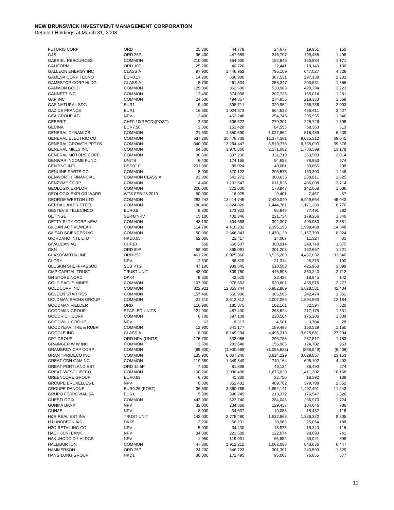| <b>FUTURIS CORP</b>                             | ORD                               | 25,300            | 44,778                 | 24,677                 | 19,951                 | 150             |
|-------------------------------------------------|-----------------------------------|-------------------|------------------------|------------------------|------------------------|-----------------|
| G4S                                             | ORD <sub>25P</sub>                | 96,400            | 447,659                | 246,707                | 199,455                | 1,498           |
| <b>GABRIEL RESOURCES</b>                        | <b>COMMON</b>                     | 210,000           | 354,900                | 192,845                | 160,884                | 1,171           |
| <b>GALIFORM</b>                                 | ORD 10P                           | 25,200            | 40,720                 | 22,441                 | 18,143                 | 136             |
| <b>GALLEON ENERGY INC</b>                       | <b>CLASS A</b>                    | 97,900            | 1,446,962              | 795,109                | 647,027                | 4,826           |
| <b>GAMESA CORP TECNO</b>                        | <b>EUR0.17</b>                    | 14,200            | 666,900                | 367,531                | 297,138                | 2,231           |
| <b>GAMESTOP CORP HLDG</b>                       | <b>CLASS A</b>                    | 8,700             | 461,534                | 256,347                | 203,631                | 1,556           |
| <b>GAMMON GOLD</b>                              | <b>COMMON</b>                     | 125,000           | 962,500                | 530,983                | 428,294                | 3,223           |
| <b>GANNETT INC</b><br><b>GAP INC</b>            | <b>COMMON</b>                     | 12,400            | 374,008                | 207,733<br>274,855     | 165,014<br>218,333     | 1,261<br>1,668  |
| <b>GAS NATURAL SDG</b>                          | <b>COMMON</b><br>EUR <sub>1</sub> | 24,500<br>9,400   | 494,857<br>598,711     | 329,952                | 266,756                | 2,003           |
| <b>GAZ DE FRANCE</b>                            | EUR1                              | 16,500            | 1,024,373              | 564,536                | 456,411                | 3,427           |
| <b>GEA GROUP AG</b>                             | <b>NPV</b>                        | 13,400            | 462,248                | 254,746                | 205,955                | 1,546           |
| <b>GEBERIT</b>                                  | CHF0.10(REGD)(POST)               | 3,300             | 506,622                | 279,201                | 225,726                | 1,695           |
| <b>GECINA</b>                                   | <b>EUR7.50</b>                    | 1,000             | 153,428                | 84,555                 | 68,360                 | 513             |
| <b>GENERAL DYNAMICS</b>                         | <b>COMMON</b>                     | 21,600            | 1,850,590              | 1,027,862              | 816,489                | 6,239           |
| <b>GENERAL ELECTRIC CO</b>                      | <b>COMMON</b>                     | 537,200           | 20,478,738             | 11,374,381             | 9,035,312              | 69,045          |
| <b>GENERAL GROWTH PPTYS</b>                     | <b>COMMON</b>                     | 340,000           | 13,294,447             | 6,519,778              | 6,735,093              | 39,576          |
| <b>GENERAL MILLS INC</b>                        | <b>COMMON</b>                     | 64,600            | 3,970,860              | 2,171,082              | 1,786,599              | 13,179          |
| <b>GENERAL MOTORS CORP</b>                      | <b>COMMON</b>                     | 30,500            | 597,236                | 331,719                | 263,503                | 2,014           |
| <b>GENIVAR INCOME FUND</b>                      | <b>UNITS</b>                      | 6,400             | 174,165                | 94,638                 | 78,953                 | 574             |
| <b>GENTING INTL</b>                             | <b>USD0.10</b>                    | 201,000           | 89,024                 | 49,061                 | 39,665                 | 298             |
| <b>GENUINE PARTS CO</b>                         | <b>COMMON</b>                     | 8,900             | 370,122                | 205,575                | 163,300                | 1,248           |
| <b>GENWORTH FINANCIAL</b>                       | <b>COMMON CLASS A</b>             | 23,300            | 541,272                | 300,635                | 238,811                | 1,825           |
| <b>GENZYME CORP</b>                             | <b>COMMON</b>                     | 14,400            | 1,101,547              | 611,826                | 486,008                | 3,714           |
| <b>GEOLOGIX EXPLOR</b>                          | <b>COMMON</b>                     | 200,000           | 322,000                | 178,847                | 142,068                | 1,086           |
| <b>GEOLOGIX EXPLOR WARR</b>                     | WTS FEB 25 2010                   | 50,000            | 16,925                 | 9,401                  | 7,467                  | 57              |
| <b>GEORGE WESTON LTD</b>                        | <b>COMMON</b>                     | 282,242           | 13,414,746             | 7,420,040              | 5,949,664              | 45,043          |
| <b>GERDAU AMERISTEEL</b>                        | <b>COMMON</b>                     | 180,400           | 2,624,820              | 1,444,761              | 1,171,289              | 8,770           |
| <b>GESTEVIS TELECINCO</b>                       | <b>EUR0.5</b>                     | 8,300             | 173,922                | 95,849                 | 77,491                 | 582             |
| <b>GETINGE</b>                                  | SER'B'NPV                         | 15,100            | 402,346                | 221,734                | 179,266                | 1,346           |
| <b>GETTY RLTY CORP NEW</b>                      | <b>COMMON</b>                     | 48,100            | 804,668                | 392,307                | 409,980                | 2,381           |
| <b>GILDAN ACTIVEWEAR</b><br>GILEAD SCIENCES INC | <b>COMMON</b><br><b>COMMON</b>    | 114,790<br>50,000 | 4,410,232<br>2,646,843 | 2,396,196<br>1,470,120 | 1,999,488<br>1,167,799 | 14,548<br>8,924 |
| <b>GIORDANO INTL LTD</b>                        | <b>HKD0.05</b>                    | 62,000            | 25,417                 | 14,007                 | 11,324                 | 85              |
| <b>GIVAUDAN AG</b>                              | CHF10                             | 550               | 560,537                | 308,914                | 249,748                | 1,875           |
| <b>GKN</b>                                      | ORD 50P                           | 58,900            | 365,091                | 201,203                | 162,667                | 1,221           |
| <b>GLAXOSMITHKLINE</b>                          | ORD <sub>25P</sub>                | 461,700           | 10,025,860             | 5,525,289              | 4,467,032              | 33,540          |
| <b>GLORY</b>                                    | <b>NPV</b>                        | 2,600             | 56,820                 | 31,314                 | 25,316                 | 190             |
| <b>GLUSKIN SHEFF+ASSOC</b>                      | <b>SUB VTG</b>                    | 47,100            | 939,645                | 510,583                | 425,963                | 3,099           |
| <b>GMP CAPITAL TRUST</b>                        | <b>TRUST UNIT</b>                 | 48,000            | 809,760                | 446,808                | 360,240                | 2,712           |
| <b>GN STORE NORD</b>                            | DKK4                              | 8,300             | 42,520                 | 23,433                 | 18,945                 | 142             |
| <b>GOLD EAGLE MINES</b>                         | <b>COMMON</b>                     | 107,900           | 978,653                | 539,801                | 435,575                | 3,277           |
| <b>GOLDCORP INC</b>                             | <b>COMMON</b>                     | 322,921           | 12,853,744             | 6,982,809              | 5,828,531              | 42,404          |
| <b>GOLDEN STAR RES</b>                          | <b>COMMON</b>                     | 157,400           | 550,900                | 306,566                | 242,474                | 1,861           |
| <b>GOLDMAN SACHS GROUP</b>                      | <b>COMMON</b>                     | 21,310            | 3,613,812              | 2,007,065              | 1,594,563              | 12,184          |
| <b>GOODMAN FIELDER</b>                          | ORD                               | 110,900           | 185,375                | 102,161                | 82,594                 | 620             |
| <b>GOODMAN GROUP</b>                            | <b>STAPLED UNITS</b>              | 121,900           | 487,430                | 268,624                | 217,175                | 1,631           |
| <b>GOODRICH CORP</b>                            | <b>COMMON</b>                     | 6,700             | 397,109                | 220,564                | 175,206                | 1,339           |
| <b>GOODWILL GROUP</b>                           | <b>NPV</b>                        | 63                | 8,313                  | 4,581                  | 3,704                  | 28              |
| <b>GOODYEAR TIRE &amp; RUBR</b>                 | <b>COMMON</b>                     | 12,900            | 341,177                | 189,498                | 150,529                | 1,150           |
| GOOGLE INC<br><b>GPT GROUP</b>                  | <b>CLASS A</b>                    | 18,000            | 8,149,294<br>533,086   | 4,496,319              | 3,625,681              | 27,294          |
| <b>GRAINGER W W INC</b>                         | ORD NPV (UNITS)<br><b>COMMON</b>  | 175,700<br>3,600  | 282,640                | 293,786<br>156,985     | 237,517<br>124,702     | 1,783<br>953    |
| <b>GRAMERCY CAP CORP</b>                        | <b>COMMON</b>                     | (88, 300)         | (1,900,589)            | (1,055,633)            | (838, 549)             | (6, 408)        |
| <b>GRANT PRIDECO INC</b>                        | <b>COMMON</b>                     | 135,900           | 6,867,240              | 3,814,229              | 3,029,857              | 23,153          |
| <b>GREAT CDN GAMING</b>                         | <b>COMMON</b>                     | 119,350           | 1,349,849              | 740,164                | 605,192                | 4,493           |
| <b>GREAT PORTLAND EST</b>                       | ORD 12.5P                         | 7,600             | 81,898                 | 45,134                 | 36,490                 | 274             |
| <b>GREAT-WEST LIFECO</b>                        | <b>COMMON</b>                     | 100,200           | 3,096,498              | 1,675,029              | 1,411,302              | 10,168          |
| <b>GREENCORE GROUP</b>                          | EUR0.63                           | 6,700             | 41,280                 | 22,750                 | 18,392                 | 138             |
| <b>GROUPE BRUXELLES L</b>                       | <b>NPV</b>                        | 6,800             | 852,402                | 469,762                | 379,788                | 2,852           |
| <b>GROUPE DANONE</b>                            | <b>EUR0.25 (POST)</b>             | 36,500            | 3,360,785              | 1,852,141              | 1,497,401              | 11,243          |
| <b>GRUPO FERROVIAL SA</b>                       | EUR <sub>1</sub>                  | 5,300             | 396,245                | 218,372                | 176,547                | 1,326           |
| <b>GUESTLOGIX</b>                               | <b>COMMON</b>                     | 443,000           | 522,740                | 284,046                | 236,970                | 1,724           |
| <b>GUNMA BANK</b>                               | <b>NPV</b>                        | 32,000            | 234,868                | 129,437                | 104,646                | 786             |
| <b>GUNZE</b>                                    | <b>NPV</b>                        | 8,000             | 34,637                 | 19,088                 | 15,432                 | 116             |
| H&R REAL EST INV                                | <b>TRUST UNIT</b>                 | 143,000           | 2,778,490              | 1,532,863              | 1,236,322              | 9,305           |
| H.LUNDBECK A/S                                  | DKK <sub>5</sub>                  | 2,200             | 56,231                 | 30,989                 | 25,054                 | 188             |
| <b>H2O RETAILING CO</b>                         | <b>NPV</b>                        | 5,000             | 34,430                 | 18,975                 | 15,340                 | 115             |
| <b>HACHIJUNI BANK</b>                           | <b>NPV</b>                        | 34,000            | 221,509                | 122,074                | 98,693                 | 741             |
| HAKUHODO DY HLDGS                               | <b>NPV</b>                        | 1,950             | 119,001                | 65,582                 | 53,021                 | 398             |
| <b>HALLIBURTON</b>                              | <b>COMMON</b>                     | 47,300            | 1,912,212              | 1,062,088              | 843,676                | 6,447           |
| <b>HAMMERSON</b>                                | ORD <sub>25P</sub>                | 24,200            | 546,723                | 301,301                | 243,593                | 1,829           |
| HANG LUNG GROUP                                 | HKD1                              | 36,000            | 172,495                | 95,063                 | 76,855                 | 577             |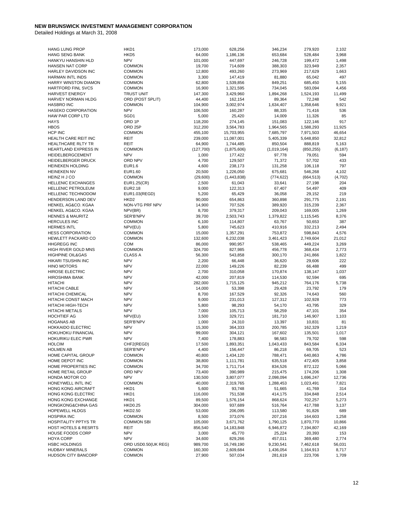| <b>HANG LUNG PROP</b>           | HKD1                      | 173,000   | 628,256     | 346,234     | 279,920    | 2,102    |
|---------------------------------|---------------------------|-----------|-------------|-------------|------------|----------|
| <b>HANG SENG BANK</b>           | HKD <sub>5</sub>          | 64,000    | 1,186,136   | 653,684     | 528,484    | 3,968    |
| HANKYU HANSHIN HLD              | <b>NPV</b>                | 101,000   | 447,697     | 246,728     | 199,472    | 1,498    |
| <b>HANSEN NAT CORP</b>          | <b>COMMON</b>             | 19,700    | 714,609     | 388,303     | 323,949    | 2,357    |
| HARLEY DAVIDSON INC             | <b>COMMON</b>             | 12,800    | 493,260     | 273,969     | 217,629    | 1,663    |
| HARMAN INTL INDS                | <b>COMMON</b>             | 3,300     | 147,419     | 81,880      | 65,042     | 497      |
| HARRY WINSTON DIAMON            | <b>COMMON</b>             | 62,800    | 1,539,856   | 849,251     | 685,450    | 5,155    |
| <b>HARTFORD FINL SVCS</b>       | <b>COMMON</b>             | 16,900    | 1,321,595   | 734,045     | 583,094    | 4,456    |
| <b>HARVEST ENERGY</b>           | <b>TRUST UNIT</b>         | 147,300   | 3,429,960   | 1,894,268   | 1,524,193  | 11,499   |
| HARVEY NORMAN HLDG              | ORD (POST SPLIT)          | 44,400    | 162,154     | 89,364      | 72,248     | 542      |
| <b>HASBRO INC</b>               | <b>COMMON</b>             | 104,900   | 3,002,974   | 1,634,407   | 1,358,646  | 9,921    |
| <b>HASEKO CORPORATION</b>       | <b>NPV</b>                | 106,500   | 160,287     | 88,335      | 71,416     | 536      |
| HAW PAR CORP LTD                | SGD1                      | 5,000     | 25,420      | 14,009      | 11,326     | 85       |
| <b>HAYS</b>                     | ORD 1P                    | 118,200   | 274,145     | 151,083     | 122,146    | 917      |
| <b>HBOS</b>                     | ORD <sub>25</sub> P       | 312,200   | 3,564,783   | 1,964,565   | 1,588,293  | 11,925   |
| HCP INC                         | <b>COMMON</b>             | 455,100   | 15,703,955  | 7,685,797   | 7,971,503  | 46,654   |
| HEALTH CARE REIT INC            | REIT                      | 239,000   | 11,087,001  | 5,405,339   | 5,648,850  | 32,812   |
| HEALTHCARE RLTY TR              | <b>REIT</b>               | 64,900    | 1,744,485   | 850,504     | 888,819    | 5,163    |
| HEARTLAND EXPRESS IN            | <b>COMMON</b>             | (127,700) | (1,875,606) | (1,019,164) | (850, 255) | (6, 187) |
| HEIDELBERGCEMENT                | <b>NPV</b>                | 1,000     | 177,422     | 97,778      | 79,051     | 594      |
| <b>HEIDELBERGER DRUCK</b>       | ORD NPV                   | 4,700     | 129,507     | 71,372      | 57,702     | 433      |
| <b>HEINEKEN HOLDING</b>         | EUR1.6                    | 4,600     | 238,173     | 131,258     | 106,118    | 797      |
| <b>HEINEKEN NV</b>              | EUR1.60                   | 20,500    | 1,226,050   | 675,681     | 546,268    | 4,102    |
| HEINZ H J CO                    | <b>COMMON</b>             | (29,600)  | (1,443,838) | (774, 622)  | (664, 513) | (4, 702) |
| <b>HELLENIC EXCHANGES</b>       | EUR1.25(CR)               | 2,500     | 61,043      | 33,641      | 27,198     | 204      |
| <b>HELLENIC PETROLEUM</b>       | EUR2.18                   | 9,000     | 122,313     | 67,407      | 54,497     | 409      |
| <b>HELLENIC TECHNODOM</b>       | EUR1.03(REGD)             | 5,200     | 65,429      | 36,058      | 29,152     | 219      |
| HENDERSON LAND DEV              | HKD <sub>2</sub>          | 90,000    | 654,863     | 360,898     | 291,775    | 2,191    |
| HENKEL AG&CO, KGAA              | NON-VTG PRF NPV           | 14,900    | 707,526     | 389,920     | 315,239    | 2,367    |
| HENKEL AG&CO. KGAA              | NPV(BR)                   | 8,700     | 379,317     | 209,043     | 169,005    | 1,269    |
| <b>HENNES &amp; MAURITZ</b>     | SER'B'NPV                 | 39,700    | 2,503,743   | 1,379,822   | 1,115,545  | 8,376    |
| <b>HERCULES INC</b>             | <b>COMMON</b>             | 6,100     | 114,807     | 63,767      | 50,653     | 387      |
| <b>HERMES INTL</b>              | NPV(EU)                   | 5,800     | 745,623     | 410,916     | 332,213    | 2,494    |
| <b>HESS CORPORATION</b>         | <b>COMMON</b>             | 15,000    | 1,357,291   | 753,872     | 598,843    | 4,576    |
| HEWLETT PACKARD CO              | <b>COMMON</b>             | 132,600   | 6,232,038   | 3,461,423   | 2,749,604  | 21,012   |
| <b>HHGREGG INC</b>              | COM                       | 86,000    | 990,957     | 538,465     | 449,224    | 3,269    |
| HIGH RIVER GOLD MNS             | <b>COMMON</b>             | 324,700   | 827,985     | 456,778     | 368,434    | 2,773    |
| <b>HIGHPINE OIL&amp;GAS</b>     | <b>CLASS A</b>            | 56,300    | 543,858     | 300,170     | 241,866    | 1,822    |
| HIKARI TSUSHIN INC              | <b>NPV</b>                | 2,200     | 66,448      | 36,620      | 29,606     | 222      |
| <b>HINO MOTORS</b>              | <b>NPV</b>                | 22,000    | 149,226     | 82,239      | 66,488     | 499      |
| <b>HIROSE ELECTRIC</b>          | <b>NPV</b>                | 2,700     | 310,058     | 170,874     | 138,147    | 1,037    |
| <b>HIROSHIMA BANK</b>           | <b>NPV</b>                | 42,000    | 207,819     | 114,530     | 92,594     | 695      |
| <b>HITACHI</b>                  | <b>NPV</b>                | 282,000   | 1,715,125   | 945,212     | 764,176    | 5,738    |
| <b>HITACHI CABLE</b>            | <b>NPV</b>                | 14,000    | 53,398      | 29,428      | 23,792     | 179      |
| <b>HITACHI CHEMICAL</b>         | <b>NPV</b>                | 8,700     | 167,529     | 92,326      | 74,643     | 560      |
| HITACHI CONST MACH              | <b>NPV</b>                | 9,000     | 231,013     | 127,312     | 102,928    | 773      |
| <b>HITACHI HIGH-TECH</b>        | <b>NPV</b>                | 5,800     | 98,293      | 54,170      | 43,795     | 329      |
| <b>HITACHI METALS</b>           | <b>NPV</b>                | 7,000     | 105,713     | 58,259      | 47,101     | 354      |
| <b>HOCHTIEF AG</b>              | NPV(EU)                   | 3,500     | 329,721     | 181,710     | 146,907    | 1,103    |
| <b>HOGANAS AB</b>               | SER'B'NPV                 | 1,000     | 24,310      | 13,397      | 10,831     | 81       |
| <b>HOKKAIDO ELECTRIC</b>        | <b>NPV</b>                | 15,300    | 364,333     | 200,785     | 162,329    | 1,219    |
| HOKUHOKU FINANCIAL              | <b>NPV</b>                | 99,000    | 304,121     | 167,602     | 135,501    | 1,017    |
| HOKURIKU ELEC PWR               | <b>NPV</b>                | 7,400     | 178,883     | 98,583      | 79,702     | 598      |
| <b>HOLCIM</b>                   | CHF2(REGD)                | 17,500    | 1,893,351   | 1,043,433   | 843,584    | 6,334    |
| <b>HOLMEN AB</b>                | SER'B'NPV                 | 4,400     | 156,447     | 86,218      | 69,705     | 523      |
| HOME CAPITAL GROUP              | <b>COMMON</b>             | 40,800    | 1,434,120   | 788,471     | 640,863    | 4,786    |
| HOME DEPOT INC                  | <b>COMMON</b>             | 38,800    | 1,111,781   | 635,518     | 472,405    | 3,858    |
| HOME PROPERTIES INC             | <b>COMMON</b>             | 34,700    | 1,711,714   | 834,526     | 872,122    | 5,066    |
| HOME RETAIL GROUP               | ORD NPV                   | 73,400    | 390,989     | 215,475     | 174,206    | 1,308    |
| HONDA MOTOR CO                  | <b>NPV</b>                | 130,500   | 3,807,077   | 2,098,094   | 1,696,247  | 12,736   |
| HONEYWELL INTL INC              | <b>COMMON</b>             | 40,000    | 2,319,765   | 1,288,453   | 1,023,491  | 7,821    |
| <b>HONG KONG AIRCRAFT</b>       | HKD1                      | 5,600     | 93,748      | 51,665      | 41,769     | 314      |
| <b>HONG KONG ELECTRIC</b>       | HKD1                      |           |             | 414,175     | 334,848    |          |
|                                 |                           | 116,000   | 751,538     |             |            | 2,514    |
| HONG KONG EXCHANGE              | HKD1                      | 89,500    | 1,576,154   | 868,624     | 702,257    | 5,273    |
| HONGKONG&CHINA GAS              | <b>HKD0.25</b>            | 304,000   | 937,689     | 516,764     | 417,788    | 3,137    |
| <b>HOPEWELL HLDGS</b>           | HKD2.50                   | 53,000    | 206,095     | 113,580     | 91,826     | 689      |
| <b>HOSPIRA INC</b>              | <b>COMMON</b>             | 8,500     | 373,076     | 207,216     | 164,603    | 1,258    |
| <b>HOSPITALITY PPTYS TR</b>     | <b>COMMON SBI</b>         | 105,000   | 3,671,762   | 1,790,125   | 1,870,770  | 10,866   |
| <b>HOST HOTELS &amp; RESRTS</b> | <b>REIT</b><br><b>NPV</b> | 856,540   | 14,183,848  | 6,946,872   | 7,194,807  | 42,169   |
| <b>HOUSE FOODS CORP</b>         |                           | 3,000     | 45,770      | 25,224      | 20,393     | 153      |
| <b>HOYA CORP</b>                | <b>NPV</b>                | 34,600    | 829,266     | 457,011     | 369,480    | 2,774    |
| <b>HSBC HOLDINGS</b>            | ORD USD0.50(UK REG)       | 989,700   | 16,749,190  | 9,230,541   | 7,462,618  | 56,031   |
| <b>HUDBAY MINERALS</b>          | <b>COMMON</b>             | 160,300   | 2,609,684   | 1,436,054   | 1,164,913  | 8,717    |
| <b>HUDSON CITY BANCORP</b>      | <b>COMMON</b>             | 27,900    | 507,034     | 281,619     | 223,706    | 1,709    |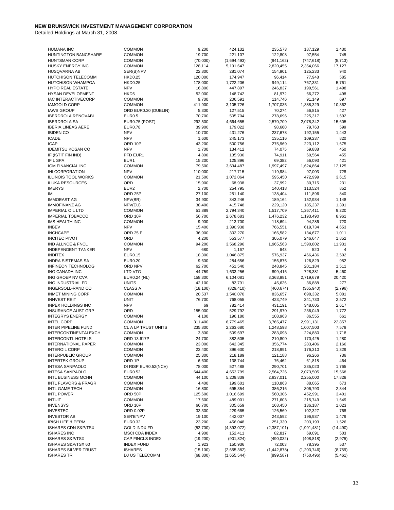| <b>HUMANA INC</b>            | <b>COMMON</b>               | 9,200     | 424,132     | 235,573     | 187,129     | 1,430       |
|------------------------------|-----------------------------|-----------|-------------|-------------|-------------|-------------|
| <b>HUNTINGTON BANCSHARE</b>  | <b>COMMON</b>               | 19,700    | 221,107     | 122,808     | 97,554      | 745         |
| <b>HUNTSMAN CORP</b>         | COMMON                      | (70,000)  | (1,694,493) | (941, 162)  | (747, 618)  | (5, 713)    |
| HUSKY ENERGY INC             | <b>COMMON</b>               | 128,114   | 5,191,647   | 2,820,455   | 2,354,066   | 17,127      |
| HUSQVARNA AB                 | SER(B)NPV                   | 22,800    | 281,074     | 154,901     | 125,233     | 940         |
| HUTCHISON TELECOMM           | <b>HKD0.25</b>              | 120,000   | 174,947     | 96,414      | 77,948      | 585         |
| <b>HUTCHISON WHAMPOA</b>     | <b>HKD0.25</b>              | 178,000   | 1,722,206   | 949,114     | 767,331     | 5,761       |
| <b>HYPO REAL ESTATE</b>      | <b>NPV</b>                  | 16,800    | 447,897     | 246,837     | 199,561     | 1,498       |
| HYSAN DEVELOPMENT            | HKD <sub>5</sub>            | 52,000    | 148,742     | 81,972      | 66,272      | 498         |
| <b>IAC INTERACTIVECORP</b>   | <b>COMMON</b>               | 9,700     | 206,591     | 114,746     | 91,149      | 697         |
| <b>IAMGOLD CORP</b>          | <b>COMMON</b>               | 411,900   | 3,105,726   | 1,707,035   | 1,388,329   | 10,362      |
| <b>IAWS GROUP</b>            | ORD EUR0.30 (DUBLIN)        | 5,300     | 127,515     | 70,274      | 56,815      | 427         |
| <b>IBERDROLA RENOVABL</b>    | <b>EUR0.5</b>               | 70,700    | 505,704     | 278,696     | 225,317     | 1,692       |
| <b>IBERDROLA SA</b>          | EUR0.75 (POST)              | 292,500   | 4,664,655   | 2,570,709   | 2,078,342   | 15,605      |
| <b>IBERIA LINEAS AERE</b>    | EUR0.78                     | 39,900    | 179,022     | 98,660      | 79,763      | 599         |
| <b>IBIDEN CO</b>             | <b>NPV</b>                  | 10,700    | 431,276     | 237,678     | 192,155     | 1,443       |
| <b>ICADE</b>                 | <b>NPV</b>                  | 1,600     | 245,173     | 135,116     | 109,237     | 820         |
| <b>ICAP</b>                  | ORD 10P                     | 43,200    | 500,756     | 275,969     | 223,112     | 1,675       |
| <b>IDEMITSU KOSAN CO</b>     | <b>NPV</b>                  | 1,700     | 134,412     | 74,075      | 59,888      | 450         |
| IFI(ISTIT FIN IND)           | PFD EUR1                    | 4,800     | 135,930     | 74,911      | 60,564      | 455         |
| <b>IFIL SPA</b>              | EUR1                        | 15,200    | 125,896     | 69,382      | 56,093      | 421         |
| IGM FINANCIAL INC            | <b>COMMON</b>               | 79,500    | 3,634,487   | 1,997,497   | 1,624,864   | 12,125      |
| <b>IHI CORPORATION</b>       | <b>NPV</b>                  | 110,000   | 217,715     | 119,984     | 97,003      | 728         |
| <b>ILLINOIS TOOL WORKS</b>   | <b>COMMON</b>               | 21,500    | 1,072,064   | 595,450     | 472,999     | 3,615       |
| <b>ILUKA RESOURCES</b>       | ORD                         | 15,900    | 68,938      | 37,992      | 30,715      | 231         |
| <b>IMERYS</b>                | EUR <sub>2</sub>            | 2,700     | 254,795     | 140,418     | 113,524     | 852         |
| IMI                          | ORD <sub>25P</sub>          | 27,100    | 251,140     | 138,404     | 111,896     | 840         |
| <b>IMMOEAST AG</b>           | NPV(BR)                     | 34,900    | 343,246     | 189,164     | 152,934     | 1,148       |
| <b>IMMOFINANZ AG</b>         | NPV(EU)                     | 38,400    | 415,748     | 229,120     | 185,237     | 1,391       |
| <b>IMPERIAL OIL LTD</b>      | <b>COMMON</b>               | 51,889    | 2,794,340   | 1,517,709   | 1,267,411   | 9,220       |
| <b>IMPERIAL TOBACCO</b>      | ORD 10P                     | 56,700    | 2,678,683   | 1,476,232   | 1,193,490   | 8,961       |
| IMS HEALTH INC               | <b>COMMON</b>               | 9,900     | 213,700     | 118,694     | 94,286      | 720         |
| <b>INBEV</b>                 | <b>NPV</b>                  | 15,400    | 1,390,938   | 766,551     | 619,734     | 4,653       |
| <b>INCHCAPE</b>              | ORD 25 P                    | 36,900    | 302,270     | 166,582     | 134,677     | 1,011       |
| <b>INCITEC PIVOT</b>         | ORD                         |           |             |             |             | 1,852       |
|                              |                             | 4,200     | 553,577     | 305,079     | 246,647     |             |
| IND ALLNCE & FNCL            | <b>COMMON</b><br><b>NPV</b> | 94,200    | 3,568,296   | 1,965,563   | 1,590,802   | 11,931<br>4 |
| <b>INDEPENDENT TANKER</b>    |                             | 680       | 1,167       | 643         | 520         |             |
| <b>INDITEX</b>               | EUR0.15                     | 18,300    | 1,046,875   | 576,937     | 466,436     | 3,502       |
| <b>INDRA SISTEMAS SA</b>     | <b>EUR0.20</b>              | 9,600     | 284,656     | 156,875     | 126,829     | 952         |
| <b>INFINEON TECHNOLOG</b>    | ORD NPV                     | 62,700    | 451,540     | 248,845     | 201,184     | 1,511       |
| ING CANADA INC               | LTD VTG                     | 44,759    | 1,633,256   | 899,416     | 728,381     | 5,460       |
| ING GROEP NV CVA             | EUR0.24 (NL)                | 158,300   | 6,104,081   | 3,363,981   | 2,719,679   | 20,420      |
| ING INDUSTRIAL FD            | <b>UNITS</b>                | 42,100    | 82,791      | 45,626      | 36,888      | 277         |
| INGERSOLL-RAND CO            | <b>CLASS A</b>              | (18, 100) | (829, 410)  | (460, 674)  | (365, 940)  | (2,796)     |
| <b>INMET MINING CORP</b>     | <b>COMMON</b>               | 20,537    | 1,540,070   | 836,657     | 698,332     | 5,081       |
| <b>INNVEST REIT</b>          | <b>UNIT</b>                 | 76,700    | 768,055     | 423,749     | 341,733     | 2,572       |
| <b>INPEX HOLDINGS INC</b>    | <b>NPV</b>                  | 69        | 782,414     | 431,191     | 348,605     | 2,617       |
| <b>INSURANCE AUST GRP</b>    | ORD                         | 155,000   | 529,792     | 291,970     | 236,049     | 1,772       |
| <b>INTEGRYS ENERGY</b>       | <b>COMMON</b>               | 4,100     | 196,180     | 108,963     | 86,555      | 661         |
| <b>INTEL CORP</b>            | <b>COMMON</b>               | 311,400   | 6,779,465   | 3,765,477   | 2,991,131   | 22,857      |
| INTER PIPELINE FUND          | CL A LP TRUST UNITS         | 235,800   | 2,263,680   | 1,248,598   | 1,007,503   | 7,579       |
| INTERCONTINENTALEXCH         | <b>COMMON</b>               | 3,800     | 509,697     | 283,098     | 224,880     | 1,718       |
| <b>INTERCONTL HOTELS</b>     | ORD 13.617P                 | 24,700    | 382,505     | 210,800     | 170,425     | 1,280       |
| <b>INTERNATIONAL PAPER</b>   | <b>COMMON</b>               | 23,000    | 642,345     | 356,774     | 283,406     | 2,166       |
| <b>INTEROIL CORP</b>         | <b>COMMON</b>               | 23,400    | 396,630     | 218,991     | 176,310     | 1,329       |
| <b>INTERPUBLIC GROUP</b>     | <b>COMMON</b>               | 25,300    | 218,189     | 121,188     | 96,266      | 736         |
| <b>INTERTEK GROUP</b>        | ORD 1P                      | 6,600     | 138,744     | 76,462      | 61,818      | 464         |
| <b>INTESA SANPAOLO</b>       | DI RISP EUR0.52(NCV)        | 78,000    | 527,488     | 290,701     | 235,023     | 1,765       |
| <b>INTESA SANPAOLO</b>       | <b>EUR0.52</b>              | 644,400   | 4,653,799   | 2,564,726   | 2,073,505   | 15,568      |
| INTL BUSINESS MCHN           | <b>COMMON</b>               | 44,100    | 5,209,839   | 2,937,011   | 2,255,000   | 17,828      |
| INTL FLAVORS & FRAGR         | <b>COMMON</b>               | 4,400     | 199,601     | 110,863     | 88,065      | 673         |
| INTL GAME TECH               | <b>COMMON</b>               | 16,800    | 695,354     | 386,216     | 306,793     | 2,344       |
| <b>INTL POWER</b>            | ORD 50P                     | 125,600   | 1,016,699   | 560,306     | 452,991     | 3,401       |
| <b>INTUIT</b>                | <b>COMMON</b>               | 17,600    | 489,001     | 271,603     | 215,749     | 1,649       |
| <b>INVENSYS</b>              | ORD 10P                     | 66,700    | 305,659     | 168,450     | 136,187     | 1,023       |
| <b>INVESTEC</b>              | ORD 0.02P                   | 33,300    | 229,665     | 126,569     | 102,327     | 768         |
| <b>INVESTOR AB</b>           | SER'B'NPV                   | 19,100    | 442,007     | 243,592     | 196,937     | 1,479       |
| <b>IRISH LIFE &amp; PERM</b> | EUR0.32                     | 23,200    | 456,048     | 251,330     | 203,193     | 1,526       |
| ISHARES CDN S&P/TSX          | <b>GOLD INDX FD</b>         | (52,700)  | (4,393,072) | (2,387,101) | (1,991,481) | (14, 490)   |
| <b>ISHARES INC</b>           | <b>MSCI CDA INDEX</b>       | 4,900     | 152,411     | 82,817      | 69,091      | 503         |
| <b>ISHARES S&amp;P/TSX</b>   | CAP FINCLS INDEX            | (19, 200) | (901, 824)  | (490, 032)  | (408, 818)  | (2, 975)    |
| ISHARES S&P/TSX 60           | <b>INDEX FUND</b>           | 1,923     | 150,936     | 72,003      | 78,395      | 537         |
| <b>ISHARES SILVER TRUST</b>  | <b>ISHARES</b>              | (15, 100) | (2,655,382) | (1,442,878) | (1,203,746) | (8, 759)    |
| <b>ISHARES TR</b>            | DJ US TELECOMM              | (68, 800) | (1,655,544) | (899, 587)  | (750, 496)  | (5, 461)    |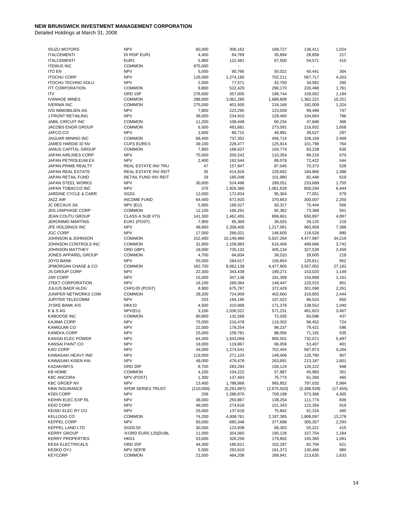| <b>ISUZU MOTORS</b>                       | <b>NPV</b>                  | 60,000          | 306,162            | 168,727          | 136,411          | 1,024                    |
|-------------------------------------------|-----------------------------|-----------------|--------------------|------------------|------------------|--------------------------|
| <b>ITALCEMENTI</b>                        | DI RISP EUR1                | 4,400           | 64,769             | 35,694           | 28,858           | 217                      |
| <b>ITALCEMENTI</b>                        | EUR1                        | 5,900           | 122,481            | 67,500           | 54,571           | 410                      |
| <b>ITEMUS INC</b>                         | <b>COMMON</b>               | 875,000         |                    |                  |                  | $\overline{\phantom{a}}$ |
| <b>ITO EN</b>                             | <b>NPV</b>                  | 5,000           | 90,766             | 50,022           | 40,441           | 304                      |
| <b>ITOCHU CORP</b>                        | <b>NPV</b>                  | 126,000         | 1,274,190          | 702,211          | 567,717          | 4,263                    |
| <b>ITOCHU TECHNO SOLU</b>                 | <b>NPV</b>                  | 2,500           | 77,571             | 42,750           | 34,562           | 260                      |
| <b>ITT CORPORATION</b>                    | <b>COMMON</b>               | 9,800           | 522,429            | 290,170          | 230,498          | 1,761                    |
| <b>ITV</b>                                | ORD 10P                     | 276,600         | 357,000            | 196,744          | 159,062          | 1,194                    |
| <b>IVANHOE MINES</b>                      | <b>COMMON</b>               | 288,800         | 3,061,280          | 1,688,808        | 1,362,221        | 10,251                   |
| <b>IVERNIA INC</b>                        | <b>COMMON</b>               | 275,000         | 401,500            | 218,166          | 182,009          | 1,324                    |
| <b>IVG IMMOBILIEN AG</b>                  | <b>NPV</b>                  | 7,800           | 223,295            | 123,059          | 99,489           | 747                      |
| J FRONT RETAILING                         | <b>NPV</b>                  | 36,000          | 234,910            | 129,460          | 104,664          | 786                      |
| JABIL CIRCUIT INC                         | <b>COMMON</b>               | 11,200          | 108,448            | 60,234           | 47,848           | 366                      |
| <b>JACOBS ENGR GROUP</b>                  | <b>COMMON</b>               | 6,500           | 491,681            | 273,091          | 216,932          | 1,658                    |
| JAFCO CO                                  | <b>NPV</b>                  | 2,600           | 88,715             | 48,891           | 39,527           | 297                      |
| JAGUAR MINING INC                         | <b>COMMON</b>               | 68,400          | 737,352            | 406,714          | 328,169          | 2,469                    |
| JAMES HARDIE ID NV<br>JANUS CAPITAL GROUP | CUFS EUR0.5                 | 39,100          | 228,477            | 125,914          | 101,798          | 764                      |
|                                           | <b>COMMON</b><br><b>NPV</b> | 7,900           | 188,637            | 104,774          | 83,228           | 636<br>670               |
| JAPAN AIRLINES CORP                       | <b>NPV</b>                  | 75,000<br>2,400 | 200,242            | 110,354          | 89,218           | 544                      |
| JAPAN PETROLEUM EX<br>JAPAN PRIME REALTY  | REAL ESTATE INV TRU         | 47              | 162,544<br>157,947 | 89,579<br>87,045 | 72,422<br>70,373 | 528                      |
| JAPAN REAL ESTATE                         | <b>REAL ESTATE INV REIT</b> | 35              | 414,916            | 228,662          | 184,866          | 1,388                    |
| JAPAN RETAIL FUND                         | RETAIL FUND INV REIT        | 29              | 185,048            | 101,980          | 82,448           | 619                      |
| JAPAN STEEL WORKS                         | <b>NPV</b>                  | 30,000          | 524,496            | 289,051          | 233,689          | 1,755                    |
| JAPAN TOBACCO INC                         | <b>NPV</b>                  | 376             | 1,926,366          | 1,061,628        | 858,294          | 6,444                    |
| <b>JARDINE CYCLE &amp; CARR</b>           | SGD1                        | 12,000          | 172,934            | 95,304           | 77,051           | 579                      |
| <b>JAZZ AIR</b>                           | <b>INCOME FUND</b>          | 84,400          | 672,920            | 370,663          | 300,007          | 2,250                    |
| <b>JC DECAUX SA</b>                       | NPV (EU)                    | 5,600           | 169,327            | 93,317           | 75,444           | 566                      |
| <b>JDS UNIPHASE CORP</b>                  | <b>COMMON</b>               | 12,100          | 166,291            | 92,362           | 73,368           | 561                      |
| <b>JEAN COUTU GROUP</b>                   | CLASS A SUB VTG             | 141,300         | 1,462,455          | 806,661          | 650,897          | 4,897                    |
| <b>JERONIMO MARTINS</b>                   | EUR1 (POST)                 | 7,900           | 65,369             | 36,025           | 29,125           | 219                      |
| JFE HOLDINGS INC                          | <b>NPV</b>                  | 48.800          | 2,208,406          | 1,217,061        | 983,958          | 7,388                    |
| <b>JGC CORP</b>                           | <b>NPV</b>                  | 17,000          | 266,021            | 146,605          | 118,526          | 890                      |
| JOHNSON & JOHNSON                         | <b>COMMON</b>               | 152,400         | 10,149,480         | 5,637,264        | 4,477,997        | 34,219                   |
| JOHNSON CONTROLS INC                      | <b>COMMON</b>               | 31,900          | 1,109,883          | 616,456          | 489,686          | 3,742                    |
| <b>JOHNSON MATTHEY</b>                    | ORD GBP1                    | 18,000          | 735,132            | 405,134          | 327,539          | 2,459                    |
| JONES APPAREL GROUP                       | COMMON                      | 4,700           | 64,834             | 36,010           | 28,605           | 219                      |
| <b>JOYO BANK</b>                          | <b>NPV</b>                  | 55,000          | 284,617            | 156,854          | 126,811          | 952                      |
| <b>JPMORGAN CHASE &amp; CO</b>            | <b>COMMON</b>               | 182,700         | 8,062,139          | 4,477,905        | 3,557,052        | 27,182                   |
| <b>JS GROUP CORP</b>                      | <b>NPV</b>                  | 22,300          | 343,439            | 189,271          | 153,020          | 1,149                    |
| <b>JSR CORP</b>                           | <b>NPV</b>                  | 15,000          | 347,138            | 191,309          | 154,668          | 1,161                    |
| <b>JTEKT CORPORATION</b>                  | <b>NPV</b>                  | 16,100          | 269,364            | 148,447          | 120,015          | 901                      |
| <b>JULIUS BAER HLDG</b>                   | CHF0.05 (POST)              | 8,900           | 675,787            | 372,429          | 301,098          | 2,261                    |
| JUNIPER NETWORKS COM                      | <b>COMMON</b>               | 28,200          | 724,959            | 402,660          | 319,855          | 2,444                    |
| JUPITER TELECOMM                          | <b>NPV</b>                  | 203             | 194,195            | 107,022          | 86,524           | 650                      |
| <b>JYSKE BANK A/S</b>                     | DKK10                       | 4,500           | 310,968            | 171,376          | 138,552          | 1,040                    |
| K & S AG                                  | NPV(EU)                     | 3,100           | 1,036,522          | 571,231          | 461,823          | 3,467                    |
| <b>KABOOSE INC</b>                        | <b>COMMON</b>               | 90,800          | 132,568            | 72,035           | 60,096           | 437                      |
| KAJIMA CORP                               | <b>NPV</b>                  | 75,000          | 216,478            | 119,302          | 96,452           | 724                      |
| KAMIGUMI CO                               | <b>NPV</b>                  | 22,000          | 178,254            | 98,237           | 79,421           | 596                      |
| <b>KANEKA CORP</b>                        | <b>NPV</b>                  | 25,000          | 159,781            | 88,056           | 71,191           | 535                      |
| KANSAI ELEC POWER                         | <b>NPV</b>                  | 64,400          | 1,643,069          | 905,501          | 732,071          | 5,497                    |
| KANSAI PAINT CO                           | <b>NPV</b>                  | 18,000          | 119,867            | 66,059           | 53,407           | 401                      |
| KAO CORP                                  | <b>NPV</b>                  | 44,000          | 1,274,541          | 702,404          | 567,873          | 4,264                    |
| KAWASAKI HEAVY IND                        | <b>NPV</b>                  | 119,000         | 271,103            | 149,406          | 120,790          | 907                      |
| KAWASAKI KISEN KAI                        | <b>NPV</b>                  | 48,000          | 478,478            | 263,691          | 213,187          | 1,601                    |
| <b>KAZAKHMYS</b>                          | ORD 20P                     | 8,700           | 283,293            | 156,124          | 126,222          | 948                      |
| <b>KB HOME</b>                            | <b>COMMON</b>               | 4,100           | 104,222            | 57,887           | 45,983           | 351                      |
| <b>KBC ANCORA</b>                         | NPV (POST)                  | 1,300           | 137,493            | 75,773           | 61,260           | 460                      |
| <b>KBC GROEP NV</b>                       | <b>NPV</b>                  | 13,400          | 1,788,868          | 985,852          | 797,032          | 5,984                    |
| <b>KBW INSURANCE</b>                      | SPDR SERIES TRUST           | (110,000)       | (5, 291, 897)      | (2,875,503)      | (2,398,939)      | (17, 455)                |
| <b>KDDI CORP</b>                          | <b>NPV</b>                  | 206             | 1,286,870          | 709,199          | 573,366          | 4,305                    |
| KEIHIN ELEC EXP RL                        | <b>NPV</b>                  | 36,000          | 250,867            | 138,254          | 111,774          | 839                      |
| <b>KEIO CORP</b>                          | <b>NPV</b>                  | 48,000          | 274,618            | 151,343          | 122,356          | 919                      |
| KEISEI ELEC RY CO                         | <b>NPV</b>                  | 25,000          | 137,618            | 75,842           | 61,316           | 460                      |
| KELLOGG CO                                | <b>COMMON</b>               | 74,200          | 4,008,761          | 2,187,385        | 1,808,097        | 13,278                   |
| <b>KEPPEL CORP</b>                        | <b>NPV</b>                  | 93,000          | 685,348            | 377,698          | 305,357          | 2,293                    |
| <b>KEPPEL LAND LTD</b>                    | SGD0.50                     | 30,000          | 123,939            | 68,303           | 55,221           | 415                      |
| <b>KERRY GROUP</b>                        | 'A'ORD EUR0.125(DUBL        | 11,000          | 354,065            | 195,126          | 157,754          | 1,184                    |
| <b>KERRY PROPERTIES</b>                   | HKD1                        | 53,000          | 326,259            | 179,802          | 145,365          | 1,091                    |
| <b>KESA ELECTRICALS</b>                   | ORD 25P                     | 44,300          | 185,621            | 102,297          | 82,704           | 621                      |
| <b>KESKO OYJ</b>                          | NPV SER'B'                  | 5,500           | 292,819            | 161,373          | 130,466          | 980                      |
| <b>KEYCORP</b>                            | <b>COMMON</b>               | 21,500          | 484,208            | 268,941          | 213,635          | 1,633                    |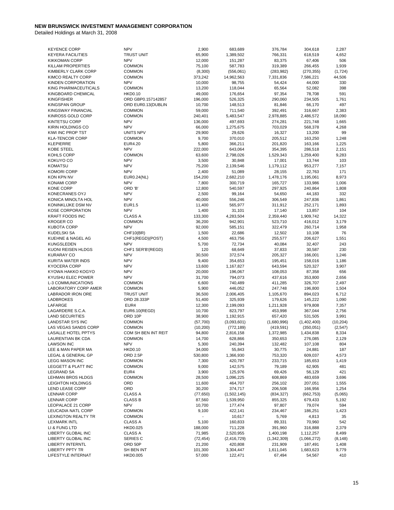| <b>KEYENCE CORP</b>       | <b>NPV</b>          | 2,900     | 683,689       | 376,784     | 304,618     | 2,287     |
|---------------------------|---------------------|-----------|---------------|-------------|-------------|-----------|
| <b>KEYERA FACILITIES</b>  | <b>TRUST UNIT</b>   | 65,900    | 1,389,502     | 766,331     | 618,519     | 4,652     |
|                           | <b>NPV</b>          |           |               |             |             |           |
| <b>KIKKOMAN CORP</b>      |                     | 12,000    | 151,287       | 83,375      | 67,406      | 506       |
| <b>KILLAM PROPERTIES</b>  | <b>COMMON</b>       | 75,100    | 587,783       | 319,389     | 266,455     | 1,939     |
| KIMBERLY CLARK CORP       | <b>COMMON</b>       | (8,300)   | (556,061)     | (283, 982)  | (270, 355)  | (1, 724)  |
| KIMCO REALTY CORP         | <b>COMMON</b>       | 373,242   | 14,962,563    | 7,331,836   | 7,586,221   | 44,506    |
| KINDEN CORPORATION        | <b>NPV</b>          | 10,000    | 98,755        | 54,424      | 44,000      | 330       |
| KING PHARMACEUTICALS      | <b>COMMON</b>       | 13,200    | 118,044       | 65,564      | 52,082      | 398       |
| KINGBOARD CHEMICAL        | <b>HKD0.10</b>      | 49,000    | 176,654       | 97,354      | 78,708      | 591       |
| <b>KINGFISHER</b>         |                     |           |               |             |             |           |
|                           | ORD GBP0.157142857  | 196,000   | 526,325       | 290,060     | 234,505     | 1,761     |
| <b>KINGSPAN GROUP</b>     | ORD EUR0.13(DUBLIN  | 10,700    | 148,513       | 81,846      | 66,170      | 497       |
| <b>KINGSWAY FINANCIAL</b> | <b>COMMON</b>       | 59,000    | 711,540       | 392,491     | 316,667     | 2,383     |
| KINROSS GOLD CORP         | <b>COMMON</b>       | 240,401   | 5,483,547     | 2,978,885   | 2,486,572   | 18,090    |
| <b>KINTETSU CORP</b>      | <b>NPV</b>          | 136,000   | 497,693       | 274,281     | 221,748     | 1,665     |
| KIRIN HOLDINGS CO         | <b>NPV</b>          | 66,000    | 1,275,675     | 703,029     | 568,378     | 4,268     |
| KIWI INC PROP TST         | UNITS NPV           | 29,900    | 29,626        | 16,327      | 13,200      | 99        |
| <b>KLA-TENCOR CORP</b>    | <b>COMMON</b>       | 9,700     | 370,010       | 205,512     | 163,250     | 1,248     |
|                           |                     |           |               |             |             |           |
| <b>KLEPIERRE</b>          | EUR4.20             | 5,800     | 366,211       | 201,820     | 163,166     | 1,225     |
| KOBE STEEL                | <b>NPV</b>          | 222,000   | 643,064       | 354,395     | 286,518     | 2,151     |
| KOHLS CORP                | <b>COMMON</b>       | 63,600    | 2,798,026     | 1,529,343   | 1,259,400   | 9,283     |
| KOKUYO CO                 | <b>NPV</b>          | 3,500     | 30,848        | 17,001      | 13,744      | 103       |
| <b>KOMATSU</b>            | <b>NPV</b>          | 75,200    | 2,139,546     | 1,179,112   | 953,277     | 7,157     |
| <b>KOMORI CORP</b>        | <b>NPV</b>          | 2,400     | 51,089        | 28,155      | 22,763      | 171       |
| KON KPN NV                | EUR0.24(NL)         | 154,200   | 2,682,210     | 1,478,176   | 1,195,061   | 8,973     |
| <b>KONAMI CORP</b>        | <b>NPV</b>          |           |               |             |             |           |
|                           |                     | 7,800     | 300,719       | 165,727     | 133,986     | 1,006     |
| <b>KONE CORP</b>          | ORD 'B'             | 12,800    | 540,597       | 297,925     | 240,864     | 1,808     |
| KONECRANES OYJ            | <b>NPV</b>          | 2,500     | 99,164        | 54,650      | 44,183      | 332       |
| KONICA MINOLTA HOL        | <b>NPV</b>          | 40,000    | 556,246       | 306,549     | 247,836     | 1,861     |
| KONINKLIJKE DSM NV        | EUR1.5              | 11,400    | 565,977       | 311,912     | 252,171     | 1,893     |
| <b>KOSE CORPORATION</b>   | <b>NPV</b>          | 1,400     | 31,101        | 17,140      | 13,857      | 104       |
| <b>KRAFT FOODS INC</b>    | <b>CLASS A</b>      | 133,300   | 4,283,504     | 2,359,440   | 1,909,742   | 14,322    |
|                           |                     |           |               |             |             |           |
| <b>KROGER CO</b>          | <b>COMMON</b>       | 36,200    | 942,901       | 523,710     | 416,012     | 3,179     |
| <b>KUBOTA CORP</b>        | <b>NPV</b>          | 92,000    | 585,151       | 322,479     | 260,714     | 1,958     |
| KUDELSKI SA               | CHF10(BR)           | 1,500     | 22,686        | 12,502      | 10,108      | 76        |
| KUEHNE & NAGEL AG         | CHF1(REGD)(POST)    | 4,500     | 463,756       | 255,577     | 206,627     | 1,551     |
| KUNGSLEDEN                | <b>NPV</b>          | 5,700     | 72,734        | 40,084      | 32,407      | 243       |
| KUONI REISEN HLDGS        | CHF1 SER'B'(REGD)   | 120       | 68,649        | 37,833      | 30,587      | 230       |
| <b>KURARAY CO</b>         | <b>NPV</b>          | 30,500    | 372,574       | 205,327     | 166,001     | 1,246     |
| KURITA WATER INDS         | <b>NPV</b>          | 9,400     | 354,653       | 195,451     | 158,016     | 1,186     |
|                           |                     |           |               |             |             |           |
| <b>KYOCERA CORP</b>       | <b>NPV</b>          | 13,600    | 1,167,827     | 643,594     | 520,327     | 3,907     |
| KYOWA HAKKO KOGYO         | <b>NPV</b>          | 20,000    | 196,067       | 108,053     | 87,358      | 656       |
| KYUSHU ELEC POWER         | <b>NPV</b>          | 31,700    | 794,073       | 437,616     | 353,800     | 2,656     |
| <b>L-3 COMMUNICATIONS</b> | <b>COMMON</b>       | 6,600     | 740,489       | 411,285     | 326,707     | 2,497     |
| LABORATORY CORP AMER      | <b>COMMON</b>       | 5,900     | 446,052       | 247,748     | 196,800     | 1,504     |
| LABRADOR IRON ORE         | <b>TRUST UNIT</b>   | 36,500    | 2,006,405     | 1,105,670   | 894,023     | 6,712     |
| <b>LADBROKES</b>          | ORD 28.333P         |           | 325,939       | 179,626     | 145,222     |           |
|                           |                     | 51,400    |               |             |             | 1,090     |
| LAFARGE                   | EUR4                | 12,300    | 2,199,093     | 1,211,928   | 979,808     | 7,357     |
| LAGARDERE S.C.A.          | EUR6.10(REGD)       | 10,700    | 823,797       | 453,998     | 367,044     | 2,756     |
| <b>LAND SECURITIES</b>    | ORD 10P             | 38,900    | 1,192,915     | 657,420     | 531,505     | 3,991     |
| <b>LANDSTAR SYS INC</b>   | <b>COMMON</b>       | (57, 700) | (3,093,601)   | (1,680,996) | (1,402,400) | (10, 204) |
| LAS VEGAS SANDS CORP      | <b>COMMON</b>       | (10, 200) | (772, 189)    | (419, 591)  | (350, 051)  | (2, 547)  |
| LASALLE HOTEL PPTYS       | COM SH BEN INT REIT | 94,800    | 2,816,158     | 1,372,985   | 1,434,838   | 8,334     |
| <b>LAURENTIAN BK CDA</b>  | <b>COMMON</b>       | 14,700    | 628,866       | 350,653     | 276,085     | 2,129     |
|                           |                     |           |               |             |             |           |
| <b>LAWSON INC</b>         | <b>NPV</b>          | 5,300     | 240,394       | 132,482     | 107,108     | 804       |
| LEE & MAN PAPER MA        | <b>HKD0.10</b>      | 34,000    | 55,843        | 30,775      | 24,881      | 187       |
| LEGAL & GENERAL GP        | ORD 2.5P            | 530,800   | 1,366,930     | 753,320     | 609,037     | 4,573     |
| LEGG MASON INC            | <b>COMMON</b>       | 7,300     | 420,787       | 233,715     | 185,653     | 1,419     |
| LEGGETT & PLATT INC       | <b>COMMON</b>       | 9,000     | 142,575       | 79,189      | 62,905      | 481       |
| <b>LEGRAND SA</b>         | EUR4                | 3,900     | 125,976       | 69,426      | 56,129      | 421       |
|                           |                     |           |               |             |             |           |
| LEHMAN BROS HLDGS         | <b>COMMON</b>       | 28,500    | 1,096,225     | 608,869     | 483,659     | 3,696     |
| <b>LEIGHTON HOLDINGS</b>  | ORD                 | 11,600    | 464,707       | 256,102     | 207,051     | 1,555     |
| <b>LEND LEASE CORP</b>    | ORD                 | 30,200    | 374,717       | 206,508     | 166,956     | 1,254     |
| <b>LENNAR CORP</b>        | <b>CLASS A</b>      | (77, 650) | (1,502,145)   | (834, 327)  | (662, 753)  | (5,065)   |
| <b>LENNAR CORP</b>        | <b>CLASS B</b>      | 87,560    | 1,539,950     | 855,325     | 679,433     | 5,192     |
| LEOPALACE 21 CORP         | <b>NPV</b>          | 10,700    | 177,474       | 97,807      | 79,074      | 594       |
| LEUCADIA NATL CORP        | <b>COMMON</b>       | 9,100     | 422,141       | 234,467     | 186,251     | 1,423     |
| LEXINGTON REALTY TR       | <b>COMMON</b>       |           |               |             | 4,813       | 35        |
|                           |                     |           | 10,617        | 5,769       |             |           |
| <b>LEXMARK INTL</b>       | <b>CLASS A</b>      | 5,100     | 160,833       | 89,331      | 70,960      | 542       |
| LI & FUNG LTD             | <b>HKD0.025</b>     | 188,000   | 711,228       | 391,960     | 316,888     | 2,379     |
| LIBERTY GLOBAL INC        | <b>CLASS A</b>      | 71,985    | 2,520,955     | 1,400,198   | 1,112,257   | 8,499     |
| LIBERTY GLOBAL INC        | <b>SERIES C</b>     | (72, 454) | (2, 416, 729) | (1,342,309) | (1,066,272) | (8, 148)  |
| <b>LIBERTY INTERNTL</b>   | ORD 50P             | 21,200    | 420,808       | 231,909     | 187,491     | 1,408     |
| <b>LIBERTY PPTY TR</b>    | SH BEN INT          | 101,300   | 3,304,447     | 1,611,045   | 1,683,623   | 9,779     |
| LIFESTYLE INTERNAT        | <b>HKD0.005</b>     | 57,000    | 122,471       | 67,494      | 54,567      | 410       |
|                           |                     |           |               |             |             |           |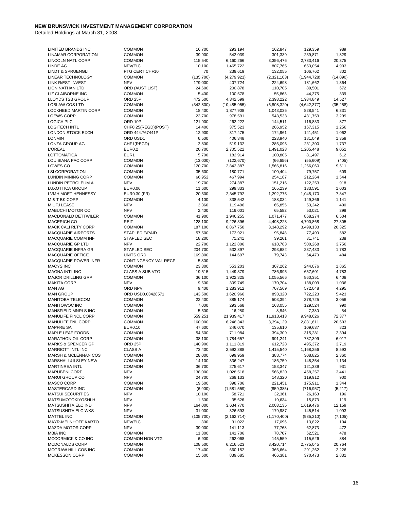| <b>LIMITED BRANDS INC</b>     | <b>COMMON</b>        | 16,700     | 293,194        | 162,847       | 129,359     | 989          |
|-------------------------------|----------------------|------------|----------------|---------------|-------------|--------------|
| <b>LINAMAR CORPORATION</b>    | <b>COMMON</b>        | 39,900     | 543,039        | 301,339       | 239,871     | 1,829        |
|                               |                      |            |                |               |             |              |
| <b>LINCOLN NATL CORP</b>      | <b>COMMON</b>        | 115,540    | 6,160,266      | 3,356,476     | 2,783,416   | 20,375       |
| <b>LINDE AG</b>               | NPV(EU)              | 10,100     | 1,465,722      | 807,765       | 653,054     | 4,903        |
| <b>LINDT &amp; SPRUENGLI</b>  | PTG CERT CHF10       | 70         | 239,619        | 132,055       | 106,762     | 802          |
| LINEAR TECHNOLOGY             | <b>COMMON</b>        | (135,700)  | (4,279,921)    | (2,321,103)   | (1,944,728) | (14,090)     |
| <b>LINK R/EST INVEST</b>      | <b>NPV</b>           | 179,000    | 407,724        | 224,698       | 181,662     | 1,364        |
| <b>LION NATHAN LTD</b>        | ORD (AUST LIST)      | 24,600     | 200,878        | 110,705       | 89,501      | 672          |
|                               |                      |            |                |               |             |              |
| LIZ CLAIBORNE INC             | <b>COMMON</b>        | 5,400      | 100,578        | 55,863        | 44,375      | 339          |
| <b>LLOYDS TSB GROUP</b>       | ORD <sub>25P</sub>   | 472,500    | 4,342,599      | 2,393,222     | 1,934,849   | 14,527       |
| <b>LOBLAW COS LTD</b>         | <b>COMMON</b>        | (342, 800) | (10, 485, 955) | (5,808,320)   | (4,642,377) | (35, 258)    |
| LOCKHEED MARTIN CORP          | <b>COMMON</b>        | 18,400     | 1,877,908      | 1,043,035     | 828,541     | 6,331        |
| <b>LOEWS CORP</b>             | <b>COMMON</b>        | 23,700     | 978,591        | 543,533       | 431,759     | 3,299        |
| <b>LOGICA PLC</b>             | ORD 10P              | 121,900    | 262,222        | 144,511       | 116,833     | 877          |
|                               |                      |            |                |               |             |              |
| <b>LOGITECH INTL</b>          | CHF0.25(REGD)(POST)  | 14,400     | 375,523        | 206,952       | 167,315     | 1,256        |
| LONDON STOCK EXCH             | ORD 444.767441P      | 12,900     | 317,475        | 174,961       | 141,451     | 1,062        |
| <b>LONMIN</b>                 | ORD USD1             | 6,500      | 406,348        | 223,940       | 181,049     | 1,359        |
| LONZA GROUP AG                | CHF1(REGD)           | 3,800      | 519,132        | 286,096       | 231,300     | 1,737        |
| <b>L'OREAL</b>                | <b>EUR0.2</b>        | 20,700     | 2,705,522      | 1,491,023     | 1,205,448   | 9,051        |
| LOTTOMATICA                   | EUR1                 | 5,700      | 182,914        | 100,805       | 81,497      | 612          |
|                               |                      |            |                |               |             |              |
| LOUISIANA PAC CORP            | <b>COMMON</b>        | (13,000)   | (122, 670)     | (66, 656)     | (55,609)    | (405)        |
| LOWES CO                      | <b>COMMON</b>        | 120,700    | 2,842,387      | 1,566,816     | 1,266,060   | 9,511        |
| <b>LSI CORPORATION</b>        | <b>COMMON</b>        | 35,600     | 180,771        | 100,404       | 79,757      | 609          |
| LUNDIN MINING CORP            | <b>COMMON</b>        | 66,952     | 467,994        | 254,187       | 212,264     | 1,544        |
| LUNDIN PETROLEUM A            | <b>NPV</b>           | 19,700     | 274,387        | 151,216       | 122,253     | 918          |
| <b>LUXOTTICA GROUP</b>        | <b>EUR0.06</b>       |            |                | 165,239       |             | 1,003        |
|                               |                      | 11,600     | 299,833        |               | 133,591     |              |
| LVMH MOET HENNESSY            | EUR0.30 (FR)         | 20,500     | 2,345,792      | 1,292,775     | 1,045,170   | 7,847        |
| M & T BK CORP                 | <b>COMMON</b>        | 4,100      | 338,542        | 188,034       | 149,366     | 1,141        |
| M UFJ LEASE                   | <b>NPV</b>           | 3,360      | 119,496        | 65,855        | 53,242      | 400          |
| <b>MABUCHI MOTOR CO</b>       | <b>NPV</b>           | 2,400      | 119,001        | 65,582        | 53,021      | 398          |
| <b>MACDONALD DETTWILER</b>    | <b>COMMON</b>        | 41,900     | 1,946,255      | 1,071,477     | 868,274     | 6,504        |
| <b>MACERICH CO</b>            | <b>REIT</b>          |            |                |               |             |              |
|                               |                      | 128,100    | 9,226,396      | 4,498,223     | 4,700,868   | 27,305       |
| <b>MACK CALI RLTY CORP</b>    | <b>COMMON</b>        | 187,100    | 6,867,750      | 3,348,292     | 3,499,133   | 20,325       |
| <b>MACQUARIE AIRPORTS</b>     | STAPLED F/PAID       | 57,500     | 173,921        | 95,848        | 77,490      | 582          |
| MACQUARIE COMM INF            | <b>STAPLED SEC</b>   | 18,200     | 71,241         | 39,261        | 31,741      | 238          |
| <b>MACQUARIE GP LTD</b>       | <b>NPV</b>           | 22,700     | 1,122,806      | 618,783       | 500,268     | 3,756        |
| <b>MACQUARIE INFRA GR</b>     | <b>STAPLED SEC</b>   | 204,700    | 532,897        | 293,682       | 237,433     | 1,783        |
|                               | UNITS ORD            |            |                |               |             | 484          |
| MACQUARIE OFFICE              |                      | 169,800    | 144,697        | 79,743        | 64,470      |              |
| <b>MACQUARIE POWER INFR</b>   | CONTINGENCY VAL RECP | 5,800      |                |               |             | $\mathbf{r}$ |
| <b>MACYS INC</b>              | <b>COMMON</b>        | 23,300     | 553,203        | 307,262       | 244,076     | 1,865        |
| <b>MAGNA INTL INC</b>         | CLASS A SUB VTG      | 19,515     | 1,449,379      | 786,995       | 657,601     | 4,783        |
| <b>MAJOR DRILLING GRP</b>     | <b>COMMON</b>        | 36,100     | 1,922,325      | 1,055,566     | 860,351     | 6,408        |
| <b>MAKITA CORP</b>            | <b>NPV</b>           | 9,600      | 309,749        | 170,704       | 138,009     | 1,036        |
| <b>MAN AG</b>                 | ORD NPV              |            |                |               | 572,048     | 4,295        |
|                               |                      | 9,400      | 1,283,912      | 707,569       |             |              |
| <b>MAN GROUP</b>              | ORD USD0.03428571    | 143,500    | 1,620,966      | 893,320       | 722,223     | 5,423        |
| <b>MANITOBA TELECOM</b>       | <b>COMMON</b>        | 22,400     | 885,174        | 503,394       | 378,725     | 3,056        |
| <b>MANITOWOC INC</b>          | <b>COMMON</b>        | 7,000      | 293,568        | 163,055       | 129,524     | 990          |
| MANSFIELD MNRLS INC           | <b>COMMON</b>        | 5,500      | 16,280         | 8,846         | 7,380       | 54           |
| MANULIFE FINCL CORP           | <b>COMMON</b>        | 559,251    | 21,939,417     | 11,918,413    | 9,948,626   | 72,377       |
| MANULIFE FNL CORP             | <b>COMMON</b>        | 160,000    | 6,246,343      | 3,394,129     | 2,831,611   | 20,603       |
|                               |                      |            |                |               |             |              |
| <b>MAPFRE SA</b>              | EUR0.10              | 47,600     | 246,070        | 135,610       | 109,637     | 823          |
| MAPLE LEAF FOODS              | <b>COMMON</b>        | 54,600     | 711,984        | 394,309       | 315,281     | 2,394        |
| MARATHON OIL CORP             | <b>COMMON</b>        | 38,100     | 1,784,657      | 991,241       | 787,399     | 6,017        |
| <b>MARKS &amp; SPENCER GP</b> | ORD <sub>25P</sub>   | 140,900    | 1,111,819      | 612,728       | 495,372     | 3,719        |
| <b>MARRIOTT INTL INC</b>      | <b>CLASS A</b>       | 73,400     | 2,592,388      | 1,415,540     | 1,168,256   | 8,593        |
| MARSH & MCLENNAN COS          | <b>COMMON</b>        | 28,000     | 699,959        | 388,774       | 308,825     | 2,360        |
|                               |                      |            |                |               |             |              |
| MARSHALL&ILSLEY NEW           | <b>COMMON</b>        | 14,100     | 336,247        | 186,759       | 148,354     | 1,134        |
| <b>MARTINREA INTL</b>         | <b>COMMON</b>        | 36,700     | 275,617        | 153,347       | 121,339     | 931          |
| <b>MARUBENI CORP</b>          | <b>NPV</b>           | 138,000    | 1,028,518      | 566,820       | 458,257     | 3,441        |
| MARUI GROUP CO                | <b>NPV</b>           | 24,700     | 269,133        | 148,320       | 119,912     | 900          |
| MASCO CORP                    | <b>COMMON</b>        | 19,600     | 398,706        | 221,451       | 175,911     | 1,344        |
| MASTERCARD INC                | <b>COMMON</b>        | (6,900)    | (1,581,559)    | (859, 385)    | (716, 957)  | (5, 217)     |
|                               |                      |            |                |               |             |              |
| <b>MATSUI SECURITIES</b>      | <b>NPV</b>           | 10,100     | 58,721         | 32,361        | 26,163      | 196          |
| MATSUMOTOKIYOSHI H            | <b>NPV</b>           | 1,600      | 35,626         | 19,634        | 15,873      | 119          |
| <b>MATSUSHITA ELC IND</b>     | <b>NPV</b>           | 164,000    | 3,634,770      | 2,003,135     | 1,619,476   | 12,159       |
| <b>MATSUSHITA ELC WKS</b>     | <b>NPV</b>           | 31,000     | 326,593        | 179,987       | 145,514     | 1,093        |
| MATTEL INC                    | <b>COMMON</b>        | (105, 700) | (2, 162, 714)  | (1, 170, 400) | (985, 210)  | (7, 105)     |
| MAYR-MELNHOFF KARTO           | NPV(EU)              | 300        | 31,022         | 17,096        | 13,822      | 104          |
|                               |                      |            |                |               |             |              |
| MAZDA MOTOR CORP              | <b>NPV</b>           | 39,000     | 141,113        | 77,768        | 62,873      | 472          |
| <b>MBIA INC</b>               | <b>COMMON</b>        | 11,300     | 141,706        | 78,707        | 62,521      | 478          |
| MCCORMICK & CO INC            | COMMON NON VTG       | 6,900      | 262,068        | 145,559       | 115,626     | 884          |
| MCDONALDS CORP                | <b>COMMON</b>        | 108,500    | 6,216,523      | 3,420,714     | 2,775,045   | 20,764       |
| MCGRAW HILL COS INC           | <b>COMMON</b>        | 17,400     | 660,152        | 366,664       | 291,262     | 2,226        |
| <b>MCKESSON CORP</b>          | <b>COMMON</b>        | 15,600     | 839,685        | 466,381       | 370,473     | 2,831        |
|                               |                      |            |                |               |             |              |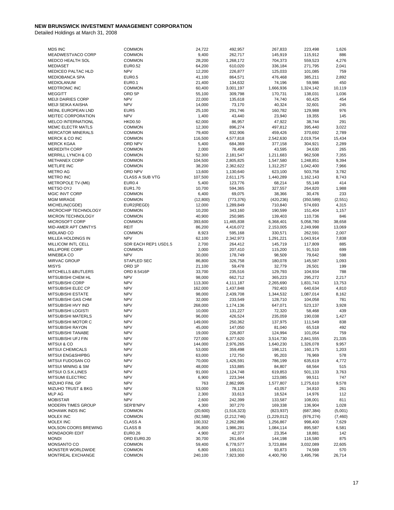| <b>MDS INC</b>                | <b>COMMON</b>          | 24,722    | 492,957       | 267,833     | 223,498    | 1,626    |
|-------------------------------|------------------------|-----------|---------------|-------------|------------|----------|
| MEADWESTVACO CORP             | <b>COMMON</b>          | 9,400     | 262,717       | 145,919     | 115,912    | 886      |
| MEDCO HEALTH SOL              | <b>COMMON</b>          | 28,200    | 1,268,172     | 704,373     | 559,523    | 4,276    |
| <b>MEDIASET</b>               | <b>EUR0.52</b>         | 64,200    | 610,020       | 336,184     | 271,795    | 2,041    |
| MEDICEO PALTAC HLD            | <b>NPV</b>             | 12,200    | 226,877       | 125,033     | 101,085    | 759      |
| <b>MEDIOBANCA SPA</b>         | <b>EUR0.5</b>          | 41,100    | 864,571       | 476,468     | 385,211    | 2,892    |
|                               |                        |           |               |             | 59,986     | 450      |
| MEDIOLANUM                    | <b>EUR0.1</b>          | 21,400    | 134,632       | 74,196      |            |          |
| MEDTRONIC INC                 | <b>COMMON</b>          | 60,400    | 3,001,197     | 1,666,936   | 1,324,142  | 10,119   |
| <b>MEGGITT</b>                | ORD 5P                 | 55,100    | 309,798       | 170,731     | 138,031    | 1,036    |
| <b>MEIJI DAIRIES CORP</b>     | <b>NPV</b>             | 22,000    | 135,618       | 74,740      | 60,425     | 454      |
| MEIJI SEIKA KAISHA            | <b>NPV</b>             | 14,000    | 73,170        | 40,324      | 32,601     | 245      |
| MEINL EUROPEAN LND            | EUR <sub>5</sub>       | 25,100    | 291,746       | 160,782     | 129,988    | 976      |
| MEITEC CORPORATION            | <b>NPV</b>             | 1,400     | 43,440        | 23,940      | 19,355     | 145      |
|                               |                        |           |               |             |            |          |
| MELCO INTERNATIONL            | <b>HKD0.50</b>         | 62,000    | 86,957        | 47,922      | 38,744     | 291      |
| <b>MEMC ELECTR MATLS</b>      | <b>COMMON</b>          | 12,300    | 896,274       | 497,812     | 395,440    | 3,022    |
| <b>MERCATOR MINERALS</b>      | <b>COMMON</b>          | 79,400    | 832,906       | 459,426     | 370,692    | 2,789    |
| <b>MERCK &amp; CO INC</b>     | <b>COMMON</b>          | 116,500   | 4,577,818     | 2,542,630   | 2,019,754  | 15,434   |
| <b>MERCK KGAA</b>             | ORD NPV                | 5,400     | 684,369       | 377,158     | 304,921    | 2,289    |
| <b>MEREDITH CORP</b>          | <b>COMMON</b>          | 2,000     | 78,490        | 43,595      | 34,630     | 265      |
| MERRILL LYNCH & CO            | <b>COMMON</b>          | 52,300    | 2,181,547     | 1,211,683   | 962,508    | 7,355    |
|                               |                        |           |               |             |            |          |
| <b>METHANEX CORP</b>          | <b>COMMON</b>          | 104,500   | 2,805,825     | 1,547,580   | 1,248,851  | 9,394    |
| <b>METLIFE INC</b>            | <b>COMMON</b>          | 38,200    | 2,362,622     | 1,312,257   | 1,042,400  | 7,966    |
| <b>METRO AG</b>               | ORD NPV                | 13,600    | 1,130,640     | 623,100     | 503,758    | 3,782    |
| <b>METRO INC</b>              | <b>CLASS A SUB VTG</b> | 107,500   | 2,611,175     | 1,440,289   | 1,162,143  | 8,743    |
| METROPOLE TV-(M6)             | EUR0.4                 | 5,400     | 123,776       | 68,214      | 55,149     | 414      |
| METSO OYJ                     | EUR1.70                | 10,700    | 594,365       | 327,557     | 264,820    | 1,988    |
|                               |                        |           |               |             |            |          |
| <b>MGIC INVT CORP</b>         | <b>COMMON</b>          | 6,400     | 69,075        | 38,366      | 30,476     | 233      |
| <b>MGM MIRAGE</b>             | <b>COMMON</b>          | (12,800)  | (773, 376)    | (420, 236)  | (350, 589) | (2, 551) |
| MICHELIN(CGDE)                | EUR2(REGD)             | 12,000    | 1,289,849     | 710,840     | 574,693    | 4,315    |
| MICROCHIP TECHNOLOGY          | <b>COMMON</b>          | 10,200    | 343,160       | 190,599     | 151,404    | 1,157    |
| <b>MICRON TECHNOLOGY</b>      | <b>COMMON</b>          | 40,900    | 250,985       | 139,403     | 110,736    | 846      |
| MICROSOFT CORP                | <b>COMMON</b>          | 393,600   | 11,465,838    | 6,368,401   | 5,058,780  | 38,658   |
|                               | <b>REIT</b>            |           |               |             |            |          |
| MID-AMER APT CMNTYS           |                        | 86,200    | 4,416,072     | 2,153,005   | 2,249,998  | 13,069   |
| MIDLAND CO                    | <b>COMMON</b>          | 8,923     | 595,168       | 330,571     | 262,591    | 2,007    |
| MILLEA HOLDINGS IN            | <b>NPV</b>             | 62,100    | 2,342,973     | 1,291,221   | 1,043,914  | 7,838    |
| MILLICOM INTL CELL            | SDR EACH REP1 USD1.5   | 2,700     | 264,412       | 145,719     | 117,809    | 885      |
| <b>MILLIPORE CORP</b>         | <b>COMMON</b>          | 3,000     | 207,410       | 115,200     | 91,510     | 699      |
| MINEBEA CO                    | <b>NPV</b>             | 30,000    | 178,749       | 98,509      | 79,642     | 598      |
| <b>MIRVAC GROUP</b>           | STAPLED SEC            | 86,800    | 326,758       | 180,078     | 145,587    | 1,093    |
|                               |                        |           |               |             |            |          |
| <b>MISYS</b>                  | ORD <sub>1P</sub>      | 21,100    | 59,478        | 32,779      | 26,501     | 199      |
| MITCHELLS &BUTLERS            | ORD 8.5416P            | 33,700    | 235,516       | 129,793     | 104,934    | 788      |
| MITSUBISHI CHEM HL            | <b>NPV</b>             | 98,000    | 662,712       | 365,223     | 295,272    | 2,217    |
| MITSUBISHI CORP               | <b>NPV</b>             | 113,300   | 4,111,187     | 2,265,690   | 1,831,743  | 13,753   |
| MITSUBISHI ELEC CP            | <b>NPV</b>             | 162,000   | 1,437,848     | 792,403     | 640,634    | 4,810    |
| <b>MITSUBISHI ESTATE</b>      | <b>NPV</b>             | 98,000    | 2,439,708     | 1,344,532   | 1,087,014  | 8,162    |
| MITSUBISHI GAS CHM            | <b>NPV</b>             | 32,000    | 233,549       | 128,710     | 104,058    | 781      |
|                               |                        |           |               |             |            |          |
| MITSUBISHI HVY IND            | <b>NPV</b>             | 268,000   | 1,174,136     | 647,071     | 523,137    | 3,928    |
| <b>MITSUBISHI LOGISTI</b>     | <b>NPV</b>             | 10,000    | 131,227       | 72,320      | 58,468     | 439      |
| <b>MITSUBISHI MATERLS</b>     | <b>NPV</b>             | 96,000    | 426,524       | 235,059     | 190,038    | 1,427    |
| MITSUBISHI MOTOR C            | <b>NPV</b>             | 149,000   | 250,362       | 137,975     | 111,549    | 838      |
| <b>MITSUBISHI RAYON</b>       | <b>NPV</b>             | 45,000    | 147,050       | 81,040      | 65,518     | 492      |
| MITSUBISHI TANABE             | <b>NPV</b>             | 19,000    | 226,807       | 124,994     | 101,054    | 759      |
|                               | <b>NPV</b>             |           |               |             |            | 21,335   |
| MITSUBISHI UFJ FIN            |                        | 727,000   | 6,377,620     | 3,514,730   | 2,841,555  |          |
| <b>MITSUI &amp; CO</b>        | <b>NPV</b>             | 144,000   | 2,976,265     | 1,640,230   | 1,326,078  | 9,957    |
| <b>MITSUI CHEMICALS</b>       | <b>NPV</b>             | 53,000    | 359,498       | 198,121     | 160,175    | 1,203    |
| <b>MITSUI ENG&amp;SHIPBG</b>  | <b>NPV</b>             | 63,000    | 172,750       | 95,203      | 76,969     | 578      |
| MITSUI FUDOSAN CO             | <b>NPV</b>             | 70,000    | 1,426,591     | 786,199     | 635,619    | 4,772    |
| <b>MITSUI MINING &amp; SM</b> | <b>NPV</b>             | 48,000    | 153,885       | 84,807      | 68,564     | 515      |
| MITSUI O.S.K.LINES            | <b>NPV</b>             | 91,000    |               | 619,853     | 501,133    | 3,763    |
|                               |                        |           | 1,124,748     |             |            |          |
| <b>MITSUMI ELECTRIC</b>       | <b>NPV</b>             | 6,900     | 223,344       | 123,085     | 99,511     | 747      |
| MIZUHO FINL GP                | <b>NPV</b>             | 763       | 2,862,995     | 1,577,807   | 1,275,610  | 9,578    |
| <b>MIZUHO TRUST &amp; BKG</b> | <b>NPV</b>             | 53,000    | 78,128        | 43,057      | 34,810     | 261      |
| <b>MLP AG</b>                 | <b>NPV</b>             | 2,300     | 33,613        | 18,524      | 14,976     | 112      |
| <b>MOBISTAR</b>               | <b>NPV</b>             | 2,600     | 242,399       | 133,587     | 108,001    | 811      |
| <b>MODERN TIMES GROUP</b>     | SER'B'NPV              | 4,300     | 307,270       | 169,338     | 136,904    | 1,028    |
|                               |                        |           |               |             |            |          |
| MOHAWK INDS INC               | <b>COMMON</b>          | (20, 600) | (1,516,323)   | (823, 937)  | (687, 384) | (5,001)  |
| MOLEX INC                     | <b>COMMON</b>          | (92, 588) | (2, 212, 746) | (1,229,012) | (976, 274) | (7, 460) |
| MOLEX INC                     | <b>CLASS A</b>         | 100,332   | 2,262,896     | 1,256,867   | 998,400    | 7,629    |
| MOLSON COORS BREWING          | <b>CLASS B</b>         | 36,800    | 1,986,281     | 1,084,114   | 895,587    | 6,581    |
| <b>MONDADORI EDIT</b>         | <b>EUR0.26</b>         | 4,900     | 42,377        | 23,354      | 18,881     | 142      |
| <b>MONDI</b>                  | ORD EUR0.20            | 30,700    | 261,654       | 144,198     | 116,580    | 875      |
| MONSANTO CO                   |                        |           |               |             |            |          |
|                               | <b>COMMON</b>          | 59,400    | 6,778,577     | 3,723,884   | 3,032,089  | 22,605   |
| MONSTER WORLDWIDE             | <b>COMMON</b>          | 6,800     | 169,011       | 93,873      | 74,569     | 570      |
| MONTREAL EXCHANGE             | <b>COMMON</b>          | 240,100   | 7,923,300     | 4,400,790   | 3,495,796  | 26,714   |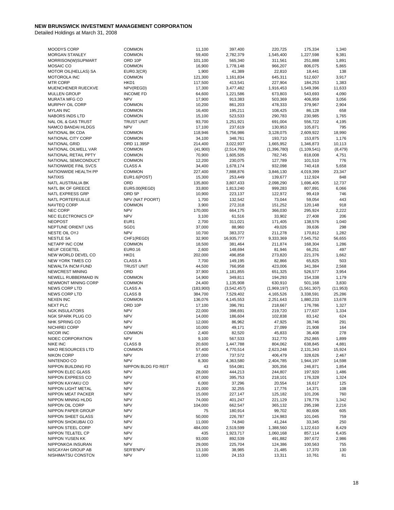| <b>MOODYS CORP</b>             | <b>COMMON</b>       | 11,100    | 397,400       | 220,725     | 175,334       | 1,340     |
|--------------------------------|---------------------|-----------|---------------|-------------|---------------|-----------|
| <b>MORGAN STANLEY</b>          | <b>COMMON</b>       | 59,400    | 2,782,379     | 1,545,400   | 1,227,598     | 9,381     |
| MORRISON(W)SUPMART             | ORD 10P             | 101,100   | 565,340       | 311,561     | 251,888       | 1,891     |
| MOSAIC CO                      | <b>COMMON</b>       | 16,900    | 1,778,148     | 966,207     | 806,075       | 5,865     |
|                                |                     |           |               |             |               | 138       |
| MOTOR OIL(HELLAS) SA           | <b>EUR0.3(CR)</b>   | 1,900     | 41,389        | 22,810      | 18,441        |           |
| MOTOROLA INC                   | <b>COMMON</b>       | 121,300   | 1,161,834     | 645,311     | 512,607       | 3,917     |
| <b>MTR CORP</b>                | HKD1                | 117,500   | 413,541       | 227,904     | 184,253       | 1,383     |
| MUENCHENER RUECKVE             | NPV(REGD)           | 17,300    | 3,477,482     | 1,916,453   | 1,549,396     | 11,633    |
| <b>MULLEN GROUP</b>            | <b>INCOME FD</b>    | 64,600    | 1,221,586     | 673,803     | 543,693       | 4,090     |
| <b>MURATA MFG CO</b>           | <b>NPV</b>          | 17,900    | 913,383       | 503,369     | 406,959       | 3,056     |
| MURPHY OIL CORP                | <b>COMMON</b>       | 10,200    | 861,203       | 478,333     | 379,967       | 2,904     |
| <b>MYLAN INC</b>               | <b>COMMON</b>       | 16,400    | 195,211       | 108,425     | 86,128        | 658       |
| <b>NABORS INDS LTD</b>         | <b>COMMON</b>       |           |               |             | 230,985       |           |
|                                |                     | 15,100    | 523,533       | 290,783     |               | 1,765     |
| <b>NAL OIL &amp; GAS TRUST</b> | <b>TRUST UNIT</b>   | 93,700    | 1,251,921     | 691,004     | 556,722       | 4,195     |
| <b>NAMCO BANDAI HLDGS</b>      | <b>NPV</b>          | 17,100    | 237,619       | 130,953     | 105,871       | 795       |
| NATIONAL BK CDA                | <b>COMMON</b>       | 118,946   | 5,756,986     | 3,128,075   | 2,609,922     | 18,990    |
| NATIONAL CITY CORP             | <b>COMMON</b>       | 34,100    | 348,761       | 193,710     | 153,875       | 1,176     |
| <b>NATIONAL GRID</b>           | ORD 11.395P         | 214,400   | 3,022,937     | 1,665,952   | 1,346,873     | 10,113    |
| NATIONAL OILWELL VAR           | <b>COMMON</b>       | (41,900)  | (2,514,799)   | (1,396,780) | (1, 109, 541) | (8, 479)  |
| NATIONAL RETAIL PPTY           | <b>COMMON</b>       | 70,900    | 1,605,505     | 782,745     | 818,008       | 4,751     |
| NATIONAL SEMICONDUCT           | <b>COMMON</b>       | 12,200    | 230,075       | 127,789     | 101,510       | 776       |
|                                |                     |           |               |             |               |           |
| NATIONWIDE FINL SVCS           | <b>CLASS A</b>      | 34,400    | 1,678,174     | 932,098     | 740,418       | 5,658     |
| NATIONWIDE HEALTH PP           | <b>COMMON</b>       | 227,400   | 7,888,876     | 3,846,130   | 4,019,399     | 23,347    |
| <b>NATIXIS</b>                 | EUR1.6(POST)        | 15,300    | 253,449       | 139,677     | 112,924       | 848       |
| NATL AUSTRALIA BK              | ORD                 | 135,800   | 3,807,433     | 2,098,290   | 1,696,405     | 12,737    |
| <b>NATL BK OF GREECE</b>       | EUR5.00(REGD)       | 33,800    | 1,813,240     | 999,283     | 807,891       | 6,066     |
| <b>NATL EXPRESS GRP</b>        | ORD <sub>5P</sub>   | 10,900    | 223,137       | 122,972     | 99,419        | 746       |
| NATL PORTEFEUILLE              | NPV (NAT POORT)     | 1,700     | 132,542       | 73,044      | 59,054        | 443       |
| <b>NAVTEQ CORP</b>             | <b>COMMON</b>       | 3,900     | 272,318       | 151,252     | 120,148       | 918       |
| <b>NEC CORP</b>                | <b>NPV</b>          | 170,000   | 664,175       | 366,030     | 295,924       | 2,222     |
|                                |                     |           |               |             |               |           |
| NEC ELECTRONICS CP             | <b>NPV</b>          | 3,100     | 61,516        | 33,902      | 27,408        | 206       |
| <b>NEOPOST</b>                 | EUR1                | 2,700     | 311,021       | 171,405     | 138,576       | 1,040     |
| NEPTUNE ORIENT LNS             | SGD1                | 37,000    | 88,960        | 49,026      | 39,636        | 298       |
| NESTE OIL OYJ                  | <b>NPV</b>          | 10,700    | 383,372       | 211,278     | 170,812       | 1,282     |
| <b>NESTLE SA</b>               | CHF1(REGD)          | 32,900    | 16,935,777    | 9,333,369   | 7,545,752     | 56,655    |
| NETAPP INC COM                 | <b>COMMON</b>       | 18,500    | 381,464       | 211,874     | 168,304       | 1,286     |
| NEUF CEGETEL                   | EUR0.16             | 2,600     | 148,694       | 81,946      | 66,251        | 497       |
| NEW WORLD DEVEL CO             | HKD1                | 202,000   | 496,858       | 273,820     | 221,376       | 1,662     |
| <b>NEW YORK TIMES CO</b>       | <b>CLASS A</b>      | 7,700     |               | 82,866      | 65,825        | 503       |
|                                |                     |           | 149,195       |             |               |           |
| NEWALTA INCM FUND              | <b>TRUST UNIT</b>   | 44,500    | 766,958       | 423,006     | 341,384       | 2,568     |
| NEWCREST MINING                | ORD                 | 37,900    | 1,181,855     | 651,325     | 526,577       | 3,954     |
| NEWELL RUBBERMAID IN           | <b>COMMON</b>       | 14,900    | 349,811       | 194,293     | 154,338       | 1,179     |
| NEWMONT MINING CORP            | <b>COMMON</b>       | 24,400    | 1,135,908     | 630,910     | 501,168       | 3,830     |
| <b>NEWS CORP LTD</b>           | <b>CLASS A</b>      | (183,900) | (3, 542, 457) | (1,969,197) | (1,561,307)   | (11, 953) |
| <b>NEWS CORP LTD</b>           | <b>CLASS B</b>      | 384,700   | 7,529,402     | 4,165,526   | 3,338,591     | 25,286    |
| <b>NEXEN INC</b>               | <b>COMMON</b>       | 136,076   | 4,145,553     | 2,251,643   | 1,880,233     | 13,678    |
| <b>NEXT PLC</b>                | ORD 10P             | 17,100    | 396,781       | 218,667     | 176,786       | 1,327     |
| <b>NGK INSULATORS</b>          | <b>NPV</b>          |           |               |             | 177,637       | 1,334     |
|                                |                     | 22,000    | 398,691       | 219,720     |               |           |
| NGK SPARK PLUG CO              | <b>NPV</b>          | 14,000    | 186,604       | 102,838     | 83,142        | 624       |
| <b>NHK SPRING CO</b>           | <b>NPV</b>          | 12,000    | 86,962        | 47,925      | 38,746        | 291       |
| NICHIREI CORP                  | <b>NPV</b>          | 10,000    | 49,171        | 27,099      | 21,908        | 164       |
| NICOR INC                      | <b>COMMON</b>       | 2,400     | 82,520        | 45,833      | 36,408        | 278       |
| NIDEC CORPORATION              | <b>NPV</b>          | 9,100     | 567,533       | 312,770     | 252,865       | 1,899     |
| <b>NIKE INC</b>                | <b>CLASS B</b>      | 20,600    | 1,447,788     | 804,062     | 638,845       | 4,881     |
| NIKO RESOURCES LTD             | <b>COMMON</b>       | 57,400    | 4,770,514     | 2,623,248   | 2,131,343     | 15,924    |
| <b>NIKON CORP</b>              | <b>NPV</b>          | 27,000    | 737,572       | 406,479     | 328,626       | 2,467     |
|                                | <b>NPV</b>          |           |               |             | 1,944,197     |           |
| NINTENDO CO                    |                     | 8,300     | 4,363,580     | 2,404,785   |               | 14,598    |
| NIPPON BUILDING FD             | NIPPON BLDG FD REIT | 43        | 554,081       | 305,356     | 246,871       | 1,854     |
| NIPPON ELEC GLASS              | <b>NPV</b>          | 28,000    | 444,213       | 244,807     | 197,920       | 1,486     |
| NIPPON EXPRESS CO              | <b>NPV</b>          | 67,000    | 395,753       | 218,101     | 176,328       | 1,324     |
| NIPPON KAYAKU CO               | <b>NPV</b>          | 6,000     | 37,296        | 20,554      | 16,617        | 125       |
| NIPPON LIGHT METAL             | <b>NPV</b>          | 21,000    | 32,255        | 17,776      | 14,371        | 108       |
| NIPPON MEAT PACKER             | <b>NPV</b>          | 15,000    | 227,147       | 125,182     | 101,206       | 760       |
| NIPPON MINING HLDG             | <b>NPV</b>          | 74,000    | 401,247       | 221,129     | 178,776       | 1,342     |
| NIPPON OIL CORP                | <b>NPV</b>          | 104,000   | 662,547       | 365,132     | 295,198       | 2,216     |
|                                |                     |           |               |             |               |           |
| NIPPON PAPER GROUP             | <b>NPV</b>          | 75        | 180,914       | 99,702      | 80,606        | 605       |
| NIPPON SHEET GLASS             | <b>NPV</b>          | 50,000    | 226,787       | 124,983     | 101,045       | 759       |
| NIPPON SHOKUBAI CO             | <b>NPV</b>          | 11,000    | 74,840        | 41,244      | 33,345        | 250       |
| NIPPON STEEL CORP              | <b>NPV</b>          | 484,000   | 2,519,599     | 1,388,560   | 1,122,610     | 8,429     |
| NIPPON TEL&TEL CP              | <b>NPV</b>          | 435       | 1,923,717     | 1,060,168   | 857,114       | 6,435     |
| NIPPON YUSEN KK                | <b>NPV</b>          | 93,000    | 892,539       | 491,882     | 397,672       | 2,986     |
| NIPPONKOA INSURAN              | <b>NPV</b>          | 29,000    | 225,704       | 124,386     | 100,563       | 755       |
| NISCAYAH GROUP AB              | SER'B'NPV           | 13,100    | 38,985        | 21,485      | 17,370        | 130       |
| NISHIMATSU CONSTCN             | <b>NPV</b>          | 11,000    | 24,153        | 13,311      | 10,761        | 81        |
|                                |                     |           |               |             |               |           |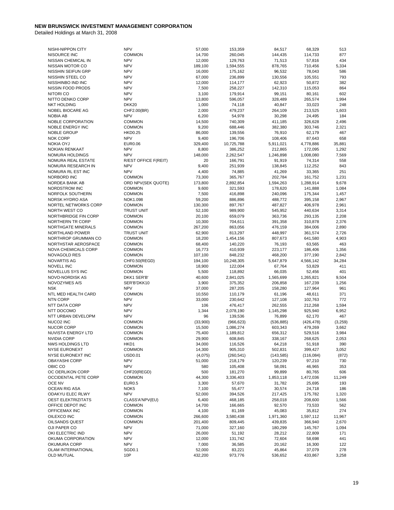| NISHI-NIPPON CITY                     | <b>NPV</b>                         | 57,000            | 153,359            | 84,517             | 68,329             | 513            |
|---------------------------------------|------------------------------------|-------------------|--------------------|--------------------|--------------------|----------------|
| NISOURCE INC                          | <b>COMMON</b>                      | 14,700            | 260,045            | 144,435            | 114,733            | 877            |
| NISSAN CHEMICAL IN                    | <b>NPV</b>                         | 12,000            | 129,763            | 71,513             | 57,816             | 434            |
| NISSAN MOTOR CO                       | <b>NPV</b>                         | 189,100           | 1,594,555          | 878,765            | 710,456            | 5,334          |
| NISSHIN SEIFUN GRP                    | <b>NPV</b>                         | 16,000            | 175,162            | 96,532             | 78,043             | 586            |
| NISSHIN STEEL CO                      | <b>NPV</b>                         | 67,000            | 236,899            | 130,556            | 105,551            | 793            |
| NISSHINBO IND INC                     | <b>NPV</b>                         | 12,000            | 114,177            | 62,923             | 50,872             | 382            |
| NISSIN FOOD PRODS                     | <b>NPV</b>                         | 7,500             | 258,227            | 142,310            | 115,053            | 864            |
| NITORI CO                             | <b>NPV</b>                         | 3,100             | 179,914            | 99,151             | 80,161             | 602            |
| NITTO DENKO CORP                      | <b>NPV</b>                         | 13,800            | 596,057            | 328,489            | 265,574            | 1,994          |
| <b>NKT HOLDING</b>                    | DKK20                              | 1,000             | 74,118             | 40,847             | 33,023             | 248            |
| NOBEL BIOCARE AG                      | CHF2.00(BR)                        | 2,000             | 479,237            | 264,109            | 213,525            | 1,603          |
| <b>NOBIA AB</b>                       | <b>NPV</b>                         | 6,200             | 54,978             | 30,298             | 24,495             | 184            |
| NOBLE CORPORATION                     | <b>COMMON</b>                      | 14,500            | 740,309            | 411,185            | 326,628            | 2,496          |
| <b>NOBLE ENERGY INC</b>               | <b>COMMON</b>                      | 9,200             | 688,446            | 382,380            | 303,746            | 2,321          |
| <b>NOBLE GROUP</b>                    | <b>HKD0.25</b>                     | 86,000            | 139,556            | 76,910             | 62,179             | 467            |
| <b>NOK CORP</b>                       | <b>NPV</b>                         | 9,400             | 196,706            | 108,406            | 87,643             | 658            |
| <b>NOKIA OYJ</b>                      | EUR0.06                            | 329,400           | 10,725,788         | 5,911,021          | 4,778,886          | 35,881         |
| <b>NOKIAN RENKAAT</b>                 | <b>NPV</b>                         | 8,800             | 386,252            | 212,865            | 172,095            | 1,292          |
| NOMURA HOLDINGS                       | <b>NPV</b>                         | 148,000           | 2,262,547          | 1,246,898          | 1,008,080          | 7,569          |
| NOMURA REAL ESTATE                    | R/EST OFFICE F(REIT)               | 20                | 166,791            | 91,919             | 74,314             | 558            |
| NOMURA RESEARCH IN                    | <b>NPV</b>                         | 9,400             | 251,939            | 138,845            | 112,252            | 843            |
| NOMURA RL EST INC                     | <b>NPV</b>                         | 4,400             | 74,885             | 41,269             | 33,365             | 251            |
| NORBORD INC                           | <b>COMMON</b>                      | 73,300            | 365,767            | 202,784            | 161,752            | 1,231          |
| NORDEA BANK AB                        | ORD NPV(SEK QUOTE)                 | 173,800           | 2,892,854          | 1,594,263          | 1,288,914          | 9,678          |
| NORDSTROM INC                         | <b>COMMON</b><br><b>COMMON</b>     | 9,600             | 321,593            | 178,620            | 141,888            | 1,084          |
| NORFOLK SOUTHERN                      | NOK1.098                           | 7,500             | 416,898            | 240,096            | 175,344            | 1,457          |
| NORSK HYDRO ASA                       |                                    | 59,200            | 886,896            | 488,772            | 395,158<br>406,978 | 2,967          |
| NORTEL NETWORKS CORP<br>NORTH WEST CO | <b>COMMON</b><br><b>TRUST UNIT</b> | 130,300<br>52,100 | 897,767<br>989,900 | 487,827<br>545,952 | 440,634            | 2,961<br>3,314 |
| NORTHBRIDGE FIN CORP                  | <b>COMMON</b>                      | 20,100            | 659,079            | 363,736            | 293,135            | 2,208          |
| NORTHERN TR CORP                      | <b>COMMON</b>                      | 10,300            | 704,611            | 391,358            | 310,878            | 2,376          |
| NORTHGATE MINERALS                    | <b>COMMON</b>                      | 267,200           | 863,056            | 476,159            | 384,006            | 2,890          |
| NORTHLAND POWER                       | <b>TRUST UNIT</b>                  | 62,900            | 813,297            | 448,997            | 361,574            | 2,726          |
| NORTHROP GRUMMAN CO                   | <b>COMMON</b>                      | 18,200            | 1,454,156          | 807,673            | 641,580            | 4,903          |
| NORTHSTAR AEROSPACE                   | <b>COMMON</b>                      | 68,400            | 140,220            | 76,193             | 63,565             | 463            |
| NOVA CHEMICALS CORP                   | <b>COMMON</b>                      | 16,773            | 410,939            | 223,177            | 186,406            | 1,356          |
| NOVAGOLD RES                          | <b>COMMON</b>                      | 107,100           | 848,232            | 468,200            | 377,190            | 2,842          |
| <b>NOVARTIS AG</b>                    | CHF0.50(REGD)                      | 194,100           | 10,248,305         | 5,647,879          | 4,566,142          | 34,284         |
| <b>NOVELL INC</b>                     | <b>COMMON</b>                      | 18,900            | 122,004            | 67,764             | 53,829             | 411            |
| NOVELLUS SYS INC                      | <b>COMMON</b>                      | 5,500             | 118,892            | 66,035             | 52,456             | 401            |
| NOVO-NORDISK AS                       | DKK1 SER'B'                        | 40,600            | 2,841,025          | 1,565,699          | 1,265,821          | 9,504          |
| NOVOZYMES A/S                         | SER'B'DKK10                        | 3,900             | 375,352            | 206,858            | 167,239            | 1,256          |
| <b>NSK</b>                            | <b>NPV</b>                         | 37,000            | 287,205            | 158,280            | 127,964            | 961            |
| NTL MED HEALTH CARD                   | <b>COMMON</b>                      | 10,550            | 110,179            | 61,196             | 48,611             | 371            |
| <b>NTN CORP</b>                       | <b>NPV</b>                         | 33,000            | 230,642            | 127,108            | 102,763            | 772            |
| <b>NTT DATA CORP</b>                  | <b>NPV</b>                         | 106               | 476,417            | 262,555            | 212,268            | 1,594          |
| NTT DOCOMO                            | <b>NPV</b>                         | 1,344             | 2,078,190          | 1,145,298          | 925,940            | 6,952          |
| NTT URBAN DEVELOPM                    | <b>NPV</b>                         | 96                | 139,536            | 76,899             | 62,170             | 467            |
| <b>NUCO2 INC</b>                      | <b>COMMON</b>                      | (33,900)          | (966, 623)         | (536, 885)         | (426, 478)         | (3, 259)       |
| <b>NUCOR CORP</b>                     | <b>COMMON</b>                      | 15,500            | 1,086,274          | 603,343            | 479,269            | 3,662          |
| NUVISTA ENERGY LTD                    | <b>COMMON</b>                      | 75,400            | 1,189,812          | 656,312            | 529,516            | 3,984          |
| <b>NVIDIA CORP</b>                    | <b>COMMON</b>                      | 29,900            | 608,845            | 338,167            | 268,625            | 2,053          |
| <b>NWS HOLDINGS LTD</b>               | HKD1                               | 34,000            | 116,526            | 64,218             | 51,918             | 390            |
| <b>NYSE EURONEXT</b>                  | <b>COMMON</b>                      | 14,300            | 905,310            | 502,831            | 399,427            | 3,052          |
| NYSE EURONEXT INC                     | <b>USD0.01</b>                     | (4,075)           | (260, 541)         | (143, 585)         | (116,084)          | (872)          |
| <b>OBAYASHI CORP</b>                  | <b>NPV</b>                         | 51,000            | 218,179            | 120,239            | 97,210             | 730            |
| OBIC CO                               | <b>NPV</b>                         | 580               | 105,408            | 58,091             | 46,965             | 353            |
| OC OERLIKON CORP                      | CHF20(REGD)                        | 500               | 181,270            | 99,899             | 80,765             | 606            |
| OCCIDENTAL PETE CORP                  | <b>COMMON</b>                      | 44,300            | 3,336,403          | 1,853,118          | 1,472,036          | 11,249         |
| OCE NV                                | <b>EUR0.5</b>                      | 3,300             | 57,670             | 31,782             | 25,695             | 193            |
| OCEAN RIG ASA                         | NOK <sub>5</sub>                   | 7,100             | 55,477             | 30,574             | 24,718             | 186            |
| ODAKYU ELEC RLWY                      | <b>NPV</b>                         | 52,000            | 394,526            | 217,425            | 175,782            | 1,320          |
| <b>OEST ELEKTRIZITATS</b>             | CLASS'A'NPV(EU)                    | 6,400             | 468,185            | 258,018            | 208,600            | 1,566          |
| OFFICE DEPOT INC                      | <b>COMMON</b>                      | 14,700            | 166,665            | 92,570             | 73,533             | 562            |
| OFFICEMAX INC                         | <b>COMMON</b>                      | 4,100             | 81,169             | 45,083             | 35,812             | 274            |
| OILEXCO INC                           | <b>COMMON</b>                      | 266,600           | 3,580,438          | 1,971,360          | 1,597,112          | 11,967         |
| OILSANDS QUEST                        | <b>COMMON</b>                      | 201,400           | 809,445            | 439,835            | 366,940            | 2,670          |
| OJI PAPER CO                          | <b>NPV</b>                         | 71,000            | 327,160            | 180,299            | 145,767            | 1,094          |
| OKI ELECTRIC IND                      | <b>NPV</b>                         | 26,000            | 51,192             | 28,212             | 22,809             | 171            |
| OKUMA CORPORATION                     | <b>NPV</b>                         | 12,000            | 131,742            | 72,604             | 58,698             | 441            |
| OKUMURA CORP                          | <b>NPV</b>                         | 7,000             | 36,585             | 20,162             | 16,300             | 122            |
| OLAM INTERNATIONAL                    | SGD <sub>0.1</sub>                 | 52,000            | 83,221             | 45,864             | 37,079             | 278            |
| OLD MUTUAL                            | 10P                                | 432,200           | 973,776            | 536,652            | 433,867            | 3,258          |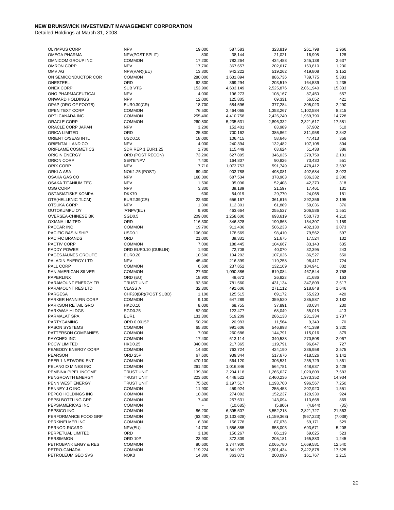| <b>OLYMPUS CORP</b>       | <b>NPV</b>            |           |               |               |            |         |
|---------------------------|-----------------------|-----------|---------------|---------------|------------|---------|
|                           |                       | 19,000    | 587,583       | 323,819       | 261,798    | 1,966   |
| <b>OMEGA PHARMA</b>       | NPV(POST SPLIT)       | 800       | 38,144        | 21,021        | 16,995     | 128     |
| OMNICOM GROUP INC         | <b>COMMON</b>         | 17,200    | 782,264       | 434,488       | 345,138    | 2,637   |
| <b>OMRON CORP</b>         | <b>NPV</b>            | 17,700    | 367,657       | 202,617       | 163,810    | 1,230   |
| OMV AG                    | NPV(VAR)(EU)          | 13,800    | 942,222       | 519,262       | 419,808    | 3,152   |
| ON SEMICONDUCTOR COR      | <b>COMMON</b>         | 280,000   | 1,631,894     | 886,736       | 739,775    | 5,383   |
| <b>ONESTEEL</b>           | ORD                   | 62,300    | 369,294       | 203,519       | 164,539    | 1,235   |
|                           |                       |           |               |               |            |         |
| <b>ONEX CORP</b>          | <b>SUB VTG</b>        | 153,900   | 4,603,149     | 2,525,876     | 2,061,940  | 15,333  |
| ONO PHARMACEUTICAL        | <b>NPV</b>            | 4,000     | 196,273       | 108,167       | 87,450     | 657     |
| ONWARD HOLDINGS           | <b>NPV</b>            | 12,000    | 125,805       | 69,331        | 56,052     | 421     |
| OPAP (ORG OF FOOTB)       | EUR0.30(CR)           | 18,700    | 684,596       | 377,284       | 305,023    | 2,290   |
| OPEN TEXT CORP            | <b>COMMON</b>         | 76,500    | 2,464,065     | 1,353,267     | 1,102,584  | 8,215   |
| OPTI CANADA INC           | <b>COMMON</b>         |           | 4,410,758     |               |            | 14,728  |
|                           |                       | 255,400   |               | 2,426,240     | 1,969,790  |         |
| ORACLE CORP               | <b>COMMON</b>         | 260,800   | 5,235,531     | 2,896,332     | 2,321,617  | 17,581  |
| ORACLE CORP JAPAN         | <b>NPV</b>            | 3,200     | 152,401       | 83,989        | 67,902     | 510     |
| <b>ORICA LIMITED</b>      | ORD                   | 25,800    | 700,162       | 385,862       | 311,958    | 2,342   |
| ORIENT O/SEAS INTL        | <b>USD0.10</b>        | 18,000    | 106,415       | 58,646        | 47,413     | 356     |
| ORIENTAL LAND CO          | <b>NPV</b>            | 4,000     | 240,394       | 132,482       | 107,108    | 804     |
|                           | SDR REP 1 EUR1.25     | 1,700     |               | 63,624        | 51,438     | 386     |
| ORIFLAME COSMETICS        |                       |           | 115,449       |               |            |         |
| <b>ORIGIN ENERGY</b>      | ORD (POST RECON)      | 73,200    | 627,895       | 346,035       | 279,759    | 2,101   |
| ORION CORP                | SER'B'NPV             | 7,400     | 164,807       | 90,826        | 73,430     | 551     |
| ORIX CORP                 | <b>NPV</b>            | 7,710     | 1,073,753     | 591,749       | 478,412    | 3,592   |
| ORKLA ASA                 | <b>NOK1.25 (POST)</b> | 69,400    | 903,788       | 498,081       | 402,684    | 3,023   |
| OSAKA GAS CO              | <b>NPV</b>            | 168,000   | 687,534       | 378,903       | 306,332    | 2,300   |
| <b>OSAKA TITANIUM TEC</b> | <b>NPV</b>            | 1,500     | 95,096        | 52,408        | 42,370     | 318     |
|                           |                       |           |               |               |            |         |
| <b>OSG CORP</b>           | <b>NPV</b>            | 3,300     | 39,189        | 21,597        | 17,461     | 131     |
| OSTASIATISKE KOMPA        | DKK70                 | 600       | 54,019        | 29,770        | 24,068     | 181     |
| OTE(HELLENIC TLCM)        | EUR2.39(CR)           | 22,600    | 656,167       | 361,616       | 292,356    | 2,195   |
| <b>OTSUKA CORP</b>        | <b>NPV</b>            | 1,300     | 112,301       | 61,889        | 50,036     | 376     |
| OUTOKUMPU OY              | 'A'NPV(EU)            | 9,900     | 463,664       | 255,527       | 206,586    | 1,551   |
|                           |                       |           | 1,258,600     |               |            |         |
| OVERSEA-CHINESE BK        | <b>SGD0.5</b>         | 209,000   |               | 693,619       | 560,770    | 4,210   |
| OXIANA LIMITED            | ORD                   | 116,300   | 346,328       | 190,863       | 154,307    | 1,159   |
| PACCAR INC                | <b>COMMON</b>         | 19,700    | 911,436       | 506,233       | 402,130    | 3,073   |
| PACIFIC BASIN SHIP        | <b>USD0.1</b>         | 106,000   | 178,569       | 98,410        | 79.562     | 597     |
| PACIFIC BRANDS            | ORD                   | 21,000    | 39,331        | 21,675        | 17,524     | 132     |
| PACTIV CORP               | <b>COMMON</b>         | 7,000     | 188,445       | 104,667       | 83,143     | 635     |
| PADDY POWER               | ORD EUR0.10 (DUBLIN)  | 1,900     | 72,708        | 40,070        | 32,395     | 243     |
|                           |                       |           |               |               |            |         |
| PAGESJAUNES GROUPE        | <b>EUR0.20</b>        | 10,600    | 194,202       | 107,026       | 86,527     | 650     |
| PALADIN ENERGY LTD        | <b>NPV</b>            | 45,400    | 216,399       | 119,258       | 96,417     | 724     |
| PALL CORP                 | <b>COMMON</b>         | 6,600     | 237,852       | 132,109       | 104,941    | 802     |
| PAN AMERICAN SILVER       | <b>COMMON</b>         | 27,600    | 1,090,386     | 619,084       | 467,544    | 3,758   |
| PAPERLINX                 | ORD (EU)              | 18,900    | 48,672        | 26,823        | 21,686     | 163     |
| PARAMOUNT ENERGY TR       | <b>TRUST UNIT</b>     | 93,600    | 781,560       | 431,134       | 347,809    | 2,617   |
|                           |                       |           |               |               |            |         |
| PARAMOUNT RES LTD         | <b>CLASS A</b>        | 32,300    | 491,606       | 271,112       | 218,848    | 1,646   |
| PARGESA                   | CHF20(BR)(POST SUBD)  | 1,100     | 125,515       | 69,172        | 55,923     | 420     |
| PARKER HANNIFIN CORP      | <b>COMMON</b>         | 9,100     | 647,289       | 359,520       | 285,587    | 2,182   |
| PARKSON RETAIL GRO        | <b>HKD0.10</b>        | 8,000     | 68,755        | 37,891        | 30,634     | 230     |
| PARKWAY HLDGS             | SGD0.25               | 52,000    | 123,477       | 68,049        | 55,015     | 413     |
| PARMALAT SPA              | EUR <sub>1</sub>      | 131,300   | 519,209       | 286,138       | 231,334    | 1,737   |
|                           |                       |           |               |               |            |         |
| PARTYGAMING               | ORD 0.0015P           | 50,200    | 20,983        | 11,564        | 9,349      | 70      |
| <b>PASON SYSTEMS</b>      | <b>COMMON</b>         | 65,800    | 991,606       | 546,898       | 441,389    | 3,320   |
| PATTERSON COMPANIES       | <b>COMMON</b>         | 7,000     | 260,686       | 144,791       | 115,016    | 879     |
| PAYCHEX INC               | <b>COMMON</b>         | 17,400    | 613,114       | 340,538       | 270,508    | 2,067   |
| <b>PCCW LIMITED</b>       | <b>HKD0.25</b>        | 340,000   | 217,365       | 119,791       | 96,847     | 727     |
| PEABODY ENERGY CORP       | <b>COMMON</b>         | 14,600    | 763,724       | 424,190       | 336,958    | 2,575   |
| <b>PEARSON</b>            | ORD <sub>25P</sub>    | 67,600    | 939,344       | 517,676       | 418,526    | 3,142   |
|                           |                       |           |               |               |            |         |
| PEER 1 NETWORK ENT        | <b>COMMON</b>         | 470,100   | 564,120       | 306,531       | 255,729    | 1,861   |
| PELANGIO MINES INC        | <b>COMMON</b>         | 261,400   | 1,016,846     | 564,781       | 448,637    | 3,428   |
| PEMBINA PIPEL INCOME      | <b>TRUST UNIT</b>     | 139,800   | 2,294,118     | 1,265,627     | 1,020,809  | 7,683   |
| PENGROWTH ENERGY          | <b>TRUST UNIT</b>     | 223,600   | 4,448,522     | 2,460,236     | 1,973,352  | 14,934  |
| PENN WEST ENERGY          | TRUST UNIT            | 75,620    | 2,197,517     | 1,193,700     | 996,567    | 7,250   |
| PENNEY J C INC            | <b>COMMON</b>         | 11,900    | 459,924       | 255,453       | 202,920    | 1,551   |
|                           |                       |           |               |               |            |         |
| PEPCO HOLDINGS INC        | <b>COMMON</b>         | 10,800    | 274,092       | 152,237       | 120,930    | 924     |
| PEPSI BOTTLING GRP        | <b>COMMON</b>         | 7,400     | 257,631       | 143,094       | 113,668    | 869     |
| PEPSIAMERICAS INC         | <b>COMMON</b>         | ۰         | (10,685)      | (5,806)       | (4, 844)   | (35)    |
| PEPSICO INC               | <b>COMMON</b>         | 86,200    | 6,395,507     | 3,552,218     | 2,821,727  | 21,563  |
| PERFORMANCE FOOD GRP      | <b>COMMON</b>         | (63, 400) | (2, 133, 628) | (1, 159, 368) | (967, 223) | (7,038) |
| PERKINELMER INC           | <b>COMMON</b>         | 6,300     | 156,778       | 87,078        | 69,171     | 529     |
|                           |                       |           |               |               |            |         |
| PERNOD-RICARD             | NPV(EU)               | 14,700    | 1,556,885     | 858,005       | 693,671    | 5,208   |
| PERPETUAL LIMITED         | ORD                   | 3,100     | 156,267       | 86,119        | 69,625     | 523     |
| <b>PERSIMMON</b>          | ORD 10P               | 23,900    | 372,309       | 205,181       | 165,883    | 1,245   |
| PETROBANK ENGY & RES      | <b>COMMON</b>         | 80,600    | 3,747,900     | 2,065,780     | 1,669,581  | 12,540  |
| PETRO-CANADA              | <b>COMMON</b>         | 119,224   | 5,341,937     | 2,901,434     | 2,422,878  | 17,625  |
| PETROLEUM GEO SVS         | NOK3                  | 14,300    | 363,071       | 200,090       | 161,767    | 1,215   |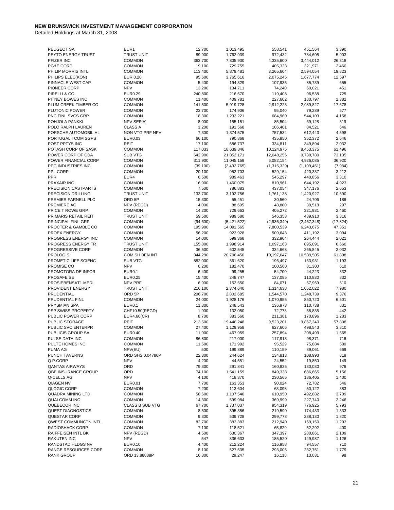| PEUGEOT SA               | EUR1                   | 12,700    | 1,013,495     | 558,541     | 451,564       | 3,390     |
|--------------------------|------------------------|-----------|---------------|-------------|---------------|-----------|
| PEYTO ENERGY TRUST       | <b>TRUST UNIT</b>      | 89,900    | 1,762,939     | 972,432     | 784,605       | 5,903     |
| PFIZER INC               | <b>COMMON</b>          | 363,700   | 7,805,930     | 4,335,600   | 3,444,012     | 26,318    |
| PG&E CORP                | <b>COMMON</b>          | 19,100    | 729,755       | 405,323     | 321,971       | 2,460     |
| PHILIP MORRIS INTL       | <b>COMMON</b>          | 113,400   | 5,879,481     | 3,265,604   | 2,594,054     | 19,823    |
| PHILIPS ELEC(KON)        | EUR 0.20               | 95,600    | 3,765,616     | 2,075,245   | 1,677,774     | 12,597    |
| PINNACLE WEST CAP        | <b>COMMON</b>          | 5,400     | 194,329       | 107,935     | 85,739        | 655       |
| PIONEER CORP             | <b>NPV</b>             | 13,200    | 134,711       | 74,240      | 60,021        | 451       |
| PIRELLI & CO.            | EUR0.29                | 240,800   | 216,670       | 119,408     | 96,538        | 725       |
| PITNEY BOWES INC         | <b>COMMON</b>          | 11,400    | 409,781       | 227,602     | 180,797       | 1,382     |
| PLUM CREEK TIMBER CO     | <b>COMMON</b>          | 141,500   | 5,919,728     | 2,912,223   | 2,989,827     | 17,678    |
| PLUTONIC POWER           | <b>COMMON</b>          | 23,700    | 174,906       | 95,040      | 79,289        | 577       |
| PNC FINL SVCS GRP        | <b>COMMON</b>          | 18,300    | 1,233,221     | 684,960     | 544,103       | 4,158     |
| POHJOLA PANKKI           | NPV SER'A'             | 8,000     | 155,151       | 85,504      | 69,128        | 519       |
| POLO RALPH LAUREN        | <b>CLASS A</b>         | 3,200     | 191,568       | 106,401     | 84,521        | 646       |
| PORSCHE AUTOMOBIL HL     | NON VTG PRF NPV        | 7,300     | 1,374,575     | 757,534     | 612,443       | 4,598     |
| PORTUGAL TCOM SGPS       | EUR0.03                | 66,100    | 790,868       | 435,850     | 352,372       | 2,646     |
| POST PPTYS INC           | <b>REIT</b>            | 17,100    | 686,737       | 334,811     | 349,894       | 2,032     |
| POTASH CORP OF SASK      | <b>COMMON</b>          | 117,033   | 18,639,846    | 10,124,975  | 8,453,375     | 61,496    |
| POWER CORP OF CDA        | <b>SUB VTG</b>         | 642,900   | 21,852,171    | 12,048,255  | 9,730,780     | 73,135    |
| POWER FINANCIAL CORP     | <b>COMMON</b>          | 311,900   | 11,045,159    | 6,082,154   | 4,926,085     | 36,920    |
| PPG INDUSTRIES INC       | <b>COMMON</b>          | (39, 100) | (2,432,765)   | (1,315,329) | (1, 109, 451) | (7, 984)  |
| PPL CORP                 | <b>COMMON</b>          | 20,100    | 952,703       | 529,154     | 420,337       | 3,212     |
| <b>PPR</b>               | EUR4                   | 6,500     | 989,463       | 545,297     | 440,856       | 3,310     |
| <b>PRAXAIR INC</b>       | <b>COMMON</b>          | 16,900    | 1,460,075     | 810,961     | 644,192       | 4,923     |
| PRECISION CASTPARTS      | <b>COMMON</b>          | 7,500     | 786,883       | 437,054     | 347,176       | 2,653     |
| PRECISION DRILLING       | <b>TRUST UNIT</b>      | 133,700   | 3,192,756     | 1,761,138   | 1,420,927     | 10,690    |
| PREMIER FARNELL PLC      | ORD <sub>5P</sub>      | 15,300    | 55,451        | 30,560      | 24,706        | 186       |
| PREMIERE AG              | NPV (REGD)             | 4,000     | 88,695        | 48,880      | 39,518        | 297       |
| PRICE T ROWE GRP         | <b>COMMON</b>          | 14,200    | 729,663       | 405,272     | 321,931       | 2,460     |
| PRIMARIS RETAIL REIT     | <b>TRUST UNIT</b>      | 59,500    | 989,580       | 546,353     | 439,910       | 3,316     |
| PRINCIPAL FINL GRP       | <b>COMMON</b>          | (94, 600) | (5, 421, 522) | (2,936,349) | (2,467,348)   | (17, 824) |
| PROCTER & GAMBLE CO      | <b>COMMON</b>          | 195,900   | 14,091,565    | 7,800,539   | 6,243,675     | 47,351    |
| PROEX ENERGY             | <b>COMMON</b>          | 56,200    | 923,928       | 509,643     | 411,192       | 3,094     |
| PROGRESS ENERGY INC      | <b>COMMON</b>          | 14,000    | 599,368       | 332,904     | 264,444       | 2,021     |
| PROGRESS ENERGY TR       | <b>TRUST UNIT</b>      | 155,800   | 1,998,914     | 1,097,163   | 895,091       | 6,660     |
| PROGRESSIVE CORP         | <b>COMMON</b>          | 36,500    | 602,545       | 334,668     | 265,845       | 2,032     |
| <b>PROLOGIS</b>          | COM SH BEN INT         | 344,290   | 20,798,450    | 10,197,047  | 10,539,505    | 61,898    |
| PROMETIC LIFE SCIENC     | <b>SUB VTG</b>         | 882,000   | 361,620       | 196,497     | 163,931       | 1,193     |
| PROMISE CO               | <b>NPV</b>             | 6,200     | 182,470       | 100,560     | 81,300        | 610       |
| PROMOTORA DE INFOR       | <b>EUR0.1</b>          | 6,400     | 99,255        | 54,700      | 44,223        | 332       |
| PROSAFE SE               | <b>EUR0.25</b>         | 15,400    | 248,747       | 137,085     | 110,830       | 832       |
| PROSIEBENSAT1 MEDI       | <b>NPV PRF</b>         | 6,900     | 152,550       | 84,071      | 67,969        | 510       |
| PROVIDENT ENERGY         | <b>TRUST UNIT</b>      | 216,100   | 2,374,640     | 1,314,638   | 1,052,022     | 7,980     |
| PRUDENTIAL               | ORD <sub>5P</sub>      | 206,700   | 2,802,685     | 1,544,570   | 1,248,739     | 9,376     |
| PRUDENTIAL FINL          | <b>COMMON</b>          | 24,000    | 1,928,176     | 1,070,955   | 850,720       | 6,501     |
| PRYSMIAN SPA             | <b>EUR0.1</b>          | 11,300    | 248,543       | 136,973     | 110,738       | 831       |
| PSP SWISS PROPERTY       | CHF10.50(REGD)         | 1,900     | 132,050       | 72,773      | 58,835        | 442       |
| PUBLIC POWER CORP        | EUR4.60(CR)            | 8,700     | 383,560       | 211,381     | 170,896       | 1,283     |
| PUBLIC STORAGE           | REIT                   | 213,500   | 19,448,248    | 9,523,201   | 9,867,240     | 57,808    |
| PUBLIC SVC ENTERPR       | <b>COMMON</b>          | 27,400    | 1,129,958     | 627,606     | 498,543       | 3,810     |
| PUBLICIS GROUP SA        | EUR0.40                | 11,900    | 467,959       | 257,894     | 208,499       | 1,565     |
| PULSE DATA INC           | <b>COMMON</b>          | 86,800    | 217,000       | 117,913     | 98,371        | 716       |
| PULTE HOMES INC          | <b>COMMON</b>          | 11,500    | 171,992       | 95,529      | 75,884        | 580       |
| PUMA AG                  | NPV(EU)                | 500       | 199,889       | 110,159     | 89,061        | 669       |
| PUNCH TAVERNS            | ORD SHS 0.04786P       | 22,300    | 244,624       | 134,813     | 108,993       | 818       |
| Q.P.CORP                 | <b>NPV</b>             | 4,200     | 44,551        | 24,552      | 19,850        | 149       |
| <b>QANTAS AIRWAYS</b>    | ORD                    | 79,300    | 291,841       | 160,835     | 130,030       | 976       |
| QBE INSURANCE GROUP      | ORD                    | 74,100    | 1,541,159     | 849,338     | 686,665       | 5,156     |
| Q-CELLS AG               | <b>NPV</b>             | 4,100     | 418,370       | 230,565     | 186,405       | 1,400     |
| <b>QIAGEN NV</b>         | EUR0.01                | 7,700     | 163,353       | 90,024      | 72,782        | 546       |
| QLOGIC CORP              | <b>COMMON</b>          | 7,200     | 113,604       | 63,098      | 50,122        | 383       |
| <b>QUADRA MINING LTD</b> | <b>COMMON</b>          | 58,600    | 1,107,540     | 610,950     | 492,882       | 3,709     |
| <b>QUALCOMM INC</b>      | <b>COMMON</b>          | 14,300    | 599,984       | 369,999     | 227,740       | 2,246     |
| QUEBECOR INC             | <b>CLASS B SUB VTG</b> | 67,700    | 1,737,037     | 954,319     | 776,925       | 5,793     |
| <b>QUEST DIAGNOSTICS</b> | <b>COMMON</b>          | 8,500     | 395,356       | 219,590     | 174,433       | 1,333     |
| <b>QUESTAR CORP</b>      | <b>COMMON</b>          | 9,300     | 539,728       | 299,778     | 238,130       | 1,820     |
| QWEST COMMUNCTN INTL     | <b>COMMON</b>          | 82,700    | 383,383       | 212,940     | 169,150       | 1,293     |
| RADIOSHACK CORP          | <b>COMMON</b>          | 7,100     | 118,521       | 65,829      | 52,292        | 400       |
| RAIFFEISEN INTL BK       | NPV (REGD)             | 4,500     | 630,367       | 347,397     | 280,861       | 2,109     |
| <b>RAKUTEN INC</b>       | <b>NPV</b>             | 547       | 336,633       | 185,520     | 149,987       | 1,126     |
| RANDSTAD HLDGS NV        | EUR0.10                | 4,400     | 212,224       | 116,958     | 94,557        | 710       |
| RANGE RESOURCES CORP     | <b>COMMON</b>          | 8,100     | 527,535       | 293,005     | 232,751       | 1,779     |
| <b>RANK GROUP</b>        | ORD 13.88888P          | 16,300    | 29,247        | 16,118      | 13,031        | 98        |
|                          |                        |           |               |             |               |           |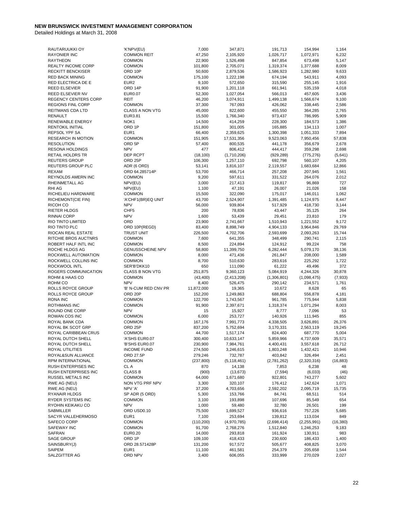| RAUTARUUKKI OY              | 'K'NPV(EU)              | 7,000      | 347,871       | 191,713     | 154,994     | 1,164     |
|-----------------------------|-------------------------|------------|---------------|-------------|-------------|-----------|
| <b>RAYONIER INC</b>         | <b>COMMON REIT</b>      | 47,250     | 2,105,920     | 1,026,717   | 1,072,971   | 6,232     |
| <b>RAYTHEON</b>             | <b>COMMON</b>           | 22,900     | 1,526,498     | 847,854     | 673,498     | 5,147     |
| <b>REALTY INCOME CORP</b>   | <b>COMMON</b>           | 101,800    | 2,705,071     | 1,319,374   | 1,377,688   | 8,009     |
| <b>RECKITT BENCKISER</b>    | ORD 10P                 | 50,600     | 2,879,536     | 1,586,923   | 1,282,980   | 9,633     |
| <b>RED BACK MINING</b>      | <b>COMMON</b>           | 175,100    | 1,222,198     | 674,194     | 543,911     | 4,093     |
| RED ELECTRICA DE E          | EUR <sub>2</sub>        | 9,100      | 572,650       | 315,590     | 255,145     | 1,916     |
| <b>REED ELSEVIER</b>        | ORD 14P                 | 91,900     | 1,201,118     | 661,941     | 535,159     | 4,018     |
| REED ELSEVIER NV            | <b>EUR0.07</b>          | 52,300     | 1,027,054     | 566,013     | 457,605     | 3,436     |
| <b>REGENCY CENTERS CORP</b> | <b>REIT</b>             |            |               |             |             | 9,100     |
|                             |                         | 46,200     | 3,074,911     | 1,499,138   | 1,566,674   |           |
| <b>REGIONS FINL CORP</b>    | <b>COMMON</b>           | 37,300     | 767,093       | 426,062     | 338,445     | 2,586     |
| REITMANS CDA LTD            | <b>CLASS A NON VTG</b>  | 45,000     | 822,600       | 455,550     | 364,285     | 2,765     |
| <b>RENAULT</b>              | <b>EUR3.81</b>          | 15,500     | 1,766,340     | 973,437     | 786,995     | 5,909     |
| RENEWABLE ENERGY            | NOK1                    | 14,500     | 414,259       | 228,300     | 184,573     | 1,386     |
| <b>RENTOKIL INITIAL</b>     | ORD 1P                  | 151,800    | 301,005       | 165,885     | 134,113     | 1,007     |
| REPSOL YPF SA               | EUR <sub>1</sub>        | 66,400     | 2,359,625     | 1,300,398   | 1,051,333   | 7,894     |
| <b>RESEARCH IN MOTION</b>   | <b>COMMON</b>           | 151,905    | 17,531,356    | 9,523,063   | 7,950,456   | 57,838    |
| <b>RESOLUTION</b>           | ORD <sub>5P</sub>       | 57,400     | 800,535       | 441,178     | 356,679     | 2,678     |
| <b>RESONA HOLDINGS</b>      | <b>NPV</b>              | 477        | 806,412       | 444,417     | 359,298     | 2,698     |
| <b>RETAIL HOLDRS TR</b>     | DEP RCPT                | (18, 100)  | (1,710,206)   | (929, 289)  | (775, 276)  | (5,641)   |
| <b>REUTERS GROUP</b>        | ORD <sub>25P</sub>      | 106,300    | 1,257,110     | 692,798     | 560,107     | 4,205     |
| REUTERS GROUP PLC           | ADR (6 ORD)             | 53,141     | 3,816,107     | 2,119,557   | 1,683,684   | 12,866    |
| <b>REXAM</b>                | ORD 64.285714P          | 53,700     | 466,714       | 257,208     | 207,945     | 1,561     |
|                             |                         |            |               |             |             |           |
| REYNOLDS AMERN INC          | <b>COMMON</b>           | 9,200      | 597,611       | 331,522     | 264,076     | 2,012     |
| RHEINMETALL AG              | NPV(EU)                 | 3,000      | 217,413       | 119,817     | 96,869      | 727       |
| RHI AG                      | NPV(EU)                 | 1,100      | 47,191        | 26,007      | 21,026      | 158       |
| RICHELIEU HARDWARE          | <b>COMMON</b>           | 15,500     | 322,090       | 175,017     | 146,011     | 1,062     |
| RICHEMONT(CIE FIN)          | 'A'CHF1(BR)EQ UNIT      | 43,700     | 2,524,907     | 1,391,485   | 1,124,975   | 8,447     |
| RICOH CO                    | <b>NPV</b>              | 56,000     | 939,804       | 517,929     | 418,730     | 3,144     |
| <b>RIETER HLDGS</b>         | CHF <sub>5</sub>        | 200        | 78,836        | 43,447      | 35,125      | 264       |
| RINNAI CORP                 | <b>NPV</b>              | 1,600      | 53,439        | 29,451      | 23,810      | 179       |
| RIO TINTO LIMITED           | ORD                     | 23,900     | 2,741,667     | 1,510,943   | 1,221,552   | 9,172     |
| RIO TINTO PLC               | ORD 10P(REGD)           | 83,400     | 8,898,749     | 4,904,133   | 3,964,846   | 29,769    |
| RIOCAN REAL ESTATE          | <b>TRUST UNIT</b>       | 226,500    |               |             | 2,093,263   | 15,744    |
|                             |                         |            | 4,702,706     | 2,593,699   |             |           |
| RITCHIE BROS AUCTNRS        | <b>COMMON</b>           | 7,600      | 641,355       | 348,499     | 290,741     | 2,115     |
| ROBERT HALF INTL INC        | <b>COMMON</b>           | 8,500      | 224,894       | 124,912     | 99,224      | 758       |
| ROCHE HLDGS AG              | <b>GENUSSCHEINE NPV</b> | 58,800     | 11,399,750    | 6,282,444   | 5,079,170   | 38,136    |
| ROCKWELL AUTOMATION         | <b>COMMON</b>           | 8,000      | 471,436       | 261,847     | 208,000     | 1,589     |
| ROCKWELL COLLINS INC        | <b>COMMON</b>           | 8,700      | 510,630       | 283,616     | 225,292     | 1,722     |
| ROCKWOOL INTL               | SER'B'DKK10             | 650        | 111,090       | 61,222      | 49,496      | 372       |
| ROGERS COMMUNICATION        | <b>CLASS B NON VTG</b>  | 251,875    | 9,360,123     | 5,084,919   | 4,244,326   | 30,878    |
| ROHM & HAAS CO              | <b>COMMON</b>           | (43, 400)  | (2, 413, 208) | (1,306,801) | (1,098,475) | (7, 933)  |
| ROHM CO                     | <b>NPV</b>              | 8,400      | 526,475       | 290,142     | 234,571     | 1,761     |
| ROLLS ROYCE GROUP           | 'B' N-CUM RED CNV PR    | 11,872,000 | 19,365        | 10,672      | 8,628       | 65        |
| <b>ROLLS ROYCE GROUP</b>    | ORD <sub>20P</sub>      | 152,200    | 1,249,863     | 688,804     | 556,878     | 4,181     |
| <b>RONA INC</b>             | <b>COMMON</b>           | 122,700    | 1,743,567     | 961,785     | 775,944     | 5,838     |
| <b>ROTHMANS INC</b>         | <b>COMMON</b>           | 91,900     | 2,397,671     | 1,318,374   | 1,071,294   | 8,003     |
|                             |                         |            |               |             |             |           |
| ROUND ONE CORP              | <b>NPV</b>              | 15         | 15,927        | 8,777       | 7,096       | 53        |
| ROWAN COS INC               | <b>COMMON</b>           | 6,000      | 253,727       | 140,926     | 111,945     | 855       |
| ROYAL BANK CDA              | <b>COMMON</b>           | 167,176    | 7,991,773     | 4,338,505   | 3,626,891   | 26,376    |
| ROYAL BK SCOT GRP           | ORD <sub>25P</sub>      | 837,200    | 5,752,694     | 3,170,331   | 2,563,119   | 19,245    |
| ROYAL CARIBBEAN CRUS        | <b>COMMON</b>           | 44,700     | 1,517,174     | 824,400     | 687,770     | 5,004     |
| ROYAL DUTCH SHELL           | 'A'SHS EUR0.07          | 300,400    | 10,633,147    | 5,859,966   | 4,737,609   | 35,571    |
| ROYAL DUTCH SHELL           | 'B'SHS EUR0.07          | 230,900    | 7,984,761     | 4,400,431   | 3,557,618   | 26,712    |
| ROYAL UTILITIES             | <b>INCOME FUND</b>      | 274,500    | 3,246,615     | 1,803,248   | 1,432,421   | 10,946    |
| ROYAL&SUN ALLIANCE          | ORD 27.5P               | 279,246    | 732,787       | 403,842     | 326,494     | 2,451     |
| RPM INTERNATIONAL           | <b>COMMON</b>           | (237, 800) | (5, 118, 461) | (2,781,262) | (2,320,316) | (16, 883) |
| RUSH ENTERPISES INC         | CL A                    | 870        | 14,138        | 7,853       | 6,238       | 48        |
|                             | <b>CLASS B</b>          |            |               |             |             |           |
| RUSH ENTERPRISES INC        |                         | (900)      | (13, 673)     | (7, 594)    | (6,033)     | (46)      |
| RUSSEL METALS INC           | <b>COMMON</b>           | 64,000     | 1,671,680     | 922,801     | 743,277     | 5,602     |
| RWE AG (NEU)                | NON VTG PRF NPV         | 3,300      | 320,107       | 176,412     | 142,624     | 1,071     |
| RWE AG (NEU)                | NPV 'A'                 | 37,200     | 4,703,656     | 2,592,202   | 2,095,719   | 15,735    |
| RYANAIR HLDGS               | SP ADR (5 ORD)          | 5,300      | 153,766       | 84,741      | 68,511      | 514       |
| RYDER SYSTEMS INC           | <b>COMMON</b>           | 3,100      | 193,898       | 107,696     | 85,549      | 654       |
| RYOHIN KEIKAKU CO           | <b>NPV</b>              | 1,000      | 59,480        | 32,780      | 26,501      | 199       |
| SABMILLER                   | ORD USD0.10             | 75,500     | 1,699,527     | 936,616     | 757,226     | 5,685     |
| SACYR VALLEHERMOSO          | EUR1                    | 7,100      | 253,694       | 139,812     | 113,034     | 849       |
| SAFECO CORP                 | <b>COMMON</b>           | (110, 200) | (4,970,785)   | (2,698,414) | (2,255,991) | (16, 380) |
| SAFEWAY INC                 | <b>COMMON</b>           | 91,700     | 2,768,276     | 1,512,840   | 1,246,253   | 9,183     |
|                             |                         |            |               |             |             |           |
| SAFRAN                      | <b>EUR0.20</b>          | 14,000     | 293,818       | 161,924     | 130,911     | 983       |
| SAGE GROUP                  | ORD 1P                  | 109,100    | 418,433       | 230,600     | 186,433     | 1,400     |
| SAINSBURY(J)                | ORD 28.571428P          | 131,200    | 917,572       | 505,677     | 408,825     | 3,070     |
| SAIPEM                      | EUR <sub>1</sub>        | 11,100     | 461,581       | 254,379     | 205,658     | 1,544     |
| SALZGITTER AG               | ORD NPV                 | 3,400      | 606,055       | 333,999     | 270,029     | 2,027     |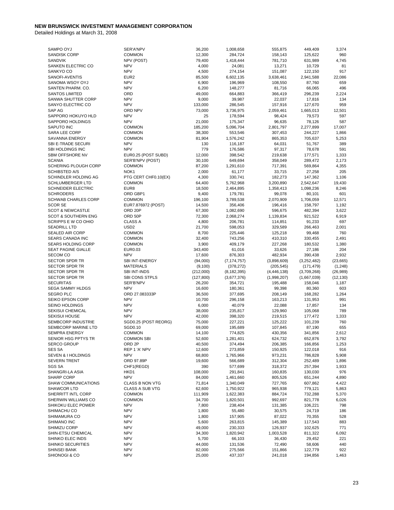| SAMPO OYJ                                | SER'A'NPV                | 36,200           | 1,008,658          | 555,875            | 449,409            | 3,374        |
|------------------------------------------|--------------------------|------------------|--------------------|--------------------|--------------------|--------------|
| <b>SANDISK CORP</b>                      | <b>COMMON</b>            | 12,300           | 284,724            | 158,143            | 125,622            | 960          |
| SANDVIK                                  | NPV (POST)               | 79,400           | 1,418,444          | 781,710            | 631,989            | 4,745        |
| SANKEN ELECTRIC CO                       | <b>NPV</b>               | 4,000            | 24,081             | 13,271             | 10,729             | 81           |
| SANKYO CO                                | <b>NPV</b>               | 4,500            | 274,154            | 151,087            | 122,150            | 917          |
| SANOFI-AVENTIS                           | EUR <sub>2</sub>         | 85,500           | 6,602,135          | 3,638,461          | 2,941,588          | 22,086       |
| SANOMA WSOY OYJ                          | <b>NPV</b>               | 6,900            | 196,969            | 108,550            | 87,760             | 659          |
| SANTEN PHARM, CO.                        | <b>NPV</b>               | 6,200            | 148,277            | 81,716             | 66,065             | 496          |
| <b>SANTOS LIMITED</b>                    | ORD                      | 49,000           | 664,883            | 366,419            | 296,239            | 2,224        |
| SANWA SHUTTER CORP                       | <b>NPV</b>               | 9,000            | 39,987             | 22,037             | 17,816             | 134          |
| SANYO ELECTRIC CO                        | <b>NPV</b>               | 133,000          | 286,545            | 157,916            | 127,670            | 959          |
| SAP AG                                   | ORD NPV                  | 73,000           | 3,736,975          | 2,059,461          | 1,665,013          | 12,501       |
| SAPPORO HOKUYO HLD                       | <b>NPV</b>               | 25               | 178,594            | 98,424             | 79,573             | 597          |
| SAPPORO HOLDINGS                         | <b>NPV</b>               | 21,000           | 175,347            | 96,635             | 78,126             | 587          |
| <b>SAPUTO INC</b>                        | <b>COMMON</b>            | 185,200          | 5,096,704          | 2,801,797          | 2,277,899          | 17,007       |
| SARA LEE CORP                            | <b>COMMON</b>            | 38,300           | 553,546            | 307,453            | 244,227            | 1,866        |
| SAVANNA ENERGY                           | <b>COMMON</b>            | 81,904           | 1,576,242          | 865,353            | 705,637            | 5,253        |
| SBI E-TRADE SECURI                       | <b>NPV</b>               | 130              | 116,187            | 64,031             | 51,767             | 389          |
| SBI HOLDINGS INC                         | <b>NPV</b>               | 779              | 176,586            | 97,317             | 78,678             | 591          |
| SBM OFFSHORE NV                          | EUR0.25 (POST SUBD)      | 12,000           | 398,542            | 219,638            | 177,571            | 1,333        |
| <b>SCANIA</b>                            | SER'B'NPV (POST)         | 30,100           | 649,694            | 358,049            | 289,472            | 2,173        |
| <b>SCHERING PLOUGH CORP</b>              | <b>COMMON</b>            | 87,200           | 1,291,610          | 717,391            | 569,864            | 4,355        |
| <b>SCHIBSTED A/S</b>                     | NOK1                     | 2,000            | 61,177             | 33,715             | 27,258             | 205          |
| SCHINDLER HOLDING AG                     | PTG CERT CHF0.10(EX)     | 4,300            | 330,741            | 182,273            | 147,362            | 1,106        |
| <b>SCHLUMBERGER LTD</b>                  | <b>COMMON</b>            | 64,400           | 5,762,968          | 3,200,890          | 2,542,647          | 19,430       |
| <b>SCHNEIDER ELECTRIC</b>                | EUR8                     | 18,500           | 2,464,895          | 1,358,413          | 1,098,236          | 8,246        |
| <b>SCHRODERS</b>                         | ORD GBP1                 | 9,400            | 179,781            | 99,078             | 80,101             | 601          |
| <b>SCHWAB CHARLES CORP</b>               | <b>COMMON</b>            | 196,100          | 3,789,538          | 2,070,909          | 1,706,059          | 12,571       |
| <b>SCOR SE</b>                           | EUR7.876972 (POST)       | 14,500           | 356,406            | 196,416            | 158,797            | 1,192        |
| <b>SCOT &amp; NEWCASTLE</b>              | ORD <sub>20P</sub>       | 67,300           | 1,082,690          | 596,675            | 482,394            | 3,622        |
| <b>SCOT &amp; SOUTHERN ENG</b>           | ORD 50P                  | 72,300           | 2,068,274          | 1,139,834          | 921,522            | 6,919        |
| SCRIPPS E W CO OHIO                      | <b>CLASS A</b>           | 4,800            | 206,781            | 114,851            | 91,233             | 697          |
| <b>SEADRILL LTD</b>                      | USD <sub>2</sub>         | 21,700           | 598,053            | 329,589            | 266,463            | 2,001        |
| <b>SEALED AIR CORP</b>                   | <b>COMMON</b>            | 8,700            | 225,446            | 125,218            | 99,468             | 760          |
| <b>SEARS CANADA INC</b>                  | <b>COMMON</b>            | 32,400           | 743,256            | 410,310            | 330,455            | 2,491        |
|                                          |                          |                  |                    |                    |                    |              |
| SEARS HOLDING CORP<br>SEAT PAGINE GIALLE | <b>COMMON</b><br>EUR0.03 | 3,900<br>343,400 | 409,179<br>61,016  | 227,268<br>33,626  | 180,532<br>27,186  | 1,380<br>204 |
|                                          |                          |                  |                    |                    |                    |              |
|                                          |                          |                  |                    |                    |                    |              |
| <b>SECOM CO</b>                          | <b>NPV</b>               | 17,600           | 876,303            | 482,934            | 390,438            | 2,932        |
| <b>SECTOR SPDR TR</b>                    | SBI INT-ENERGY           | (94,000)         | (7, 174, 757)      | (3,898,609)        | (3, 252, 482)      | (23, 665)    |
| <b>SECTOR SPDR TR</b>                    | <b>MATERIALS</b>         | (9, 100)         | (378, 272)         | (205, 545)         | (171, 479)         | (1, 248)     |
| <b>SECTOR SPDR TR</b>                    | <b>SBI INT-INDS</b>      | (212,000)        | (8, 182, 395)      | (4, 446, 138)      | (3,709,268)        | (26, 989)    |
| <b>SECTOR SPDR TR</b>                    | SBI CONS STPLS           | (127, 800)       | (3,677,376)        | (1,998,207)        | (1,667,039)        | (12, 130)    |
| <b>SECURITAS</b>                         | SER'B'NPV                | 26,200           | 354,721            | 195,488            | 158,046            | 1,187        |
| <b>SEGA SAMMY HLDGS</b>                  | <b>NPV</b>               | 16,600           | 180,361            | 99,398             | 80,360             | 603          |
| <b>SEGRO PLC</b>                         | ORD 27.083333P           | 36,500           | 377,695            | 208,149            | 168,282            | 1,264        |
| SEIKO EPSON CORP                         | <b>NPV</b>               | 10,700           | 296,158            | 163,213            | 131,953            | 991          |
| <b>SEINO HOLDINGS</b>                    | <b>NPV</b>               | 6,000            | 40,079             | 22,088             | 17,857             | 134          |
| <b>SEKISUI CHEMICAL</b>                  | <b>NPV</b>               | 38,000           | 235,817            | 129,960            | 105,068            | 789          |
| <b>SEKISUI HOUSE</b>                     | <b>NPV</b>               | 42,000           | 398,320            | 219,515            | 177,472            | 1,333        |
| SEMBCORP INDUSTRIE                       | SGD0.25 (POST REORG)     | 75,000           | 227,221            | 125,222            | 101,239            | 760          |
| SEMBCORP MARINE LTD                      | SGD0.10                  | 69,000           | 195,689            | 107,845            | 87,190             | 655          |
| <b>SEMPRA ENERGY</b>                     | <b>COMMON</b>            | 14,100           | 774,825            | 430,356            | 341,856            | 2,612        |
| SENIOR HSG PPTYS TR                      | <b>COMMON SBI</b>        | 52,600           | 1,281,401          | 624,732            | 652,876            | 3,792        |
| <b>SERCO GROUP</b>                       | ORD <sub>2P</sub>        | 40,500           | 374,494            | 206,385            | 166,856            | 1,253        |
| <b>SES SA</b>                            | REP 1'A' NPV             | 12,600           | 273,859            | 150,925            | 122,018            | 916          |
| SEVEN & I HOLDINGS                       | <b>NPV</b>               | 68,800           | 1,765,966          | 973,231            | 786,828            | 5,908        |
| <b>SEVERN TRENT</b>                      | ORD 97.89P               | 19,600           | 566,689            | 312,304            | 252,489            | 1,896        |
| SGS SA                                   | CHF1(REGD)               | 390              | 577,699            | 318,372            | 257,394            | 1,933        |
| SHANGRI-LA ASIA                          | HKD1                     | 108,000          | 291,841            | 160,835            | 130,030            | 976          |
| SHARP CORP                               | <b>NPV</b>               | 84,000           | 1,461,660          | 805,526            | 651,244            | 4,890        |
| SHAW COMMUNICATIONS                      | CLASS B NON VTG          | 71,814           | 1,340,049          | 727,765            | 607,862            | 4,422        |
| SHAWCOR LTD                              | CLASS A SUB VTG          | 62,600           | 1,750,922          | 965,938            | 779,121            | 5,863        |
| SHERRITT INTL CORP                       | <b>COMMON</b>            | 111,909          | 1,622,383          | 884,724            | 732,288            | 5,370        |
| SHERWIN WILLIAMS CO                      | <b>COMMON</b>            | 34,700           | 1,820,501          | 992,697            | 821,778            | 6,026        |
| SHIKOKU ELEC POWER                       | <b>NPV</b>               | 7,800            | 238,404            | 131,385            | 106,221            | 798          |
| SHIMACHU CO                              | <b>NPV</b>               | 1,800            | 55,480             | 30,575             | 24,719             | 186          |
| SHIMAMURA CO                             | <b>NPV</b>               | 1,800            | 157,905            | 87,022             | 70,355             | 528          |
| SHIMANO INC                              | <b>NPV</b>               | 5,600            | 263,815            | 145,389            | 117,543            | 883          |
| SHIMIZU CORP                             | <b>NPV</b>               | 49,000           | 230,333            | 126,937            | 102,625            | 771          |
| SHIN-ETSU CHEMICAL                       | <b>NPV</b>               | 34,300           | 1,820,942          | 1,003,528          | 811,322            | 6,092        |
| SHINKO ELEC INDS                         | <b>NPV</b>               | 5,700            | 66,103             | 36,430             | 29,452             | 221          |
| SHINKO SECURITIES                        | <b>NPV</b>               | 44,000           | 131,536            | 72,490             | 58,606             | 440          |
| SHINSEI BANK<br>SHIONOGI & CO            | <b>NPV</b><br><b>NPV</b> | 82,000<br>25,000 | 275,566<br>437,337 | 151,866<br>241,018 | 122,779<br>194,856 | 922<br>1,463 |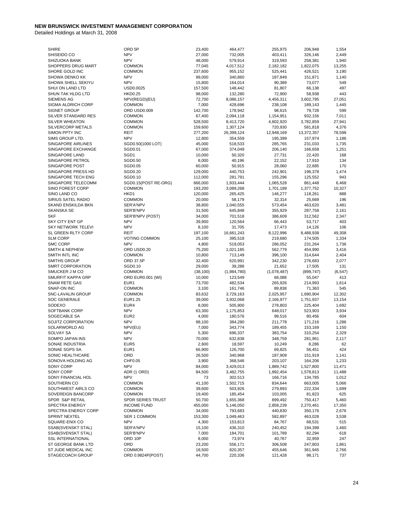| <b>SHIRE</b>              | ORD 5P               | 23,400    | 464,477     | 255,975     | 206,948    | 1,554    |
|---------------------------|----------------------|-----------|-------------|-------------|------------|----------|
| SHISEIDO CO               | <b>NPV</b>           | 27,000    | 732,005     | 403,411     | 326,146    | 2,449    |
| SHIZUOKA BANK             | <b>NPV</b>           | 48,000    | 579,914     | 319,593     | 258,381    | 1,940    |
| SHOPPERS DRUG MART        | <b>COMMON</b>        | 77,045    | 4,017,512   | 2,182,182   | 1,822,075  | 13,255   |
| SHORE GOLD INC            | <b>COMMON</b>        | 237,600   | 955,152     | 525,441     | 426,521    | 3,190    |
| <b>SHOWA DENKO KK</b>     | <b>NPV</b>           | 99,000    | 340,860     | 187,849     | 151,871    | 1,140    |
| SHOWA SHELL SEKIYU        | <b>NPV</b>           | 15,800    | 164,014     | 90,389      | 73,077     | 549      |
| SHUI ON LAND LTD          | USD0.0025            | 157,500   | 148,442     | 81,807      | 66,138     | 497      |
|                           |                      |           |             |             |            | 443      |
| SHUN TAK HLDG LTD         | <b>HKD0.25</b>       | 98,000    | 132,280     | 72,900      | 58,938     |          |
| <b>SIEMENS AG</b>         | NPV(REGD)(EU)        | 72,700    | 8,086,157   | 4,456,311   | 3,602,795  | 27,051   |
| SIGMA ALDRICH CORP        | <b>COMMON</b>        | 7,000     | 428,696     | 238,108     | 189,143    | 1,445    |
| <b>SIGNET GROUP</b>       | ORD USD0.009         | 142,700   | 178,942     | 98,615      | 79,728     | 599      |
| SILVER STANDARD RES       | <b>COMMON</b>        | 67,400    | 2,094,118   | 1,154,951   | 932,156    | 7,011    |
| <b>SILVER WHEATON</b>     | <b>COMMON</b>        | 528,500   | 8,413,720   | 4,602,920   | 3,782,859  | 27,941   |
| SILVERCORP METALS         | <b>COMMON</b>        | 159,600   | 1,307,124   | 720,930     | 581,818    | 4,376    |
| SIMON PPTY INC            | <b>REIT</b>          | 277,200   | 26,399,124  | 12,948,169  | 13,372,357 | 78,598   |
| SIMS GROUP LTD.           | <b>NPV</b>           | 12,800    | 354,559     | 195,399     | 157,974    | 1,186    |
| <b>SINGAPORE AIRLINES</b> | SGD0.50(1000 LOT)    | 45,000    | 518,533     | 285,765     | 231,033    | 1,735    |
| SINGAPORE EXCHANGE        | SGD0.01              | 67,000    | 374,049     | 206,140     | 166,658    | 1,251    |
| SINGAPORE LAND            | SGD1                 | 10,000    | 50,320      | 27,731      | 22,420     | 168      |
| SINGAPORE PETROL          | SGD0.50              | 8,000     | 40,196      | 22,152      | 17,910     | 134      |
| SINGAPORE POST            | SGD0.05              | 60,000    | 50,915      | 28,060      | 22,685     | 170      |
| SINGAPORE PRESS HD        | SGD0.20              | 129,000   | 440,753     | 242,901     | 196,378    | 1,474    |
| SINGAPORE TECH ENG        | SGD0.10              |           | 281,791     |             |            | 943      |
|                           |                      | 112,000   |             | 155,296     | 125,552    |          |
| SINGAPORE TELECOMM        | SGD0.15(POST RE-ORG) | 666,000   | 1,933,444   | 1,065,528   | 861,448    | 6,468    |
| <b>SINO FOREST CORP</b>   | <b>COMMON</b>        | 193,200   | 3,089,268   | 1,701,189   | 1,377,752  | 10,327   |
| SINO LAND CO              | HKD1                 | 120,000   | 265,425     | 146,277     | 118,261    | 888      |
| SIRIUS SATEL RADIO        | <b>COMMON</b>        | 20,000    | 58,179      | 32,314      | 25,669     | 196      |
| SKAND ENSKILDA BKN        | SER'A'NPV            | 38,800    | 1,040,555   | 573,454     | 463,620    | 3,481    |
| <b>SKANSKA SE</b>         | SER'B'NPV            | 31,500    | 645,848     | 355,929     | 287,758    | 2,161    |
| <b>SKF</b>                | SER'B'NPV (POST)     | 34,000    | 701,518     | 386,609     | 312,562    | 2,347    |
| <b>SKY CITY ENT GP</b>    | <b>NPV</b>           | 39,900    | 120,564     | 66,443      | 53,717     | 403      |
| <b>SKY NETWORK TELEVI</b> | <b>NPV</b>           | 8,100     | 31,705      | 17,473      | 14,126     | 106      |
|                           |                      |           |             | 8,122,996   |            |          |
| SL GREEN RLTY CORP        | REIT                 | 197,100   | 16,661,243  |             | 8,488,938  | 49,308   |
| <b>SLM CORP</b>           | <b>VOTING COMMON</b> | 25,100    | 395,518     | 219,680     | 174,505    | 1,334    |
| <b>SMC CORP</b>           | <b>NPV</b>           | 4,800     | 519,053     | 286,052     | 231,264    | 1,736    |
| SMITH & NEPHEW            | ORD USD0.20          | 75,200    | 1,021,185   | 562,779     | 454,990    | 3,416    |
| SMITH INTL INC            | <b>COMMON</b>        | 10,800    | 713,149     | 396,100     | 314,644    | 2,404    |
| <b>SMITHS GROUP</b>       | ORD 37.5P            | 32,400    | 620,991     | 342,230     | 276,683    | 2,077    |
| SMRT CORPORATION          | SGD0.10              | 29,000    | 39,288      | 21,652      | 17,505     | 131      |
| SMUCKER J M CO            | <b>COMMON</b>        | (38, 100) | (1,984,780) | (1,078,487) | (899, 747) | (6, 547) |
| <b>SMURFIT KAPPA GRP</b>  | ORD EUR0.001 (WI)    | 10,000    | 123,549     | 68,088      | 55,047     | 413      |
| <b>SNAM RETE GAS</b>      | EUR <sub>1</sub>     | 73,700    | 482,534     | 265,926     | 214,993    | 1,614    |
| SNAP-ON INC               | <b>COMMON</b>        | 3,100     | 161,746     | 89,838      | 71,363     | 545      |
|                           |                      |           |             |             |            |          |
| <b>SNC-LAVALIN GROUP</b>  | <b>COMMON</b>        | 83,632    | 3,729,163   | 2,025,957   | 1,690,904  | 12,302   |
| <b>SOC GENERALE</b>       | EUR1.25              | 39,000    | 3,932,068   | 2,166,977   | 1,751,937  | 13,154   |
| SODEXO                    | EUR4                 | 8,000     | 505,900     | 278,803     | 225,404    | 1,692    |
| <b>SOFTBANK CORP</b>      | <b>NPV</b>           | 63,300    | 1,175,853   | 648,017     | 523,903    | 3,934    |
| SOGECABLE SA              | EUR <sub>2</sub>     | 4,000     | 180,576     | 99,516      | 80,456     | 604      |
| SOJITZ CORPORATION        | <b>NPV</b>           | 98,100    | 384,280     | 211,778     | 171,216    | 1,286    |
| SOLARWORLD AG             | NPV(EU)              | 7,000     | 343,774     | 189,455     | 153,169    | 1,150    |
| SOLVAY SA                 | <b>NPV</b>           | 5,300     | 696,337     | 383,754     | 310,254    | 2,329    |
| SOMPO JAPAN INS           | <b>NPV</b>           | 70,000    | 632,838     | 348,759     | 281,961    | 2,117    |
| SONAE INDUSTRIA           | EUR5                 | 2,600     | 18,597      | 10,249      | 8,286      | 62       |
| SONAE SGPS SA             | EUR <sub>1</sub>     | 66,900    | 126,700     | 69,825      | 56,451     | 424      |
| SONIC HEALTHCARE          |                      |           |             |             |            |          |
|                           | ORD                  | 26,500    | 340,968     | 187,909     | 151,919    | 1,141    |
| SONOVA HOLDING AG         | CHF0.05              | 3,900     | 368,546     | 203,107     | 164,206    | 1,233    |
| SONY CORP                 | <b>NPV</b>           | 84,000    | 3,429,013   | 1,889,742   | 1,527,800  | 11,471   |
| SONY CORP                 | ADR (1 ORD)          | 84,500    | 3,482,755   | 1,892,454   | 1,578,813  | 11,488   |
| SONY FINANCIAL HOL        | <b>NPV</b>           | 73        | 302,513     | 166,716     | 134,785    | 1,012    |
| SOUTHERN CO               | <b>COMMON</b>        | 41,100    | 1,502,715   | 834,644     | 663,005    | 5,066    |
| SOUTHWEST AIRLS CO        | <b>COMMON</b>        | 39,600    | 503,926     | 279,893     | 222,334    | 1,699    |
| SOVEREIGN BANCORP         | <b>COMMON</b>        | 19,400    | 185,454     | 103,005     | 81,823     | 625      |
| SPDR S&P RETAIL           | SPDR SERIES TRUST    | 50,700    | 1,655,368   | 899,492     | 750,417    | 5,460    |
| SPECTRA ENERGY            | <b>INCOME FUND</b>   | 455,000   | 5,146,050   | 2,858,239   | 2,270,461  | 17,350   |
|                           |                      |           | 793,683     |             |            |          |
| SPECTRA ENERGY CORP       | <b>COMMON</b>        | 34,000    |             | 440,830     | 350,176    | 2,676    |
| SPRINT NEXTEL             | SER 1 COMMON         | 153,300   | 1,049,463   | 582,897     | 463,028    | 3,538    |
| SQUARE-ENIX CO            | <b>NPV</b>           | 4,300     | 153,813     | 84,767      | 68,531     | 515      |
| SSAB(SVENSKT STAL)        | SER'A'NPV            | 15,100    | 436,310     | 240,452     | 194,398    | 1,460    |
| SSAB(SVENSKT STAL)        | SER'B'NPV            | 7,000     | 184,701     | 101,789     | 82,294     | 618      |
| <b>SSL INTERNATIONAL</b>  | ORD 10P              | 8,000     | 73,974      | 40,767      | 32,959     | 247      |
| ST GEORGE BANK LTD        | ORD                  | 23,200    | 556,171     | 306,508     | 247,803    | 1,861    |
| ST JUDE MEDICAL INC       | <b>COMMON</b>        | 18,500    | 820,357     | 455,646     | 361,945    | 2,766    |
| STAGECOACH GROUP          | ORD 0.9824P(POST)    | 44,700    | 220,336     | 121,428     | 98,171     | 737      |
|                           |                      |           |             |             |            |          |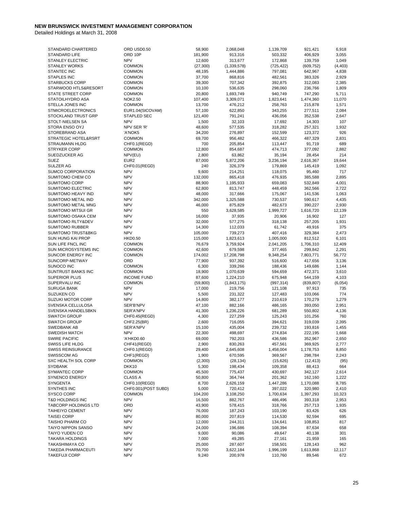| STANDARD CHARTERED              | ORD USD0.50          | 58,900    | 2,068,048     | 1,139,709  | 921,421    | 6,918    |
|---------------------------------|----------------------|-----------|---------------|------------|------------|----------|
| STANDARD LIFE                   | ORD 10P              | 181,900   | 913,316       | 503,332    | 406,929    | 3,055    |
| <b>STANLEY ELECTRIC</b>         | <b>NPV</b>           | 12,600    | 313,677       | 172,868    | 139,759    | 1,049    |
| <b>STANLEY WORKS</b>            | <b>COMMON</b>        | (27, 300) | (1, 339, 578) | (725, 422) | (609, 752) | (4, 403) |
|                                 |                      |           |               |            |            |          |
| <b>STANTEC INC</b>              | <b>COMMON</b>        | 48,195    | 1,444,886     | 797,081    | 642,967    | 4,838    |
| <b>STAPLES INC</b>              | <b>COMMON</b>        | 37,700    | 868,816       | 482,561    | 383,326    | 2,929    |
| <b>STARBUCKS CORP</b>           | <b>COMMON</b>        | 39,300    | 707,342       | 392,875    | 312,083    | 2,385    |
| STARWOOD HTLS&RESORT            | <b>COMMON</b>        | 10,100    | 536,635       | 298,060    | 236,766    | 1,809    |
| <b>STATE STREET CORP</b>        | <b>COMMON</b>        | 20,800    | 1,693,749     | 940,749    | 747,290    | 5,711    |
| STATOILHYDRO ASA                | <b>NOK2.50</b>       | 107,400   | 3,309,071     | 1,823,641  | 1,474,360  | 11,070   |
|                                 |                      |           |               |            |            |          |
| STELLA JONES INC                | <b>COMMON</b>        | 13,700    | 476,212       | 258,763    | 215,878    | 1,571    |
| <b>STMICROELECTRONICS</b>       | EUR1.04(SICOVAM)     | 57,100    | 622,850       | 343,255    | 277,511    | 2,084    |
| STOCKLAND TRUST GRP             | <b>STAPLED SEC</b>   | 121,400   | 791,241       | 436,056    | 352,538    | 2,647    |
| STOLT-NIELSEN SA                | <b>NPV</b>           | 1,500     | 32,103        | 17,692     | 14,303     | 107      |
| STORA ENSO OYJ                  | NPV SER 'R'          | 48,600    | 577,535       | 318,282    | 257,321    | 1,932    |
| STOREBRAND ASA                  |                      |           |               |            |            |          |
|                                 | 'A'NOK5              | 34,200    | 276,897       | 152,599    | 123,372    | 926      |
| <b>STRATEGIC HOTEL&amp;RSRT</b> | <b>COMMON</b>        | 69,700    | 956,482       | 466,322    | 487,329    | 2,831    |
| <b>STRAUMANN HLDG</b>           | CHF0.1(REGD)         | 700       | 205,854       | 113,447    | 91,719     | 689      |
| <b>STRYKER CORP</b>             | <b>COMMON</b>        | 12,800    | 854,687       | 474,713    | 377,092    | 2,882    |
| SUEDZUCKER AG                   | NPV(EU)              | 2,800     | 63,862        | 35,194     | 28,454     | 214      |
| <b>SUEZ</b>                     | EUR <sub>2</sub>     | 87,000    | 5,872,206     | 3,236,194  | 2,616,367  | 19,644   |
|                                 |                      |           |               |            |            |          |
| SULZER AG                       | CHF0.01(REGD)        | 240       | 326,379       | 179,869    | 145,419    | 1,092    |
| SUMCO CORPORATION               | <b>NPV</b>           | 9,600     | 214,251       | 118,075    | 95,460     | 717      |
| SUMITOMO CHEM CO                | <b>NPV</b>           | 132,000   | 865,418       | 476,935    | 385,588    | 2,895    |
| <b>SUMITOMO CORP</b>            | <b>NPV</b>           | 88,900    | 1,195,933     | 659,083    | 532,849    | 4,001    |
| SUMITOMO ELECTRIC               | <b>NPV</b>           | 62,800    | 813,747       | 448,459    | 362,566    | 2,722    |
|                                 | <b>NPV</b>           |           |               |            | 141,536    | 1,063    |
| SUMITOMO HEAVY IND              |                      | 48,000    | 317,666       | 175,067    |            |          |
| SUMITOMO METAL IND              | <b>NPV</b>           | 342,000   | 1,325,588     | 730,537    | 590,617    | 4,435    |
| <b>SUMITOMO METAL MNG</b>       | <b>NPV</b>           | 46,000    | 875,829       | 482,673    | 390,227    | 2,930    |
| SUMITOMO MITSUI GR              | <b>NPV</b>           | 550       | 3,628,585     | 1,999,727  | 1,616,720  | 12,139   |
| SUMITOMO OSAKA CEM              | <b>NPV</b>           | 16,000    | 37,935        | 20,906     | 16,902     | 127      |
| SUMITOMO RLTY&DEV               | <b>NPV</b>           | 32,000    | 577,275       | 318,138    | 257,205    | 1,931    |
|                                 |                      |           |               |            |            |          |
| <b>SUMITOMO RUBBER</b>          | <b>NPV</b>           | 14,300    | 112,033       | 61,742     | 49,916     | 375      |
| <b>SUMITOMO TRUST&amp;BKG</b>   | <b>NPV</b>           | 105,000   | 739,273       | 407,416    | 329,384    | 2,473    |
| SUN HUNG KAI PROP               | <b>HKD0.50</b>       | 115,000   | 1,823,613     | 1,005,000  | 812,512    | 6,101    |
| SUN LIFE FNCL INC               | <b>COMMON</b>        | 76,679    | 3,759,924     | 2,041,205  | 1,706,310  | 12,409   |
| SUN MICROSYSTEMS INC            | <b>COMMON</b>        | 42,600    | 679,598       | 377,465    | 299,842    | 2,291    |
| SUNCOR ENERGY INC               | <b>COMMON</b>        | 174,002   | 17,208,798    | 9,348,254  | 7,803,771  | 56,772   |
|                                 |                      |           |               |            |            |          |
| SUNCORP-METWAY                  | ORD                  | 77,900    | 937,392       | 516,600    | 417,656    | 3,136    |
| SUNOCO INC                      | <b>COMMON</b>        | 6,300     | 339,266       | 188,436    | 149,686    | 1,144    |
| SUNTRUST BANKS INC              | <b>COMMON</b>        | 18,900    | 1,070,639     | 594,659    | 472,371    | 3,610    |
| <b>SUPERIOR PLUS</b>            | <b>INCOME FUND</b>   | 87,600    | 1,224,210     | 675,948    | 544,159    | 4,103    |
| SUPERVALU INC                   | <b>COMMON</b>        | (59, 800) | (1,843,175)   | (997, 314) | (839, 807) | (6,054)  |
| <b>SURUGA BANK</b>              | <b>NPV</b>           | 17,000    | 219,756       | 121,108    | 97,913     | 735      |
|                                 |                      |           |               |            |            |          |
| <b>SUZUKEN CO</b>               | <b>NPV</b>           | 5,500     | 231,322       | 127,483    | 103,066    | 774      |
| <b>SUZUKI MOTOR CORP</b>        | <b>NPV</b>           | 14,800    | 382,177       | 210,619    | 170,279    | 1,279    |
| SVENSKA CELLULOSA               | SER'B'NPV            | 47,100    | 882,166       | 486,165    | 393,050    | 2,951    |
| SVENSKA HANDELSBKN              | SER'A'NPV            | 41,300    | 1,236,226     | 681,289    | 550,802    | 4,136    |
| <b>SWATCH GROUP</b>             | CHF0.45(REGD)        | 4,300     | 227,259       | 125,243    | 101,256    | 760      |
| <b>SWATCH GROUP</b>             | CHF2.25(BR)          | 2,600     | 716,055       | 394,621    | 319,039    | 2,395    |
|                                 |                      |           |               |            |            |          |
| SWEDBANK AB                     | SER'A'NPV            | 15,100    | 435,004       | 239,732    | 193,816    | 1,455    |
| <b>SWEDISH MATCH</b>            | <b>NPV</b>           | 22,300    | 498,697       | 274,834    | 222,195    | 1,668    |
| <b>SWIRE PACIFIC</b>            | 'A'HKD0.60           | 69,000    | 792,203       | 436,586    | 352,967    | 2,650    |
| SWISS LIFE HLDG                 | CHF41(REGD)          | 2,900     | 830,263       | 457,561    | 369,925    | 2,777    |
| <b>SWISS REINSURANCE</b>        | CHF0.1(REGD)         | 29,400    | 2,645,608     | 1,458,004  | 1,178,753  | 8,850    |
| SWISSCOM AG                     | CHF1(REGD)           | 1,900     | 670,595       | 369,567    | 298,784    | 2,243    |
|                                 |                      |           |               |            |            |          |
| SXC HEALTH SOL CORP             | <b>COMMON</b>        | (2,300)   | (28, 134)     | (15, 626)  | (12, 413)  | (95)     |
| <b>SYDBANK</b>                  | DKK10                | 5,300     | 198,434       | 109,358    | 88,413     | 664      |
| SYMANTEC CORP                   | <b>COMMON</b>        | 45,500    | 775,437       | 430,697    | 342,127    | 2,614    |
| <b>SYNENCO ENERGY</b>           | <b>CLASS A</b>       | 50,800    | 364,744       | 201,362    | 162,160    | 1,222    |
| SYNGENTA                        | CHF0.10(REGD)        | 8,700     | 2,626,159     | 1,447,286  | 1,170,088  | 8,785    |
| SYNTHES INC                     | CHF0.001 (POST SUBD) | 5,000     | 720,412       | 397,022    | 320,980    | 2,410    |
|                                 |                      |           |               |            |            |          |
| SYSCO CORP                      | <b>COMMON</b>        | 104,200   | 3,108,250     | 1,700,634  | 1,397,293  | 10,323   |
| T&D HOLDINGS INC                | <b>NPV</b>           | 16,500    | 882,767       | 486,496    | 393,318    | 2,953    |
| <b>TABCORP HOLDINGS LTD</b>     | ORD                  | 43,900    | 578,415       | 318,766    | 257,713    | 1,935    |
| <b>TAIHEIYO CEMENT</b>          | <b>NPV</b>           | 76,000    | 187,243       | 103,190    | 83,426     | 626      |
| <b>TAISEI CORP</b>              | <b>NPV</b>           | 80,000    | 207,819       | 114,530    | 92,594     | 695      |
| TAISHO PHARM CO                 | <b>NPV</b>           | 12,000    | 244,311       | 134,641    | 108,853    | 817      |
|                                 |                      |           |               |            |            |          |
| TAIYO NIPPON SANSO              | <b>NPV</b>           | 24,000    | 196,686       | 108,394    | 87,634     | 658      |
| TAIYO YUDEN CO                  | <b>NPV</b>           | 9,000     | 90,086        | 49,647     | 40,138     | 301      |
| <b>TAKARA HOLDINGS</b>          | <b>NPV</b>           | 7,000     | 49,285        | 27,161     | 21,959     | 165      |
| <b>TAKASHIMAYA CO</b>           | <b>NPV</b>           | 25,000    | 287,607       | 158,501    | 128,143    | 962      |
| TAKEDA PHARMACEUTI              | <b>NPV</b>           | 70,700    | 3,622,184     | 1,996,199  | 1,613,868  | 12,117   |
| <b>TAKEFUJI CORP</b>            | <b>NPV</b>           | 9,240     | 200,978       | 110,760    | 89,546     | 672      |
|                                 |                      |           |               |            |            |          |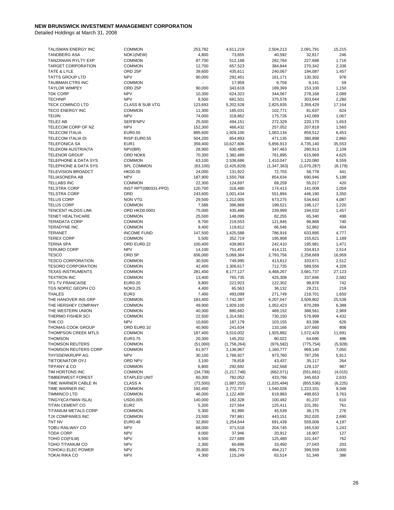| TALISMAN ENERGY INC             | <b>COMMON</b>          | 253,782   | 4,611,219     | 2,504,213     | 2,091,791   | 15,215   |
|---------------------------------|------------------------|-----------|---------------|---------------|-------------|----------|
|                                 |                        |           |               |               |             |          |
| <b>TANDBERG ASA</b>             | NOK1(NEW)              | 4,800     | 73,655        | 40,592        | 32,817      | 246      |
| TANZANIAN RYLTY EXP             | <b>COMMON</b>          | 87,700    | 512,168       | 282,764       | 227,688     | 1,716    |
| <b>TARGET CORPORATION</b>       | <b>COMMON</b>          | 12,700    | 657,523       | 384,844       | 270,342     | 2,336    |
| TATE & LYLE                     | ORD <sub>25P</sub>     | 39,600    | 435,611       | 240,067       | 194,087     | 1,457    |
| <b>TATTS GROUP LTD</b>          | <b>NPV</b>             | 90,000    | 292,451       | 161,171       | 130,302     | 978      |
|                                 |                        |           |               |               |             | 59       |
| TAUBMAN CTRS INC                | <b>COMMON</b>          |           | 17,959        | 9,759         | 8,141       |          |
| <b>TAYLOR WIMPEY</b>            | ORD <sub>25P</sub>     | 90,000    | 343,618       | 189,369       | 153,100     | 1,150    |
| <b>TDK CORP</b>                 | <b>NPV</b>             | 10,300    | 624,323       | 344,067       | 278,168     | 2,089    |
| <b>TECHNIP</b>                  | <b>NPV</b>             | 8,500     | 681,501       | 375,578       | 303,644     | 2,280    |
| <b>TECK COMINCO LTD</b>         | <b>CLASS B SUB VTG</b> | 123,693   | 5,202,528     | 2,825,935     | 2,359,429   | 17,164   |
|                                 |                        |           |               |               |             |          |
| <b>TECO ENERGY INC</b>          | <b>COMMON</b>          | 11,300    | 185,031       | 102,771       | 81,637      | 624      |
| <b>TEIJIN</b>                   | <b>NPV</b>             | 74,000    | 318,862       | 175,726       | 142,069     | 1,067    |
| TELE2 AB                        | SER'B'NPV              | 25,500    | 494,151       | 272,329       | 220,170     | 1,653    |
| TELECOM CORP OF NZ              | <b>NPV</b>             | 152,300   | 466,432       | 257,052       | 207,819     | 1,560    |
| <b>TELECOM ITALIA</b>           | EUR0.55                | 895,600   | 1,929,100     | 1,063,134     | 859,512     | 6,453    |
|                                 |                        |           |               |               |             |          |
| TELECOM ITALIA DI               | RISP EUR0.55           | 504,200   | 854,893       | 471,135       | 380,898     | 2,860    |
| <b>TELEFONICA SA</b>            | EUR <sub>1</sub>       | 359,400   | 10,627,606    | 5,856,913     | 4,735,140   | 35,553   |
| <b>TELEKOM AUSTRIA(TA</b>       | NPV(BR)                | 28,900    | 630,485       | 347,463       | 280,913     | 2,109    |
| <b>TELENOR GROUP</b>            | ORD NOK6               | 70,300    | 1,382,489     | 761,895       | 615,969     | 4,625    |
| <b>TELEPHONE &amp; DATA SYS</b> | <b>COMMON</b>          | 63,100    | 2,538,686     | 1,410,047     | 1,120,080   | 8,559    |
|                                 |                        |           |               |               |             |          |
| <b>TELEPHONE &amp; DATA SYS</b> | SPL COMMON             | (63, 100) | (2,425,829)   | (1, 347, 363) | (1,070,287) | (8, 179) |
| <b>TELEVISION BROADCT</b>       | <b>HKD0.05</b>         | 24,000    | 131,922       | 72,703        | 58,778      | 441      |
| <b>TELIASONERA AB</b>           | <b>NPV</b>             | 187,900   | 1,550,768     | 854,634       | 690,946     | 5,188    |
| <b>TELLABS INC</b>              | <b>COMMON</b>          | 22,300    | 124,697       | 69,259        | 55,017      | 420      |
|                                 |                        |           |               |               |             |          |
| <b>TELSTRA CORP</b>             | INST RPT(080331-PPD)   | 120,700   | 316,480       | 174,413       | 141,008     | 1,059    |
| <b>TELSTRA CORP</b>             | ORD                    | 243,600   | 1,001,434     | 551,894       | 446,190     | 3,350    |
| <b>TELUS CORP</b>               | <b>NON VTG</b>         | 29,500    | 1,212,005     | 673,275       | 534,643     | 4,087    |
| <b>TELUS CORP</b>               | <b>COMMON</b>          | 7,586     | 396,868       | 199,521       | 196,127     | 1,220    |
| TENCENT HLDGS LIMI              | ORD HKD0.0001          | 75,000    | 435,488       | 239,999       | 194,032     | 1,457    |
|                                 |                        |           |               |               |             |          |
| TENET HEALTHCARE                | <b>COMMON</b>          | 25,500    | 148,095       | 82,255        | 65,340      | 499      |
| <b>TERADATA CORP</b>            | <b>COMMON</b>          | 9,700     | 219,553       | 121,945       | 96,868      | 740      |
| <b>TERADYNE INC</b>             | <b>COMMON</b>          | 9,400     | 119,812       | 66,546        | 52,862      | 404      |
| <b>TERANET</b>                  | <b>INCOME FUND</b>     | 147,500   | 1,425,588     | 786,916       | 633,895     | 4,777    |
|                                 |                        |           |               |               |             |          |
| <b>TEREX CORP</b>               | <b>COMMON</b>          | 5,500     | 352,719       | 195,908       | 155,621     | 1,189    |
| <b>TERNA SPA</b>                | ORD EUR0.22            | 100,400   | 439,863       | 242,410       | 195,981     | 1,471    |
| <b>TERUMO CORP</b>              | <b>NPV</b>             | 14,100    | 751,457       | 414,131       | 334,813     | 2,514    |
| <b>TESCO</b>                    | ORD <sub>5P</sub>      | 656,000   | 5,069,384     | 2,793,756     | 2,258,669   | 16,959   |
| <b>TESCO CORPORATION</b>        | <b>COMMON</b>          | 30,500    | 749,995       | 413,812       | 333,671     | 2,512    |
|                                 |                        |           |               |               |             |          |
| <b>TESORO CORPORATION</b>       | <b>COMMON</b>          | 42,400    | 1,306,617     | 712,735       | 589,556     | 4,326    |
| <b>TEXAS INSTRUMENTS</b>        | <b>COMMON</b>          | 281,400   | 8,177,127     | 4,468,267     | 3,681,737   | 27,123   |
| <b>TEXTRON INC</b>              | <b>COMMON</b>          | 13,400    | 765,735       | 425,308       | 337,846     | 2,582    |
| TF1-TV FRANCAISE                | EUR0.20                | 9,800     | 221,923       | 122,302       | 98,878      | 742      |
| TGS NOPEC GEOPH CO              | <b>NOK0.25</b>         | 4,400     | 65,563        | 36,132        | 29,211      | 219      |
|                                 |                        |           |               |               |             |          |
| <b>THALES</b>                   | EUR <sub>3</sub>       | 7,400     | 493,099       | 271,749       | 219,701     | 1,650    |
| THE HANOVER INS GRP             | <b>COMMON</b>          | 183,400   | 7,742,387     | 4,207,047     | 3,509,802   | 25,538   |
| THE HERSHEY COMPANY             | <b>COMMON</b>          | 49,900    | 1,929,100     | 1,052,423     | 870,289     | 6,388    |
| THE WESTERN UNION               | <b>COMMON</b>          | 40,300    | 880,682       | 489,152       | 388,561     | 2,969    |
| THERMO FISHER SCI               | <b>COMMON</b>          |           | 1,314,581     |               |             | 4,432    |
|                                 |                        | 22,500    |               | 730,150       | 579,999     |          |
| THK CO                          | <b>NPV</b>             | 10,600    | 187,179       | 103,155       | 83,398      | 626      |
| THOMAS COOK GROUP               | ORD EUR0.10            | 40,900    | 241,634       | 133,166       | 107,660     | 808      |
| <b>THOMPSON CREEK MTLS</b>      | <b>COMMON</b>          | 187,400   | 3,510,002     | 1,925,882     | 1,572,429   | 11,691   |
| <b>THOMSON</b>                  | <b>EUR3.75</b>         | 20,300    | 145,202       | 80,022        | 64,695      | 486      |
| <b>THOMSON REUTERS</b>          | <b>COMMON</b>          | (51,000)  | (1,758,264)   | (976, 582)    | (775, 754)  |          |
|                                 |                        |           |               |               |             | (5,928)  |
| THOMSON REUTERS CORP            | <b>COMMON</b>          | 61,977    | 2,136,967     | 1,160,777     | 969,140     | 7,050    |
| THYSSENKRUPP AG                 | <b>NPV</b>             | 30,100    | 1,766,927     | 973,760       | 787,256     | 5,911    |
| TIETOENATOR OYJ                 | ORD NPV                | 3,100     | 78,818        | 43,437        | 35,117      | 264      |
| <b>TIFFANY &amp; CO</b>         | <b>COMMON</b>          | 6,800     | 292,692       | 162,568       | 129,137     | 987      |
|                                 |                        |           |               |               |             |          |
| TIM HORTONS INC                 | <b>COMMON</b>          | (34, 739) | (1, 217, 748) | (662, 071)    | (551, 661)  | (4,015)  |
| <b>TIMBERWEST FOREST</b>        | STAPLED UNIT           | 60,300    | 782,053       | 433,766       | 345,653     | 2,633    |
| TIME WARNER CABLE IN            | <b>CLASS A</b>         | (73, 500) | (1,887,255)   | (1,025,494)   | (855, 536)  | (6, 225) |
| TIME WARNER INC                 | <b>COMMON</b>          | 192,400   | 2,772,707     | 1,540,028     | 1,223,331   | 9,348    |
| <b>TIMMINCO LTD</b>             | <b>COMMON</b>          | 46,000    | 1,122,400     | 619,983       | 498,653     | 3,763    |
|                                 |                        |           |               |               |             |          |
| TINGYI(CAYMAN ISLA)             | USD0.005               | 140,000   | 182,328       | 100,482       | 81,237      | 610      |
| TITAN CEMENT CO                 | EUR <sub>2</sub>       | 5,200     | 227,564       | 125,411       | 101,391     | 761      |
| <b>TITANIUM METALS CORP</b>     | <b>COMMON</b>          | 5,300     | 81,990        | 45,539        | 36,175      | 276      |
| TJX COMPANIES INC               | <b>COMMON</b>          | 23,500    | 797,861       | 443,151       | 352,020     | 2,690    |
| TNT NV                          | EUR0.48                | 32,800    | 1,254,644     | 691,439       | 559,008     | 4,197    |
|                                 |                        |           |               |               |             |          |
| <b>TOBU RAILWAY CO</b>          | <b>NPV</b>             | 68,000    | 371,518       | 204,745       | 165,530     | 1,243    |
| <b>TODA CORP</b>                | <b>NPV</b>             | 9,000     | 37,946        | 20,912        | 16,907      | 127      |
| TOHO CO(FILM)                   | <b>NPV</b>             | 9,500     | 227,689       | 125,480       | 101,447     | 762      |
| TOHO TITANIUM CO                | <b>NPV</b>             | 2,300     | 60,696        | 33,450        | 27,043      | 203      |
| TOHOKU ELEC POWER               | <b>NPV</b>             | 35,800    | 896,776       | 494,217       | 399,559     | 3,000    |
|                                 |                        |           |               |               |             |          |
| <b>TOKAI RIKA CO</b>            | <b>NPV</b>             | 4,300     | 115,249       | 63,514        | 51,349      | 386      |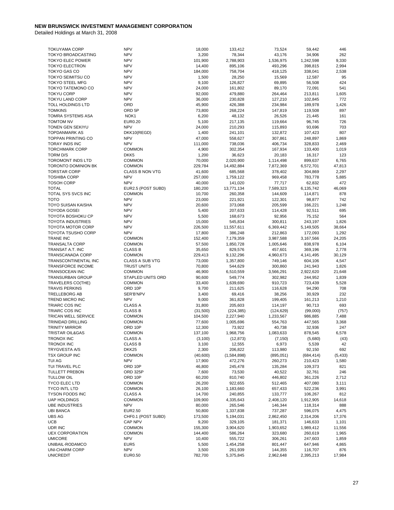| <b>TOKUYAMA CORP</b>                                   | <b>NPV</b>                     | 18,000             | 133,412                | 73,524               | 59,442               | 446             |
|--------------------------------------------------------|--------------------------------|--------------------|------------------------|----------------------|----------------------|-----------------|
| TOKYO BROADCASTING                                     | <b>NPV</b>                     | 3,200              | 78,344                 | 43,176               | 34,906               | 262             |
| <b>TOKYO ELEC POWER</b>                                | <b>NPV</b>                     | 101,900            | 2,788,903              | 1,536,975            | 1,242,598            | 9,330           |
| <b>TOKYO ELECTRON</b>                                  | <b>NPV</b>                     | 14,400             | 895,106                | 493,296              | 398,815              | 2,994           |
| <b>TOKYO GAS CO</b>                                    | <b>NPV</b>                     | 184,000            | 758,704                | 418,125              | 338,041              | 2,538           |
| TOKYO SEIMITSU CO                                      | <b>NPV</b>                     | 1,500              | 28,250                 | 15,569               | 12,587               | 95              |
| <b>TOKYO STEEL MFG</b>                                 | <b>NPV</b>                     | 9,100              | 126,827                | 69,895               | 56,508               | 424             |
| TOKYO TATEMONO CO                                      | <b>NPV</b>                     | 24,000             | 161,802                | 89,170               | 72,091               | 541             |
| <b>TOKYU CORP</b>                                      | <b>NPV</b>                     | 92,000             | 479,880                | 264,464              | 213,811              | 1,605           |
| <b>TOKYU LAND CORP</b>                                 | <b>NPV</b>                     | 36,000             | 230,828                | 127,210              | 102,845              | 772             |
| TOLL HOLDINGS LTD<br><b>TOMKINS</b>                    | ORD<br>ORD <sub>5P</sub>       | 45,900<br>73,800   | 426,388<br>268,224     | 234,984<br>147,819   | 189,978<br>119,508   | 1,426<br>897    |
| TOMRA SYSTEMS ASA                                      | NOK <sub>1</sub>               | 6,200              | 48,132                 | 26,526               | 21,445               | 161             |
| <b>TOMTOM NV</b>                                       | <b>EUR0.20</b>                 | 5,100              | 217,135                | 119,664              | 96,745               | 726             |
| TONEN GEN SEKIYU                                       | <b>NPV</b>                     | 24,000             | 210,293                | 115,893              | 93,696               | 703             |
| <b>TOPDANMARK AS</b>                                   | DKK10(REGD)                    | 1,400              | 241,101                | 132,872              | 107,423              | 807             |
| <b>TOPPAN PRINTING CO</b>                              | <b>NPV</b>                     | 47,000             | 558,627                | 307,861              | 248,897              | 1,869           |
| <b>TORAY INDS INC</b>                                  | <b>NPV</b>                     | 111,000            | 738,036                | 406,734              | 328,833              | 2,469           |
| <b>TORCHMARK CORP</b>                                  | <b>COMMON</b>                  | 4,900              | 302,354                | 167,934              | 133,400              | 1,019           |
| <b>TORM D/S</b>                                        | DKK <sub>5</sub>               | 1,200              | 36,623                 | 20,183               | 16,317               | 123             |
| <b>TOROMONT INDS LTD</b>                               | <b>COMMON</b>                  | 70,000             | 2,020,900              | 1,114,498            | 899,637              | 6,765           |
| <b>TORONTO DOMINION BK</b>                             | <b>COMMON</b>                  | 229,784            | 14,492,884             | 7,872,369            | 6,572,701            | 47,813          |
| <b>TORSTAR CORP</b>                                    | <b>CLASS B NON VTG</b>         | 41,600             | 685,568                | 378,402              | 304,869              | 2,297           |
| <b>TOSHIBA CORP</b>                                    | <b>NPV</b>                     | 257,000            | 1,759,122              | 969,458              | 783,778              | 5,885           |
| <b>TOSOH CORP</b>                                      | <b>NPV</b>                     | 40,000             | 141,020                | 77,717               | 62,832               | 472             |
| <b>TOTAL</b>                                           | EUR2.5 (POST SUBD)             | 180,200            | 13,771,134             | 7,589,323            | 6,135,742            | 46,069          |
| TOTAL SYS SVCS INC                                     | <b>COMMON</b>                  | 10,700             | 260,358                | 144,609              | 114,871              | 878             |
| <b>TOTO</b>                                            | <b>NPV</b>                     | 23,000             | 221,921                | 122,301              | 98,877               | 742             |
| TOYO SUISAN KAISHA                                     | <b>NPV</b>                     | 20,600             | 373,068                | 205,599              | 166,221              | 1,248           |
| <b>TOYODA GOSEI</b>                                    | <b>NPV</b>                     | 5,400              | 207,633                | 114,428              | 92,511               | 695             |
| TOYOTA BOSHOKU CP<br><b>TOYOTA INDUSTRIES</b>          | <b>NPV</b><br><b>NPV</b>       | 5,500<br>15,000    | 168,673<br>545,834     | 92,956<br>300,811    | 75,152<br>243,197    | 564<br>1,826    |
| <b>TOYOTA MOTOR CORP</b>                               | <b>NPV</b>                     | 226,500            | 11,557,611             | 6,369,442            | 5,149,505            | 38,664          |
| <b>TOYOTA TSUSHO CORP</b>                              | <b>NPV</b>                     | 17,800             | 386,248                | 212,863              | 172,093              | 1,292           |
| <b>TRANE INC</b>                                       | COMMON                         | 152,400            | 7,179,359              | 3,987,588            | 3,167,566            | 24,205          |
| <b>TRANSALTA CORP</b>                                  | <b>COMMON</b>                  | 57,500             | 1,850,728              | 1,005,646            | 838,978              | 6,104           |
| TRANSAT A.T. INC                                       | <b>CLASS B</b>                 | 35,650             | 829,576                | 457,601              | 369,196              | 2,778           |
| TRANSCANADA CORP                                       | <b>COMMON</b>                  | 229,413            | 9,132,296              | 4,960,673            | 4,141,495            | 30,129          |
| TRANSCONTINENTAL INC                                   | CLASS A SUB VTG                | 73,000             | 1,357,800              | 749,146              | 604,106              | 4,547           |
| <b>TRANSFORCE INCOME</b>                               | <b>TRUST UNITS</b>             | 70,800             | 544,629                | 300,860              | 241,943              | 1,826           |
| TRANSOCEAN INC                                         | <b>COMMON</b>                  | 46,900             | 6,510,559              | 3,566,291            | 2,922,620            | 21,648          |
| <b>TRANSURBAN GROUP</b>                                | STAPLED UNITS ORD              | 90,600             | 549,774                | 302,982              | 244,952              | 1,839           |
| TRAVELERS CO(THE)                                      | <b>COMMON</b>                  | 33,400             | 1,639,690              | 910,723              | 723,439              | 5,528           |
| <b>TRAVIS PERKINS</b>                                  | ORD 10P                        | 9,700              | 211,625                | 116,628              | 94,290               | 708             |
| <b>TRELLEBORG AB</b>                                   | SER'B'NPV                      | 3,400              | 69,416                 | 38,256               | 30,929               | 232             |
| TREND MICRO INC                                        | <b>NPV</b>                     | 9,000              | 361,828                | 199,405              | 161,213              | 1,210           |
| TRIARC COS INC                                         | <b>CLASS A</b>                 | 31,800             | 205,603                | 114,197              | 90,713               | 693             |
| TRIARC COS INC                                         | <b>CLASS B</b>                 | (31,500)           | (224, 385)             | (124, 629)           | (99,000)             | (757)           |
| <b>TRICAN WELL SERVICE</b><br><b>TRINIDAD DRILLING</b> | <b>COMMON</b><br><b>COMMON</b> | 104,500<br>77,600  | 2,227,940<br>1,005,696 | 1,233,567<br>554,763 | 986,885<br>447,565   | 7,488<br>3,368  |
| <b>TRINITY MIRROR</b>                                  | ORD 10P                        | 12,300             | 73,922                 | 40.738               | 32,936               | 247             |
| <b>TRISTAR OIL&amp;GAS</b>                             | <b>COMMON</b>                  | 137,100            | 1,968,756              | 1,083,633            | 878,545              | 6,578           |
| <b>TRONOX INC</b>                                      | <b>CLASS A</b>                 | (3, 100)           | (12, 873)              | (7, 150)             | (5,680)              | (43)            |
| <b>TRONOX INC</b>                                      | <b>CLASS B</b>                 | 3,100              | 12,555                 | 6,973                | 5,539                | 42              |
| TRYGVESTA A/S                                          | DKK25                          | 2,300              | 206,822                | 113,980              | 92,150               | 692             |
| <b>TSX GROUP INC</b>                                   | <b>COMMON</b>                  | (40, 600)          | (1,584,898)            | (895, 051)           | (684, 414)           | (5, 433)        |
| TUI AG                                                 | <b>NPV</b>                     | 17,900             | 472,276                | 260,273              | 210,423              | 1,580           |
| TUI TRAVEL PLC                                         | ORD 10P                        | 46,800             | 245,478                | 135,284              | 109,373              | 821             |
| <b>TULLETT PREBON</b>                                  | ORD 325P                       | 7,600              | 73,530                 | 40,522               | 32,761               | 246             |
| <b>TULLOW OIL</b>                                      | ORD 10P                        | 60,200             | 810,740                | 446,802              | 361,226              | 2,712           |
| TYCO ELEC LTD                                          | <b>COMMON</b>                  | 26,200             | 922,655                | 512,465              | 407,080              | 3,111           |
| <b>TYCO INTL LTD</b>                                   | <b>COMMON</b>                  | 26,100             | 1,183,660              | 657,433              | 522,236              | 3,991           |
| <b>TYSON FOODS INC</b>                                 | <b>CLASS A</b>                 | 14,700             | 240,855                | 133,777              | 106,267              | 812             |
| <b>UAP HOLDINGS</b>                                    | <b>COMMON</b>                  | 109,900            | 4,335,643              | 2,408,120            | 1,912,905            | 14,618          |
| <b>UBE INDUSTRIES</b>                                  | <b>NPV</b>                     | 80,000             | 265,546                | 146,344              | 118,314              | 888             |
| <b>UBI BANCA</b>                                       | EUR2.50                        | 50,800             | 1,337,838              | 737,287              | 596,075              | 4,475           |
| <b>UBS AG</b>                                          | CHF0.1 (POST SUBD)             | 173,500            | 5,194,031              | 2,862,450            | 2,314,206            | 17,376          |
| <b>UCB</b><br>UDR INC                                  | <b>CAP NPV</b>                 | 9,200              | 329,105                | 181,371              | 146,633              | 1,101           |
| <b>UEX CORPORATION</b>                                 | <b>COMMON</b><br><b>COMMON</b> | 155,300<br>144,400 | 3,904,620<br>586,264   | 1,903,652<br>323,680 | 1,989,412<br>260,619 | 11,556<br>1,965 |
| <b>UMICORE</b>                                         | <b>NPV</b>                     | 10,400             | 555,722                | 306,261              | 247,603              | 1,859           |
| UNIBAIL-RODAMCO                                        | EUR5                           | 5,500              | 1,454,258              | 801,447              | 647,946              | 4,865           |
| <b>UNI-CHARM CORP</b>                                  | <b>NPV</b>                     | 3,500              | 261,939                | 144,355              | 116,707              | 876             |
| <b>UNICREDIT</b>                                       | EUR0.50                        | 782,700            | 5,375,845              | 2,962,648            | 2,395,213            | 17,984          |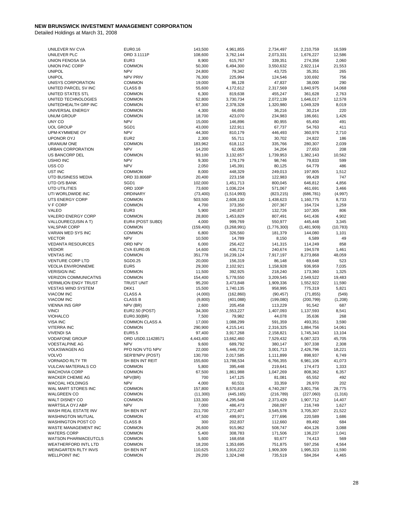| UNILEVER NV CVA                              | <b>EUR0.16</b>              | 143,500           | 4,961,855              | 2,734,497            | 2,210,759            | 16,599          |
|----------------------------------------------|-----------------------------|-------------------|------------------------|----------------------|----------------------|-----------------|
|                                              |                             |                   |                        |                      |                      |                 |
| UNILEVER PLC                                 | ORD 3.1111P                 | 108,600           | 3,762,144              | 2,073,331            | 1,676,227            | 12,586          |
| <b>UNION FENOSA SA</b>                       | EUR <sub>3</sub>            | 8,900             | 615,767                | 339,351              | 274,356              | 2,060           |
| UNION PAC CORP                               | <b>COMMON</b>               | 50,300            | 6,494,300              | 3,550,632            | 2,922,114            | 21,553          |
| <b>UNIPOL</b>                                | <b>NPV</b>                  | 24,800            | 79,342                 | 43,725               | 35,351               | 265             |
| <b>UNIPOL</b>                                | <b>NPV PRIV</b>             | 76,300            | 225,994                | 124,546              | 100,692              | 756             |
|                                              |                             |                   |                        |                      |                      |                 |
| UNISYS CORPORATION                           | <b>COMMON</b>               | 19,000            | 86,128                 | 47,837               | 38,000               | 290             |
| UNITED PARCEL SV INC                         | <b>CLASS B</b>              | 55,600            | 4,172,612              | 2,317,569            | 1,840,975            | 14,068          |
| UNITED STATES STL                            | <b>COMMON</b>               | 6,300             | 819,638                | 455,247              | 361,628              | 2,763           |
| UNITED TECHNOLOGIES                          | <b>COMMON</b>               | 52,800            | 3,730,734              | 2,072,139            | 1,646,017            | 12,578          |
|                                              |                             |                   |                        |                      |                      |                 |
| UNITEDHEALTH GRP INC                         | <b>COMMON</b>               | 67,300            | 2,378,328              | 1,320,980            | 1,049,329            | 8,019           |
| UNIVERSAL ENERGY                             | <b>COMMON</b>               | 4,300             | 66,650                 | 36,216               | 30,214               | 220             |
| <b>UNUM GROUP</b>                            | <b>COMMON</b>               | 18,700            | 423,070                | 234,983              | 186,661              | 1,426           |
| UNY CO                                       | <b>NPV</b>                  | 15,000            | 146,896                | 80,955               | 65,450               | 491             |
| <b>UOL GROUP</b>                             | SGD1                        | 43,000            | 122,911                | 67,737               | 54,763               | 411             |
|                                              |                             |                   |                        |                      |                      |                 |
| UPM-KYMMENE OY                               | <b>NPV</b>                  | 44,300            | 810,179                | 446,493              | 360,976              | 2,710           |
| <b>UPONOR OYJ</b>                            | EUR <sub>2</sub>            | 2,300             | 55,711                 | 30,702               | 24,822               | 186             |
| URANIUM ONE                                  | <b>COMMON</b>               | 183,962           | 618,112                | 335,766              | 280,307              | 2,039           |
| URBAN CORPORATION                            | <b>NPV</b>                  | 14,200            | 62,065                 | 34,204               | 27,653               | 208             |
|                                              |                             |                   |                        |                      |                      |                 |
| US BANCORP DEL                               | <b>COMMON</b>               | 93,100            | 3,132,657              | 1,739,953            | 1,382,143            | 10,562          |
| <b>USHIO INC</b>                             | <b>NPV</b>                  | 9,300             | 179,179                | 98,746               | 79,833               | 599             |
| USS CO                                       | <b>NPV</b>                  | 2,050             | 145,391                | 80,125               | 64,779               | 486             |
| UST INC                                      | <b>COMMON</b>               | 8,000             | 448,329                | 249,013              | 197,805              | 1,512           |
| UTD BUSINESS MEDIA                           | ORD 33.8068P                | 20,400            | 223,158                | 122,983              | 99,428               | 747             |
|                                              |                             |                   |                        |                      |                      |                 |
| UTD O/S BANK                                 | SGD1                        | 102,000           | 1,451,713              | 800,045              | 646,812              | 4,856           |
| <b>UTD UTILITIES</b>                         | ORD 100P                    | 73,600            | 1,036,224              | 571,067              | 461,691              | 3,466           |
| UTI WORLDWIDE INC                            | ORDINARY                    | (73, 400)         | (1,514,993)            | (823, 215)           | (686, 781)           | (4,997)         |
| UTS ENERGY CORP                              | <b>COMMON</b>               | 503,500           | 2,608,130              | 1,438,623            | 1,160,775            | 8,733           |
| V F CORP                                     | <b>COMMON</b>               | 4,700             |                        | 207,367              | 164,724              | 1,259           |
|                                              |                             |                   | 373,350                |                      |                      |                 |
| VALEO                                        | EUR <sub>3</sub>            | 5,900             | 240,837                | 132,726              | 107,305              | 806             |
| VALERO ENERGY CORP                           | <b>COMMON</b>               | 28,800            | 1,453,829              | 807,491              | 641,436              | 4,902           |
| VALLOUREC(USIN A T)                          | EUR4 (POST SUBD)            | 4,000             | 999,769                | 550,977              | 445,448              | 3,345           |
| <b>VALSPAR CORP</b>                          | <b>COMMON</b>               | (159, 400)        | (3,268,991)            | (1,776,300)          | (1,481,909)          | (10, 783)       |
|                                              |                             |                   |                        |                      |                      |                 |
| VARIAN MED SYS INC                           | <b>COMMON</b>               | 6,800             | 326,560                | 181,379              | 144,080              | 1,101           |
| <b>VECTOR</b>                                | <b>NPV</b>                  | 10,500            | 14,789                 | 8,150                | 6,589                | 49              |
| <b>VEDANTA RESOURCES</b>                     | ORD NPV                     | 6,000             | 256,422                | 141,315              | 114,249              | 858             |
| <b>VEDIOR</b>                                | CVA EUR0.05                 | 14,600            | 436,712                | 240,674              | 194,578              | 1,461           |
| <b>VENTAS INC</b>                            | <b>COMMON</b>               | 351,778           | 16,239,124             | 7,917,197            | 8,273,868            | 48,059          |
| <b>VENTURE CORP LTD</b>                      | SGD0.25                     | 20,000            | 156,319                | 86,148               | 69,648               | 523             |
|                                              |                             |                   |                        |                      |                      |                 |
| <b>VEOLIA ENVIRONNEME</b>                    | EUR <sub>5</sub>            | 29,300            | 2,102,921              | 1,158,928            | 936,959              | 7,035           |
| <b>VERISIGN INC</b>                          | <b>COMMON</b>               | 11,500            | 392,925                | 218,240              | 173,360              | 1,325           |
| <b>VERIZON COMMUNICATNS</b>                  | <b>COMMON</b>               | 154,400           | 5,778,550              | 3,209,545            | 2,549,522            | 19,483          |
| <b>VERMILION ENGY TRUST</b>                  | <b>TRUST UNIT</b>           | 95,200            | 3,473,848              | 1,909,336            | 1,552,922            | 11,590          |
| <b>VESTAS WIND SYSTEM</b>                    | DKK1                        | 15,500            | 1,740,135              | 958,995              | 775,319              | 5,821           |
|                                              |                             |                   |                        |                      |                      |                 |
| <b>VIACOM INC</b>                            | <b>CLASS A</b>              | (4,000)           | (162, 860)             | (90, 457)            | (71, 855)            | (549)           |
| <b>VIACOM INC</b>                            | <b>CLASS B</b>              | (9,800)           | (401,088)              | (199,080)            | (200, 799)           | (1,208)         |
| <b>VIENNA INS GRP</b>                        | NPV (BR)                    | 2,600             | 205,458                | 113,229              | 91,542               | 687             |
| <b>VINCI</b>                                 | <b>EUR2.50 (POST)</b>       | 34,300            | 2,553,227              | 1,407,093            | 1,137,593            | 8,541           |
| <b>VIOHALCO</b>                              | EUR0.30(BR)                 | 7,500             | 79,982                 | 44,078               | 35,636               | 268             |
|                                              |                             |                   |                        |                      |                      |                 |
| VISA INC                                     | <b>COMMON CLASS A</b>       | 17,000            | 1,088,299              | 591,359              | 493,351              | 3,590           |
| <b>VITERRA INC</b>                           | <b>COMMON</b>               | 290,900           | 4,215,141              | 2,316,325            | 1,884,756            | 14,061          |
| <b>VIVENDI SA</b>                            | <b>EUR5.5</b>               | 97,400            | 3,917,268              | 2,158,821            | 1,745,343            | 13,104          |
| <b>VODAFONE GROUP</b>                        |                             |                   |                        |                      |                      |                 |
|                                              |                             |                   |                        |                      |                      |                 |
|                                              | ORD USD0.11428571           | 4,443,400         | 13,662,460             | 7,529,432            | 6,087,323            | 45,705          |
| <b>VOESTALPINE AG</b>                        | <b>NPV</b>                  | 9,600             | 689,792                | 380,147              | 307,338              | 2,308           |
| VOLKSWAGEN AG                                | PFD NON VTG NPV             | 22,000            | 5,446,730              | 3,001,713            | 2,426,796            | 18,221          |
| <b>VOLVO</b>                                 | SER'B'NPV (POST)            | 130,700           | 2,017,585              | 1,111,899            | 898,937              | 6,749           |
| <b>VORNADO RLTY TR</b>                       | SH BEN INT REIT             |                   |                        | 6,766,355            |                      |                 |
|                                              |                             | 155,600           | 13,788,534             |                      | 6,981,106            | 41,073          |
| <b>VULCAN MATERIALS CO</b>                   | <b>COMMON</b>               | 5,800             | 395,448                | 219,641              | 174,473              | 1,333           |
| <b>WACHOVIA CORP</b>                         | <b>COMMON</b>               | 67,500            | 1,861,988              | 1,047,269            | 808,362              | 6,357           |
| WACKER CHEMIE AG                             | NPV(BR)                     | 700               | 147,125                | 81,081               | 65,552               | 492             |
| WACOAL HOLDINGS                              | <b>NPV</b>                  | 4,000             | 60,531                 | 33,359               | 26,970               | 202             |
|                                              |                             |                   |                        |                      |                      |                 |
| WAL MART STORES INC                          | <b>COMMON</b>               | 157,800           | 8,570,818              | 4,740,287            | 3,801,756            | 28,775          |
| <b>WALGREEN CO</b>                           | <b>COMMON</b>               | (11,300)          | (445, 165)             | (216, 789)           | (227,060)            | (1, 316)        |
| WALT DISNEY CO                               | <b>COMMON</b>               | 133,300           | 4,295,548              | 2,373,429            | 1,907,712            | 14,407          |
| WARTSILA OYJ ABP                             | <b>NPV</b>                  | 7,000             | 486,473                | 268,097              | 216,749              | 1,627           |
| WASH REAL ESTATE INV                         | SH BEN INT                  | 211,700           | 7,272,407              | 3,545,578            | 3,705,307            | 21,522          |
|                                              |                             |                   |                        |                      |                      |                 |
| <b>WASHINGTON MUTUAL</b>                     | <b>COMMON</b>               | 47,500            | 499,971                | 277,696              | 220,589              | 1,686           |
| <b>WASHINGTON POST CO</b>                    | <b>CLASS B</b>              | 300               | 202,837                | 112,660              | 89,492               | 684             |
| WASTE MANAGEMENT INC                         | <b>COMMON</b>               | 26,600            | 915,962                | 508,747              | 404,126              | 3,088           |
| <b>WATERS CORP</b>                           | <b>COMMON</b>               | 5,400             | 308,783                | 171,506              | 136,237              | 1,041           |
| <b>WATSON PHARMACEUTCLS</b>                  | <b>COMMON</b>               |                   |                        |                      |                      | 569             |
|                                              |                             | 5,600             | 168,658                | 93,677               | 74,413               |                 |
| <b>WEATHERFORD INTL LTD</b>                  | <b>COMMON</b>               | 18,200            | 1,353,695              | 751,875              | 597,256              | 4,564           |
| WEINGARTEN RLTY INVS<br><b>WELLPOINT INC</b> | SH BEN INT<br><b>COMMON</b> | 110,625<br>29,200 | 3,916,222<br>1,324,248 | 1,909,309<br>735,519 | 1,995,323<br>584,264 | 11,590<br>4,465 |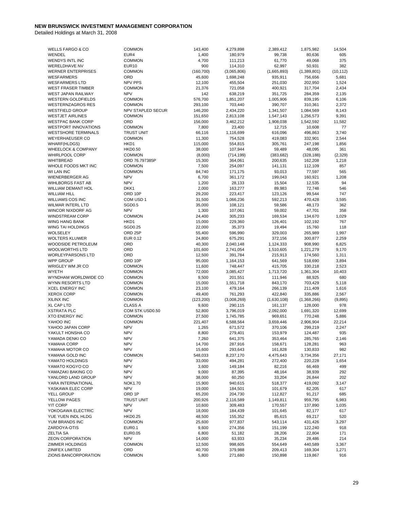| WELLS FARGO & CO              | <b>COMMON</b>            | 143,400    | 4,279,898   | 2,389,412   | 1,875,982   | 14,504    |
|-------------------------------|--------------------------|------------|-------------|-------------|-------------|-----------|
| WENDEL                        | EUR4                     | 1,400      | 180,979     | 99,738      | 80,636      | 605       |
| WENDYS INTL INC               | <b>COMMON</b>            | 4,700      | 111,213     | 61,770      | 49,068      | 375       |
| <b>WERELDHAVE NV</b>          | <b>EUR10</b>             | 900        | 114,310     | 62,997      | 50,931      | 382       |
| <b>WERNER ENTERPRISES</b>     | <b>COMMON</b>            | (160, 700) | (3,065,806) | (1,665,893) | (1,389,801) | (10, 112) |
| <b>WESFARMERS</b>             | ORD                      | 45,600     | 1,698,248   | 935,911     | 756,656     | 5,681     |
| <b>WESFARMERS LTD</b>         | <b>NPV PPS</b>           |            |             |             |             |           |
|                               |                          | 12,100     | 455,504     | 251,030     | 202,950     | 1,524     |
| <b>WEST FRASER TIMBER</b>     | <b>COMMON</b>            | 21,376     | 721,058     | 400,921     | 317,704     | 2,434     |
| WEST JAPAN RAILWAY            | <b>NPV</b>               | 142        | 638,219     | 351,725     | 284,359     | 2,135     |
| <b>WESTERN GOLDFIELDS</b>     | <b>COMMON</b>            | 576,700    | 1,851,207   | 1,005,906   | 839,195     | 6,106     |
| <b>WESTERNZAGROS RES</b>      | <b>COMMON</b>            | 293,100    | 703,440     | 390,707     | 310,361     | 2,372     |
| <b>WESTFIELD GROUP</b>        | <b>NPV STAPLED SECUR</b> | 146,200    | 2,434,220   | 1,341,507   | 1,084,569   | 8,143     |
| <b>WESTJET AIRLINES</b>       | <b>COMMON</b>            | 151,650    | 2,813,108   | 1,547,143   | 1,256,573   | 9,391     |
| <b>WESTPAC BANK CORP</b>      | ORD                      | 156,000    | 3,462,212   | 1,908,038   | 1,542,592   | 11,582    |
| <b>WESTPORT INNOVATIONS</b>   | <b>COMMON</b>            | 7,800      | 23,400      | 12,715      | 10,608      | 77        |
| <b>WESTSHORE TERMINALS</b>    | <b>TRUST UNIT</b>        | 66,116     | 1,116,699   | 616,096     | 496,863     | 3,740     |
| WEYERHAEUSER CO               | <b>COMMON</b>            | 11,300     | 754,528     | 419,083     | 332,901     | 2,544     |
|                               | HKD1                     |            |             |             |             | 1,856     |
| <b>WHARF(HLDGS)</b>           |                          | 115,000    | 554,815     | 305,761     | 247,198     |           |
| <b>WHEELOCK &amp; COMPANY</b> | <b>HKD0.50</b>           | 38,000     | 107,944     | 59,489      | 48,095      | 361       |
| WHIRLPOOL CORP                | <b>COMMON</b>            | (8,000)    | (714, 199)  | (383, 682)  | (328, 188)  | (2, 329)  |
| <b>WHITBREAD</b>              | ORD 76.797385P           | 15,300     | 364,061     | 200,635     | 162,208     | 1,218     |
| WHOLE FOODS MKT INC           | <b>COMMON</b>            | 7,500      | 254,097     | 141,131     | 112,109     | 857       |
| WI LAN INC                    | <b>COMMON</b>            | 84,740     | 171,175     | 93,013      | 77,597      | 565       |
| <b>WIENERBERGER AG</b>        | <b>NPV</b>               | 6,700      | 361,172     | 199,043     | 160,921     | 1,208     |
| <b>WIHLBORGS FAST AB</b>      | <b>NPV</b>               | 1,200      | 28,133      | 15,504      | 12,535      | 94        |
| <b>WILLIAM DEMANT HOL</b>     | DKK1                     | 2,000      | 163,277     | 89,983      | 72,748      | 546       |
| <b>WILLIAM HILL</b>           | ORD 10P                  | 29,200     | 223,417     | 123,126     | 99,544      | 747       |
| <b>WILLIAMS COS INC</b>       | COM USD 1                | 31,500     | 1,066,236   | 592,213     | 470,428     | 3,595     |
| <b>WILMAR INTERL LTD</b>      | SGD0.5                   | 35,000     | 108,121     | 59,586      | 48,173      | 362       |
|                               |                          |            |             |             |             |           |
| WINCOR NIXDORF AG             | <b>NPV</b>               | 1,300      | 107,061     | 59,002      | 47,701      | 358       |
| <b>WINDSTREAM CORP</b>        | <b>COMMON</b>            | 24,400     | 305,233     | 169,534     | 134,670     | 1,029     |
| WING HANG BANK                | HKD1                     | 15,000     | 229,360     | 126,401     | 102,192     | 767       |
| WING TAI HOLDINGS             | SGD0.25                  | 22,000     | 35,373      | 19,494      | 15,760      | 118       |
| <b>WOLSELEY</b>               | ORD <sub>25P</sub>       | 55,400     | 596,990     | 329,003     | 265,989     | 1,997     |
| <b>WOLTERS KLUWER</b>         | EUR 0.12                 | 24,800     | 675,291     | 372,156     | 300,877     | 2,259     |
| WOODSIDE PETROLEUM            | ORD                      | 40,300     | 2,040,148   | 1,124,333   | 908,990     | 6,825     |
| <b>WOOLWORTHS LTD</b>         | ORD                      | 101,600    | 2,741,054   | 1,510,605   | 1,221,279   | 9,170     |
| WORLEYPARSONS LTD             | ORD                      | 12,500     | 391,784     | 215,913     | 174,560     | 1,311     |
| <b>WPP GROUP</b>              | ORD 10P                  | 95,000     | 1,164,153   | 641,569     | 518,690     | 3,894     |
| WRIGLEY WM JR CO              | <b>COMMON</b>            | 11,600     | 748,447     | 415,705     | 330,218     | 2,523     |
| <b>WYETH</b>                  | <b>COMMON</b>            | 72,000     | 3,085,427   | 1,713,720   | 1,361,304   | 10,403    |
|                               |                          |            |             |             |             |           |
| WYNDHAM WORLDWIDE CO          | <b>COMMON</b>            | 9,500      | 201,551     | 111,946     | 88,925      | 680       |
| WYNN RESORTS LTD              | <b>COMMON</b>            | 15,000     | 1,551,718   | 843,170     | 703,429     | 5,118     |
| <b>XCEL ENERGY INC</b>        | <b>COMMON</b>            | 23,100     | 479,164     | 266,139     | 211,409     | 1,616     |
| <b>XEROX CORP</b>             | COMMON                   | 49,400     | 761,293     | 422,840     | 335,886     | 2,567     |
| XILINX INC                    | <b>COMMON</b>            | (123, 200) | (3,008,269) | (1,630,108) | (1,368,266) | (9, 895)  |
| <b>XL CAP LTD</b>             | <b>CLASS A</b>           | 9,600      | 290,115     | 161,137     | 128,000     | 978       |
| <b>XSTRATA PLC</b>            | COM STK USD0.50          | 52,800     | 3,796,019   | 2,092,000   | 1,691,320   | 12,699    |
| <b>XTO ENERGY INC</b>         | <b>COMMON</b>            | 27,500     | 1,745,785   | 969,651     | 770,248     | 5,886     |
| YAHOO INC                     | <b>COMMON</b>            | 221,407    | 6,588,564   | 3,659,446   | 2,906,904   | 22,214    |
| YAHOO JAPAN CORP              | <b>NPV</b>               | 1,265      | 671,572     | 370,106     | 299,219     | 2,247     |
| YAKULT HONSHA CO              | <b>NPV</b>               | 8,800      | 279,401     | 153,979     | 124,487     | 935       |
| YAMADA DENKI CO               | <b>NPV</b>               | 7,260      | 641,375     | 353,464     | 285,765     | 2,146     |
| YAMAHA CORP                   | <b>NPV</b>               | 14,700     | 287,916     | 158,671     | 128,281     | 963       |
|                               |                          |            |             |             |             |           |
| YAMAHA MOTOR CO               | <b>NPV</b>               | 15,600     | 293,643     | 161,828     | 130,833     | 982       |
| YAMANA GOLD INC               | <b>COMMON</b>            | 548,033    | 8,237,170   | 4,475,643   | 3,734,356   | 27,171    |
| YAMATO HOLDINGS               | <b>NPV</b>               | 33,000     | 494,281     | 272,400     | 220,228     | 1,654     |
| YAMATO KOGYO CO               | <b>NPV</b>               | 3,600      | 149,184     | 82,216      | 66,469      | 499       |
| YAMAZAKI BAKING CO            | <b>NPV</b>               | 9,000      | 87,395      | 48,164      | 38,939      | 292       |
| YANLORD LAND GROUP            | <b>NPV</b>               | 38,000     | 60,250      | 33,204      | 26,844      | 202       |
| YARA INTERNATIONAL            | <b>NOK1.70</b>           | 15,900     | 940,615     | 518,377     | 419,092     | 3,147     |
| YASKAWA ELEC CORP             | <b>NPV</b>               | 19,000     | 184,501     | 101,679     | 82,205      | 617       |
| YELL GROUP                    | ORD <sub>1P</sub>        | 65,200     | 204,730     | 112,827     | 91,217      | 685       |
| YELLOW PAGES                  | <b>TRUST UNIT</b>        | 200,926    | 2,116,589   | 1,149,811   | 959,795     | 6,983     |
| <b>YIT CORP</b>               | <b>NPV</b>               | 10,600     | 309,483     | 170,557     | 137,890     | 1,035     |
|                               |                          |            |             |             |             |           |
| YOKOGAWA ELECTRIC             | <b>NPV</b>               | 18,000     | 184,439     | 101,645     | 82,177      | 617       |
| YUE YUEN INDL HLDG            | <b>HKD0.25</b>           | 48,500     | 155,352     | 85,615      | 69,217      | 520       |
| YUM BRANDS INC                | <b>COMMON</b>            | 25,600     | 977,837     | 543,114     | 431,426     | 3,297     |
| ZARDOYA-OTIS                  | <b>EUR0.1</b>            | 9,600      | 274,356     | 151,199     | 122,240     | 918       |
| <b>ZELTIA SA</b>              | EUR0.05                  | 6,800      | 51,182      | 28,206      | 22,804      | 171       |
| <b>ZEON CORPORATION</b>       | <b>NPV</b>               | 14,000     | 63,933      | 35,234      | 28,486      | 214       |
| <b>ZIMMER HOLDINGS</b>        |                          |            | 998,605     | 554,649     |             | 3,367     |
|                               | <b>COMMON</b>            | 12,500     |             |             | 440,589     |           |
| ZINIFEX LIMITED               | ORD                      | 40,700     | 379,988     | 209,413     | 169,304     | 1,271     |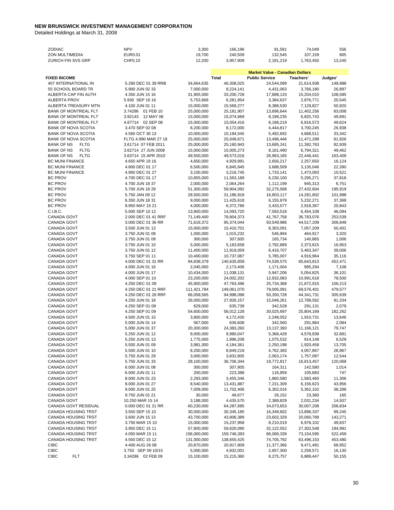| ZODIAC                           | <b>NPV</b>           | 3,300       | 166,196     | 91,591                                 | 74,049     | 556     |
|----------------------------------|----------------------|-------------|-------------|----------------------------------------|------------|---------|
| ZON MULTIMEDIA                   | EUR0.01              | 19,700      | 240,509     | 132,545                                | 107,159    | 805     |
| ZURICH FIN SVS GRP               | CHF0.10              | 12,200      | 3,957,909   | 2,181,219                              | 1,763,450  | 13,240  |
|                                  |                      |             |             |                                        |            |         |
|                                  |                      |             |             | <b>Market Value - Canadian Dollars</b> |            |         |
| <b>FIXED INCOME</b>              |                      |             | Total       | <b>Public Service</b>                  | Teachers'  | Judges' |
| 407 INTERNATIONAL IN             | 5.290 DEC 01 39 RRB  | 34,664,635  | 46,308,025  | 24,544,099                             | 21,614,938 | 148,988 |
| 55 SCHOOL BOARD TR               | 5.900 JUN 02 33      | 7,000,000   | 8,224,141   | 4,431,063                              | 3,766,180  | 26,897  |
| ALBERTA CAP FIN AUTH             | 4.350 JUN 15 16      | 31,905,000  | 33,200,728  | 17,888,133                             | 15,204,010 | 108,585 |
| ALBERTA PROV                     | 5.930 SEP 16 16      | 5,753,669   | 6,281,954   | 3,384,637                              | 2,876,771  | 20,545  |
| ALBERTA TREASURY MTN             | 4.100 JUN 01 11      | 15,000,000  | 15,569,277  | 8,388,530                              | 7,129,827  | 50,920  |
| <b>BANK OF MONTREAL FLT</b>      | 3.74286 01 FEB 10    | 25,000,000  | 25,181,907  | 13,696,644                             | 11,402,256 | 83,008  |
| BANK OF MONTREAL FLT             | 3.92143 12 MAY 08    | 15,000,000  | 15,074,669  | 8,199,235                              | 6,825,743  | 49,691  |
| <b>BANK OF MONTREAL FLT</b>      | 4.87714 02 SEP 08    | 15,000,000  | 15,054,416  | 8,188,219                              | 6,816,573  | 49,624  |
| <b>BANK OF NOVA SCOTIA</b>       | 3.470 SEP 02 08      | 8,200,000   | 8,172,000   | 4,444,817                              | 3,700,245  | 26,938  |
| <b>BANK OF NOVA SCOTIA</b>       | 4.560 OCT 30 13      | 10,000,000  | 10,194,545  | 5,492,692                              | 4,668,511  | 33,342  |
| <b>BANK OF NOVA SCOTIA</b>       | FLTG 4.990 MAR 27 18 | 25,000,000  | 25,049,671  | 13,496,446                             | 11,471,299 | 81,926  |
| <b>BANK OF NS</b><br><b>FLTG</b> | 3.61714 07 FEB 2011  | 25,000,000  | 25,160,943  | 13,685,241                             | 11,392,763 | 82,939  |
| <b>BANK OF NS</b><br><b>FLTG</b> | 3.62714 27 JUN 2008  | 15,000,000  | 15,005,273  | 8,161,490                              | 6,794,321  | 49,462  |
| <b>BANK OF NS</b><br><b>FLTG</b> | 3.63714 15 APR 2010  | 49,500,000  | 49,573,016  | 26,963,165                             | 22,446,441 | 163,409 |
| <b>BC MUNI FINANCE</b>           | 4.650 APR 19 16      | 4,650,000   | 4,929,991   | 2,656,217                              | 2,257,650  | 16,124  |
| <b>BC MUNI FINANCE</b>           | 4.800 DEC 01 17      | 6,500,000   | 6,845,945   | 3,688,509                              | 3,135,046  | 22,390  |
| <b>BC MUNI FINANCE</b>           | 4.950 DEC 01 27      | 3,100,000   | 3,216,745   | 1,733,141                              | 1,473,083  | 10,521  |
| <b>BC PROV</b>                   | 4.700 DEC 01 17      | 10,855,000  |             |                                        | 5,295,271  | 37,818  |
|                                  |                      |             | 11,563,189  | 6,230,100                              |            |         |
| <b>BC PROV</b>                   | 4.700 JUN 18 37      | 2,000,000   | 2,064,264   | 1,112,199                              | 945,313    | 6,751   |
| <b>BC PROV</b>                   | 5.700 JUN 18 29      | 51,300,000  | 59,904,092  | 32,275,568                             | 27,432,604 | 195,919 |
| <b>BC PROV</b>                   | 5.750 JAN 09 12      | 28,500,000  | 31,186,918  | 16,803,117                             | 14,281,802 | 101,998 |
| <b>BC PROV</b>                   | 6.350 JUN 18 31      | 9,000,000   | 11,425,618  | 6,155,979                              | 5,232,271  | 37,368  |
| <b>BC PROV</b>                   | 9.950 MAY 15 21      | 4,000,000   | 6,372,786   | 3,433,577                              | 2,918,367  | 20,843  |
| C.I.B.C.                         | 5.000 SEP 10 12      | 13,900,000  | 14,093,720  | 7,593,518                              | 6,454,108  | 46,094  |
| CANADA GOVT                      | 2.000 DEC 01 41 RRF  | 71,149,400  | 78,804,373  | 41,767,758                             | 36,783,076 | 253,539 |
| <b>CANADA GOVT</b>               | 3.000 DEC 01 36 RR   | 71,616,372  | 95,374,044  | 50,549,986                             | 44,517,209 | 306,849 |
| <b>CANADA GOVT</b>               | 3.500 JUN 01 13      | 15,000,000  | 15,410,701  | 8,303,091                              | 7,057,209  | 50,401  |
| CANADA GOVT                      | 3.750 JUN 01 08      | 1,000,000   | 1,015,232   | 546,994                                | 464,917    | 3,320   |
| CANADA GOVT                      | 3.750 JUN 01 09      | 300,000     | 307,605     | 165,734                                | 140,865    | 1,006   |
| CANADA GOVT                      | 3.750 JUN 01 10      | 5,000,000   | 5,183,658   | 2,792,889                              | 2,373,815  | 16,953  |
| CANADA GOVT                      | 3.750 JUN 01 12      | 11,400,000  | 11,919,059  | 6,416,707                              | 5,463,347  | 39,006  |
| CANADA GOVT                      | 3.750 SEP 01 11      | 10,400,000  | 10,737,087  | 5,785,007                              | 4,916,964  | 35,116  |
| CANADA GOVT                      | 4.000 DEC 01 31 RR   | 94,838,379  | 140,635,858 | 74,539,575                             | 65,643,813 | 452,471 |
| <b>CANADA GOVT</b>               | 4.000 JUN 01 16      | 2,045,000   | 2,173,406   | 1,171,004                              | 995,294    | 7,108   |
| CANADA GOVT                      | 4.000 JUN 01 17      | 10,434,000  | 11,038,131  | 5,947,206                              | 5,054,825  | 36,101  |
| CANADA GOVT                      | 4.000 SEP 01 10      | 23,200,000  | 24,002,202  | 12,932,083                             | 10,991,618 | 78,500  |
| CANADA GOVT                      | 4.250 DEC 01 09      | 45,900,000  | 47,763,496  | 25,734,368                             | 21,872,915 | 156,213 |
| CANADA GOVT                      | 4.250 DEC 01 21 RRF  | 111,421,784 | 149,061,070 | 79,005,091                             | 69,576,401 | 479,577 |
| CANADA GOVT                      | 4.250 DEC 01 26 RRF  | 66,058,565  | 94,998,098  | 50,350,728                             | 44,341,731 | 305,639 |
| CANADA GOVT                      | 4.250 JUN 01 18      | 26,000,000  | 27,926,157  | 15,046,261                             | 12,788,562 | 91,334  |
| CANADA GOVT                      | 4.250 SEP 01 08      | 629,000     | 635,739     | 342,528                                | 291,131    | 2,079   |
| <b>CANADA GOVT</b>               | 4.250 SEP 01 09      | 54,600,000  | 56,012,128  | 30,025,697                             | 25,804,169 | 182,262 |
| CANADA GOVT                      | 4.500 JUN 01 15      | 3,800,000   | 4,172,430   | 2,248,052                              | 1,910,731  | 13,646  |
| CANADA GOVT                      | 5.000 JUN 01 14      | 567,000     | 636,608     | 342,560                                | 291,964    | 2,084   |
| CANADA GOVT                      | 5.000 JUN 01 37      | 20,300,000  | 24,383,260  | 13,137,393                             | 11,166,121 | 79,747  |
| CANADA GOVT                      | 5.250 JUN 01 12      | 9,000,000   | 9,980,047   | 5,368,428                              | 4,578,938  | 32,681  |
|                                  |                      |             |             |                                        |            |         |
| CANADA GOVT                      | 5.250 JUN 01 13      | 1,775,000   | 1,996,208   | 1,075,532                              | 914,148    | 6,529   |
| CANADA GOVT                      | 5.500 JUN 01 09      | 3,981,000   | 4,184,361   | 2,250,198                              | 1,920,458  | 13,705  |
| CANADA GOVT                      | 5.500 JUN 01 10      | 8,200,000   | 8,849,218   | 4,762,383                              | 4,057,867  | 28,967  |
| CANADA GOVT                      | 5.750 JUN 01 29      | 3,000,000   | 3,832,805   | 2,063,174                              | 1,757,087  | 12,544  |
| CANADA GOVT                      | 5.750 JUN 01 33      | 28,100,000  | 36,706,344  | 19,772,817                             | 16,813,457 | 120,069 |
| CANADA GOVT                      | 6.000 JUN 01 08      | 300,000     | 307,905     | 164,311                                | 142,580    | 1,014   |
| CANADA GOVT                      | 6.000 JUN 01 11      | 200,000     | 223,388     | 116,959                                | 105,683    | 747     |
| CANADA GOVT                      | 8.000 JUN 01 23      | 2,293,000   | 3,455,346   | 1,860,580                              | 1,583,460  | 11,306  |
| CANADA GOVT                      | 8.000 JUN 01 27      | 8,540,000   | 13,431,887  | 7,231,309                              | 6,156,623  | 43,956  |
| CANADA GOVT                      | 9.000 JUN 01 25      | 7,009,000   | 11,702,406  | 6,302,016                              | 5,362,102  | 38,288  |
| CANADA GOVT                      | 9.750 JUN 01 21      | 30,000      | 49,677      | 26,152                                 | 23,360     | 165     |
| CANADA GOVT                      | 10.250 MAR 15 14     | 3,188,000   | 4,435,570   | 2,389,829                              | 2,031,234  | 14,507  |
| CANADA GOVT RESIDUAL             | 0.000 DEC 01 21 RR   | 60,230,000  | 64,287,695  | 34,073,653                             | 30,007,208 | 206,834 |
| CANADA HOUSING TRST              | 3.550 SEP 15 10      | 30,000,000  | 30,345,185  | 16,349,602                             | 13,896,337 | 99,245  |
| CANADA HOUSING TRST              | 3.600 JUN 15 13      | 43,700,000  | 43,806,389  | 23,602,329                             | 20,060,789 | 143,271 |
| CANADA HOUSING TRST              | 3.750 MAR 15 10      | 15,000,000  | 15,237,958  | 8,210,019                              | 6,978,102  | 49,837  |
| CANADA HOUSING TRST              | 3.950 DEC 15 11      | 57,800,000  | 59,620,090  | 32,122,552                             | 27,302,548 | 194,991 |
| CANADA HOUSING TRST              | 4.050 MAR 15 11      | 156,000,000 | 159,746,393 | 86,069,339                             | 73,154,595 | 522,459 |
| CANADA HOUSING TRST              | 4.550 DEC 15 12      | 131,000,000 | 138,655,425 | 74,705,792                             | 63,496,153 | 453,480 |
| <b>CIBC</b>                      | 4.400 AUG 26 08      | 20,870,000  | 20,917,809  | 11,377,366                             | 9,471,491  | 68,952  |
| <b>CIBC</b>                      | 3.750 SEP 09 10/15   | 5,000,000   | 4,932,001   | 2,657,300                              | 2,258,571  | 16,130  |
| <b>CIBC</b><br><b>FLT</b>        | 3.34286 02 FEB 09    | 15,100,000  | 15,215,360  | 8,275,757                              | 6,889,447  | 50,155  |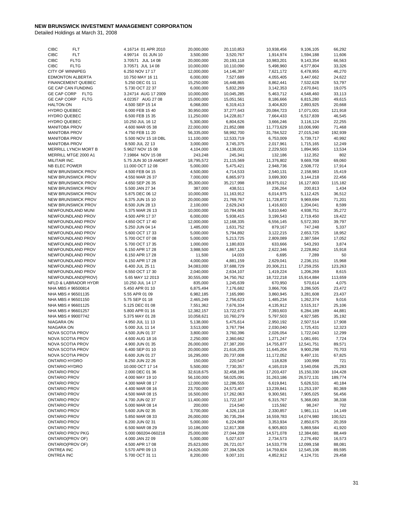|                                        | 4.16714 01 APR 2010                | 20,000,000              | 20,110,853              | 10,938,456              | 9,106,105               | 66,292           |
|----------------------------------------|------------------------------------|-------------------------|-------------------------|-------------------------|-------------------------|------------------|
| <b>CIBC</b><br><b>FLT</b>              |                                    |                         |                         |                         |                         |                  |
| <b>CIBC</b><br><b>FLT</b>              | 4.99714 01 JUN 10                  | 3,500,000               | 3,520,767               | 1,914,974               | 1,594,188               | 11,606           |
| <b>CIBC</b><br><b>FLTG</b>             | 3.70571 JUL 14 08                  | 20,000,000              | 20,193,118              | 10,983,201              | 9,143,354               | 66,563           |
| <b>CIBC</b><br><b>FLTG</b>             | 3.70571 JUL 14 08                  | 10,000,000              | 10,110,090              | 5,498,960               | 4,577,804               | 33,326           |
| <b>CITY OF WINNIPEG</b>                | 6.250 NOV 17 17                    | 12,000,000              | 14,146,397              | 7,621,172               | 6,478,955               | 46,270           |
| <b>EDMONTON ALBERTA</b>                | 10.750 MAY 16 11                   | 6,000,000               | 7,527,689               | 4,055,405               | 3,447,662               | 24,622           |
| FINANCEMENT QUEBEC                     | 5.250 DEC 01 11                    | 15,250,000              |                         |                         | 7,532,628               | 53,797           |
|                                        |                                    |                         | 16,448,865              | 8,862,441               |                         |                  |
| <b>GE CAP CAN FUNDING</b>              | 5.730 OCT 22 37                    | 6,000,000               | 5,832,269               | 3,142,353               | 2,670,841               | 19,075           |
| GE CAP CORP<br><b>FLTG</b>             | 3.24714 AUG 17 2009                | 10,000,000              | 10,045,285              | 5,463,712               | 4,548,460               | 33,113           |
| GE CAP CORP<br><b>FLTG</b>             | 4.02357 AUG 27 08                  | 15,000,000              | 15,051,561              | 8,186,666               | 6,815,280               | 49,615           |
| <b>HALTON ON</b>                       | 4.500 SEP 15 14                    | 6,068,000               | 6,319,413               |                         | 2,893,925               | 20,668           |
|                                        |                                    |                         |                         | 3,404,820               |                         |                  |
| <b>HYDRO QUEBEC</b>                    | 6.000 FEB 15 40                    | 30,950,000              | 37,277,643              | 20,084,723              | 17,071,001              | 121,918          |
| <b>HYDRO QUEBEC</b>                    | 6.500 FEB 15 35                    | 11,250,000              | 14,228,817              | 7,664,433               | 6,517,839               | 46,545           |
| <b>HYDRO QUEBEC</b>                    | 10.250 JUL 16 12                   | 5,300,000               | 6,804,626               | 3,666,246               | 3,116,124               | 22,255           |
| <b>MANITOBA PROV</b>                   | 4.600 MAR 05 38                    | 22,000,000              | 21,852,088              | 11,773,629              | 10,006,990              | 71,468           |
| <b>MANITOBA PROV</b>                   |                                    | 56,335,000              |                         |                         |                         |                  |
|                                        | 4.750 FEB 11 20                    |                         | 58,992,700              | 31,784,522              | 27,015,240              | 192,939          |
| <b>MANITOBA PROV</b>                   | 5.500 NOV 15 18 DBL                | 11,100,000              | 12,533,719              | 6,753,009               | 5,739,717               | 40,992           |
| <b>MANITOBA PROV</b>                   | 8.500 JUL 22 13                    | 3,000,000               | 3,745,375               | 2,017,961               | 1,715,165               | 12,249           |
| MERRILL LYNCH MORT B                   | 5.9627 NOV 15 08                   | 4,104,000               | 4,138,001               | 2,229,503               | 1,894,965               | 13,534           |
| MERRILL MTGE 2000 A1                   | 7.19864 NOV 15 08                  | 243,248                 | 245,341                 | 132,186                 | 112,352                 | 802              |
|                                        |                                    |                         |                         |                         |                         |                  |
| MILITAIR INC.                          | 5.75 JUN 30 19 AMORT               | 18,795,572              | 21,115,569              | 11,376,802              | 9,669,708               | 69,060           |
| NB ELEC POWER                          | 11.000 OCT 12 08                   | 5,000,000               | 5,475,421               | 2,948,736               | 2,508,772               | 17,914           |
| NEW BRUNSWICK PROV                     | 4.500 FEB 04 15                    | 4,500,000               | 4,714,533               | 2,540,131               | 2,158,983               | 15,419           |
| NEW BRUNSWICK PROV                     | 4.550 MAR 26 37                    | 7,000,000               | 6,865,973               | 3,699,300               | 3,144,218               | 22,456           |
| <b>NEW BRUNSWICK PROV</b>              | 4.650 SEP 26 35                    | 35,300,000              | 35,217,998              |                         | 16,127,803              | 115,182          |
|                                        |                                    |                         |                         | 18,975,012              |                         |                  |
| NEW BRUNSWICK PROV                     | 5.500 JAN 27 34                    | 387,000                 | 438,511                 | 236,264                 | 200,813                 | 1,434            |
| NEW BRUNSWICK PROV                     | 5.875 DEC 06 12                    | 10,000,000              | 11,163,912              | 6,014,975               | 5,112,425               | 36,512           |
| NEW BRUNSWICK PROV                     | 6.375 JUN 15 10                    | 20,000,000              | 21,769,767              | 11,728,872              | 9,969,694               | 71,201           |
| <b>NEW BRUNSWICK PROV</b>              | 8.500 JUN 28 13                    | 2,100,000               | 2,629,243               | 1,416,603               | 1,204,041               | 8,599            |
|                                        |                                    |                         |                         |                         |                         |                  |
| NEWFOUNDLAND MUNI                      | 5.375 MAR 26 13                    | 10,000,000              | 10,784,663              | 5,810,640               | 4,938,751               | 35,272           |
| NEWFOUNDLAND PROV                      | 4.500 APR 17 37                    | 6,000,000               | 5,938,415               | 3,199,543               | 2,719,450               | 19,422           |
| NEWFOUNDLAND PROV                      | 4.650 OCT 17 40                    | 12,000,000              | 12,168,335              | 6,556,145               | 5,572,393               | 39,797           |
| NEWFOUNDLAND PROV                      | 5.250 JUN 04 14                    | 1,485,000               | 1,631,752               | 879,167                 | 747,248                 | 5,337            |
| NEWFOUNDLAND PROV                      | 5.600 OCT 17 33                    | 5,000,000               | 5,794,892               | 3,122,215               | 2,653,725               | 18,952           |
|                                        |                                    |                         |                         |                         |                         |                  |
| NEWFOUNDLAND PROV                      | 5.700 OCT 07 08                    | 5,000,000               | 5,213,725               | 2,809,089               | 2,387,584               | 17,052           |
| NEWFOUNDLAND PROV                      | 5.700 OCT 17 35                    | 1,000,000               | 1,180,833               | 633,666                 | 543,293                 | 3,874            |
| NEWFOUNDLAND PROV                      | 6.150 APR 17 28                    | 3,988,500               | 4,867,126               | 2,622,346               | 2,228,862               | 15,918           |
| NEWFOUNDLAND PROV                      | 6.150 APR 17 28                    | 11,500                  | 14,033                  | 6,695                   | 7,289                   | 50               |
|                                        | 6.150 APR 17 28                    | 4,000,000               | 4,881,159               |                         |                         | 15,968           |
|                                        |                                    |                         |                         |                         |                         |                  |
| NEWFOUNDLAND PROV                      |                                    |                         |                         | 2,629,041               | 2,236,151               |                  |
| NEWFOUNDLAND PROV                      | 6.400 JUL 25 11                    | 34,083,000              | 37,688,729              | 20,306,211              | 17,259,255              | 123,263          |
| NEWFOUNDLAND PROV                      | 6.550 OCT 17 30                    | 2,040,000               | 2,634,107               | 1,419,224               | 1,206,269               | 8,615            |
|                                        |                                    |                         |                         |                         |                         |                  |
| NEWFOUNDLAND(PROV)                     | 5.65 MAY 12 2013                   | 30,555,000              | 34,750,762              | 18,722,218              | 15,914,884              | 113,659          |
| NFLD & LABRADOR HYDR                   | 10.250 JUL 14 17                   | 835,000                 | 1,245,639               | 670,950                 | 570,614                 | 4,075            |
| NHA MBS #96500814                      | 5.450 APR 01 10                    | 6,875,494               | 7,176,682               | 3,866,706               | 3,286,505               | 23,472           |
| NHA MBS #96501135                      | 5.55 APR 01 09                     | 6,982,185               | 7,165,990               | 3,860,945               | 3,281,608               | 23,437           |
| NHA MBS #96501150                      | 5.75 SEP 01 18                     |                         | 2,756,623               | 1,485,234               | 1,262,374               | 9,016            |
| NHA MBS #96601125                      |                                    | 2,465,249               |                         |                         |                         |                  |
|                                        | 5.125 DEC 01 08                    | 7,551,362               | 7,676,334               | 4,135,912               | 3,515,317               | 25,106           |
| NHA MBS #96601257                      | 5.800 APR 01 16                    | 12,382,157              | 13,722,673              | 7,393,603               | 6,284,189               | 44,881           |
| NHA MBS #99007742                      | 5.375 MAY 01 28                    | 10,058,621              | 10,760,279              | 5,797,503               | 4,927,585               | 35,192           |
| NIAGARA ON                             | 4.950 JUL 11 13                    | 5,138,000               | 5,475,614               | 2,950,192               | 2,507,514               | 17,908           |
| NIAGARA ON                             | 5.000 JUL 11 14                    | 3,513,000               | 3,767,794               | 2,030,040               | 1,725,431               | 12,323           |
|                                        |                                    |                         |                         |                         |                         |                  |
| NOVA SCOTIA PROV                       | 4.500 JUN 01 37                    | 3,800,000               | 3,760,396               | 2,026,054               | 1,722,043               | 12,299           |
| NOVA SCOTIA PROV                       | 4.600 AUG 18 16                    | 2,250,000               | 2,360,662               | 1,271,247               | 1,081,691               | 7,724            |
| NOVA SCOTIA PROV                       | 4.900 JUN 01 35                    | 26,000,000              | 27,387,200              | 14,755,877              | 12,541,751              | 89,571           |
| NOVA SCOTIA PROV                       | 6.400 SEP 01 10                    | 20,000,000              | 21,616,205              | 11,645,204              | 9,900,298               | 70,703           |
| NOVA SCOTIA PROV                       | 6.600 JUN 01 27                    | 16,295,000              | 20,737,008              | 11,172,052              | 9,497,131               | 67,825           |
| ONTARIO HYDRO                          | 8.250 JUN 22 26                    |                         |                         |                         |                         | 721              |
|                                        |                                    | 150,000                 | 220,547                 | 118,828                 | 100,998                 |                  |
| ONTARIO HYDRO                          | 10.000 OCT 17 14                   | 5,500,000               | 7,730,357               | 4,165,019               | 3,540,056               | 25,283           |
| <b>ONTARIO PROV</b>                    | 2.000 DEC 01 36                    | 32,618,675              | 32,458,196              | 17,203,437              | 15,150,330              | 104,428          |
| <b>ONTARIO PROV</b>                    | 4.000 MAY 19 10                    | 56,100,000              | 58,025,091              | 31,263,186              | 26,572,131              | 189,774          |
| <b>ONTARIO PROV</b>                    | 4.300 MAR 08 17                    | 12,000,000              | 12,286,555              | 6,619,841               | 5,626,531               | 40,184           |
|                                        |                                    |                         |                         |                         |                         |                  |
| <b>ONTARIO PROV</b>                    | 4.400 MAR 08 16                    | 23,700,000              | 24,573,407              | 13,239,841              | 11,253,197              | 80,369           |
| <b>ONTARIO PROV</b>                    | 4.500 MAR 08 15                    | 16,500,000              | 17,262,063              | 9,300,581               | 7,905,025               | 56,456           |
| <b>ONTARIO PROV</b>                    | 4.700 JUN 02 37                    | 11,400,000              | 11,722,187              | 6,315,767               | 5,368,083               | 38,338           |
| <b>ONTARIO PROV</b>                    | 5.000 MAR 08 14                    | 200,000                 | 214,540                 | 115,592                 | 98,247                  | 702              |
| <b>ONTARIO PROV</b>                    | 5.600 JUN 02 35                    | 3,700,000               | 4,326,118               | 2,330,857               | 1,981,111               | 14,149           |
|                                        |                                    |                         |                         |                         |                         |                  |
| <b>ONTARIO PROV</b>                    | 5.850 MAR 08 33                    | 26,000,000              | 30,735,284              | 16,559,783              | 14,074,980              | 100,521          |
| <b>ONTARIO PROV</b>                    | 6.200 JUN 02 31                    | 5,000,000               | 6,224,968               | 3,353,934               | 2,850,675               | 20,359           |
| <b>ONTARIO PROV</b>                    | 6.500 MAR 08 29                    | 10,186,000              | 12,817,308              | 6,905,803               | 5,869,584               | 41,920           |
| <b>ONTARIO PROV PKG</b>                | 5.000 060204-060218                | 25,000,000              | 27,044,209              | 14,571,078              | 12,384,681              | 88,449           |
| ONTARIO(PROV OF)                       | 4.000 JAN 22 09                    | 5,000,000               | 5,027,637               | 2,734,573               | 2,276,492               | 16,573           |
|                                        |                                    |                         |                         |                         |                         |                  |
| ONTARIO(PROV OF)                       | 4.500 APR 17 08                    | 25,623,000              | 26,721,017              | 14,533,778              | 12,099,158              | 88,081           |
| <b>ONTREA INC</b><br><b>ONTREA INC</b> | 5.570 APR 09 13<br>5.700 OCT 31 11 | 24,626,000<br>8,200,000 | 27,394,526<br>9,007,101 | 14,759,824<br>4,852,912 | 12,545,106<br>4,124,731 | 89,595<br>29,458 |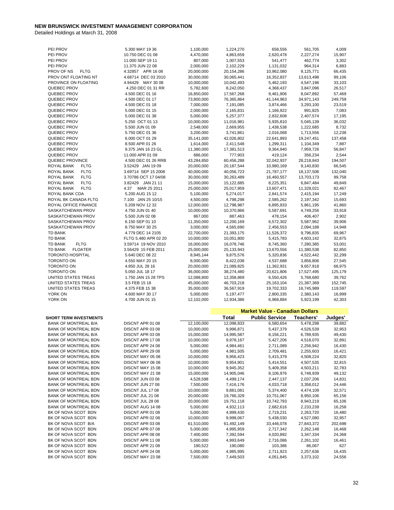| PEI PROV                         | 5.300 MAY 19 36      | 1,100,000  | 1,224,270  | 658,556                                | 561,705    | 4,009   |
|----------------------------------|----------------------|------------|------------|----------------------------------------|------------|---------|
| PEI PROV                         | 10.750 DEC 01 08     | 4,470,000  | 4,863,659  | 2,620,478                              | 2,227,274  | 15,907  |
|                                  |                      |            |            |                                        |            |         |
| PEI PROV                         | 11.000 SEP 19 11     | 807,000    | 1,007,553  | 541,477                                | 462,774    | 3,302   |
| PEI PROV                         | 11.375 JUN 22 08     | 2,000,000  | 2,102,229  | 1,131,032                              | 964,314    | 6,883   |
| PROV OF NS<br><b>FLTG</b>        | 4.32857 APR 16 08    | 20,000,000 | 20,154,286 | 10,962,080                             | 9,125,771  | 66,435  |
| PROV ONT FLOATING NT             | 4.68714 DEC 03 2010  | 30,000,000 | 30,065,441 | 16,352,837                             | 13,613,498 | 99,106  |
| PROVINCE ON FLOATING             | 4.94429 MAY 30 08    | 10,000,000 | 10,042,493 | 5,462,193                              | 4,547,196  | 33,103  |
| QUEBEC PROV                      | 4.250 DEC 01 31 RR   | 5,782,600  | 8,242,050  | 4,368,437                              | 3,847,096  | 26,517  |
| QUEBEC PROV                      | 4.500 DEC 01 16      | 16,850,000 | 17,567,268 | 9,461,906                              | 8,047,892  | 57,469  |
|                                  |                      |            |            |                                        |            |         |
| QUEBEC PROV                      | 4.500 DEC 01 17      | 73,800,000 | 76,365,864 | 41,144,963                             | 34,971,143 | 249,759 |
| QUEBEC PROV                      | 4.500 DEC 01 18      | 7,000,000  | 7,191,085  | 3,874,466                              | 3,293,100  | 23,519  |
| QUEBEC PROV                      | 5.000 DEC 01 15      | 2,000,000  | 2,165,831  | 1,166,922                              | 991,825    | 7,083   |
| QUEBEC PROV                      | 5.000 DEC 01 38      | 5,000,000  | 5,257,377  | 2,832,608                              | 2,407,574  | 17,195  |
| QUEBEC PROV                      | 5.250 OCT 01 13      | 10,000,000 | 11,016,981 | 5,935,810                              | 5,045,139  | 36,032  |
|                                  |                      |            |            |                                        |            |         |
| QUEBEC PROV                      | 5.500 JUN 01 09      | 2,548,000  | 2,669,955  | 1,438,538                              | 1,222,685  | 8,732   |
| QUEBEC PROV                      | 5.750 DEC 01 36      | 3,200,000  | 3,741,861  | 2,016,068                              | 1,713,556  | 12,238  |
| QUEBEC PROV                      | 6.000 OCT 01 29      | 35,141,000 | 42,026,802 | 22,641,893                             | 19,247,451 | 137,458 |
| QUEBEC PROV                      | 8.500 APR 01 26      | 1,614,000  | 2,411,548  | 1,299,311                              | 1,104,349  | 7,887   |
| QUEBEC PROV                      | 9.375 JAN 16 23 GL   | 11,380,000 | 17,381,513 | 9,364,940                              | 7,959,726  | 56,847  |
| QUEBEC PROV                      | 11.000 APR 01 09     | 686,000    | 777,903    | 419,124                                | 356,234    | 2,544   |
|                                  | 4.500 DEC 01 26 RRB  |            |            |                                        |            |         |
| QUEBEC PROVINCE                  |                      | 43,284,850 | 60,456,288 | 32,042,937                             | 28,218,843 | 194,507 |
| ROYAL BANK<br><b>FLTG</b>        | 3.52429 JAN 1909     | 20,000,000 | 20,187,544 | 10,980,169                             | 9,140,830  | 66,545  |
| <b>FLTG</b><br>ROYAL BANK        | 3.69714 SEP 15 2008  | 40,000,000 | 40,056,723 | 21,787,177                             | 18,137,506 | 132,040 |
| ROYAL BANK<br><b>FLTG</b>        | 3.70786 OCT 17 04/08 | 30,000,000 | 30,263,489 | 16,460,557                             | 13,703,173 | 99,758  |
| <b>FLTG</b><br>ROYAL BANK        | 3.82429 JAN 21 11    | 15,000,000 | 15,122,685 | 8,225,351                              | 6,847,484  | 49,849  |
| <b>FLTG</b><br>ROYAL BANK        | 4.37<br>MAR 25 2011  | 25,000,000 | 25,017,959 | 13,607,471                             | 11,328,021 | 82,467  |
|                                  |                      | 5,100,000  |            |                                        |            |         |
| ROYAL BANK CDA                   | 5.200 AUG 15 12      |            | 5,274,017  | 2,841,574                              | 2,415,194  | 17,249  |
| ROYAL BK CANADA FLTG             | 7.100 JAN 25 10/15   | 4,500,000  | 4,798,298  | 2,585,262                              | 2,197,342  | 15,693  |
| ROYAL OFFICE FINANCE             | 5.209 NOV 12 32      | 12,000,000 | 12,798,987 | 6,895,933                              | 5,861,195  | 41,860  |
| SASKATCHEWAN PROV                | 4.750 JUN 01 40      | 10,000,000 | 10,370,866 | 5,587,691                              | 4,749,256  | 33,918  |
| SASKATCHEWAN PROV                | 5.500 JUN 02 08      | 867,000    | 887,463    | 478,154                                | 406,407    | 2,902   |
| SASKATCHEWAN PROV                | 6.150 SEP 01 10      | 11,350,000 | 12,200,169 | 6,572,302                              | 5,587,962  | 39,906  |
|                                  |                      |            |            |                                        |            |         |
| SASKATCHEWAN PROV                | 8.750 MAY 30 25      | 3,000,000  | 4,565,690  | 2,456,553                              | 2,094,188  | 14,948  |
| <b>TD BANK</b>                   | 4.779 DEC 14 2105    | 22,700,000 | 21,393,175 | 11,526,372                             | 9,796,835  | 69,967  |
| <b>TD BANK</b>                   | FLTG 5.480 APR 02 20 | 10,000,000 | 10,051,800 | 5,415,783                              | 4,603,142  | 32,875  |
| <b>TD BANK</b><br><b>FLTG</b>    | 3.59714 19 NOV 2010  | 16,000,000 | 16,078,746 | 8,745,360                              | 7,280,385  | 53,001  |
| <b>TD BANK</b><br><b>FLOATER</b> | 3.56429 15 FEB 2011  | 25,000,000 | 25,133,943 | 13,670,556                             | 11,380,538 | 82,850  |
| <b>TORONTO HOSPITAL</b>          | 5.640 DEC 08 22      | 8,945,144  | 9,875,576  | 5,320,836                              | 4,522,442  | 32,299  |
|                                  |                      |            |            |                                        |            |         |
| <b>TORONTO ON</b>                | 4.550 MAY 20 15      | 8,000,000  | 8,422,038  | 4,537,688                              | 3,856,806  | 27,545  |
| TORONTO ON                       | 4.850 JUL 28 16      | 20,000,000 | 21,089,825 | 11,362,931                             | 9,657,918  | 68,975  |
| TORONTO ON                       | 5.050 JUL 18 17      | 36,000,000 | 38,274,480 | 20,621,806                             | 17,527,495 | 125,179 |
| UNITED STATES TREAS              | 1.750 JAN 15 28 TPS  | 12,088,800 | 12,358,869 | 6,550,426                              | 5,768,680  | 39,762  |
| UNITED STATES TREAS              | 3.5 FEB 15 18        | 45,000,000 | 46,703,218 | 25,163,104                             | 21,387,369 | 152,745 |
| UNITED STATES TREAS              | 4.375 FEB 15 38      | 35,000,000 | 36,567,919 | 19,702,333                             | 16,745,989 | 119,597 |
|                                  |                      |            |            |                                        | 2,380,143  |         |
| YORK ON                          | 4.600 MAY 30 17      | 5,000,000  | 5,197,477  | 2,800,335                              |            | 16,999  |
| YORK ON                          | 4.700 JUN 01 15      |            |            |                                        |            |         |
|                                  |                      | 12,102,000 | 12,934,386 | 6,968,884                              | 5,923,199  | 42,303  |
|                                  |                      |            |            |                                        |            |         |
|                                  |                      |            |            | <b>Market Value - Canadian Dollars</b> |            |         |
|                                  |                      |            |            |                                        |            |         |
| <b>SHORT TERM INVESTMENTS</b>    |                      |            | Total      | <b>Public Service</b>                  | Teachers'  | Judges' |
| <b>BANK OF MONTREAL B/A</b>      | DISCNT APR 01 08     | 12,100,000 | 12,098,833 | 6,580,654                              | 5,478,298  | 39,882  |
| <b>BANK OF MONTREAL BDN</b>      | DISCNT APR 03 08     | 10,000,000 | 9,996,871  | 5,437,379                              | 4,526,539  | 32,953  |
| <b>BANK OF MONTREAL B/A</b>      | DISCNT APR 03 08     | 15,000,000 | 14,995,587 | 8,156,221                              | 6,789,935  | 49,430  |
| <b>BANK OF MONTREAL BDN</b>      | DISCNT APR 17 08     | 10,000,000 | 9,978,167  | 5,427,206                              | 4,518,070  | 32,891  |
| <b>BANK OF MONTREAL BDN</b>      | DISCNT APR 24 08     | 5,000,000  | 4,984,461  | 2,711,089                              | 2,256,942  | 16,430  |
|                                  |                      |            |            |                                        | 2,255,603  | 16,421  |
| BANK OF MONTREAL BDN             | DISCNT APR 29 08     | 5,000,000  | 4,981,505  | 2,709,481                              |            |         |
| BANK OF MONTREAL BDN             | DISCNT MAY 05 08     | 10,000,000 | 9,956,423  | 5,415,379                              | 4,508,224  | 32,820  |
| <b>BANK OF MONTREAL BDN</b>      | DISCNT MAY 06 08     | 10,000,000 | 9,954,901  | 5,414,551                              | 4,507,535  | 32,815  |
| <b>BANK OF MONTREAL BDN</b>      | DISCNT MAY 1508      | 10,000,000 | 9,945,352  | 5,409,358                              | 4,503,211  | 32,783  |
| BANK OF MONTREAL BDN             | DISCNT MAY 21 08     | 15,000,000 | 14,905,046 | 8,106,976                              | 6,748,939  | 49,132  |
| BANK OF MONTREAL BDN             | DISCNT JUN 03 08     | 4,528,598  | 4,499,174  | 2,447,137                              | 2,037,206  | 14,831  |
| <b>BANK OF MONTREAL BDN</b>      | DISCNT JUN 27 08     | 7,500,000  | 7,416,176  | 4,033,718                              | 3,358,012  | 24,446  |
|                                  |                      |            |            |                                        |            |         |
| BANK OF MONTREAL BDN             | DISCNT JUL 17 08     | 10,000,000 | 9,881,081  | 5,374,400                              | 4,474,109  | 32,571  |
| <b>BANK OF MONTREAL BDN</b>      | DISCNT JUL 21 08     | 20,000,000 | 19,766,329 | 10,751,067                             | 8,950,106  | 65,156  |
| <b>BANK OF MONTREAL BDN</b>      | DISCNT JUL 28 08     | 20,000,000 | 19,751,118 | 10,742,793                             | 8,943,219  | 65,106  |
| <b>BANK OF MONTREAL BDN</b>      | DISCNT AUG 14 08     | 5,000,000  | 4,932,113  | 2,682,616                              | 2,233,239  | 16,258  |
| BK OF NOVA SCOT BDN              | DISCNT APR 01 08     | 5,000,000  | 4,999,430  | 2,719,231                              | 2,263,720  | 16,480  |
| BK OF NOVA SCOT BDN              | DISCNT APR 02 08     | 10,000,000 | 9,998,067  | 5,438,030                              | 4,527,080  | 32,957  |
|                                  |                      |            |            |                                        |            |         |
| BK OF NOVA SCOT B/A              | DISCNT APR 03 08     | 61,510,000 | 61,492,149 | 33,446,078                             | 27,843,372 | 202,698 |
| BK OF NOVA SCOT BDN              | DISCNT APR 07 08     | 5,000,000  | 4,995,959  | 2,717,342                              | 2,262,148  | 16,468  |
| BK OF NOVA SCOT BDN              | DISCNT APR 08 08     | 7,400,000  | 7,392,594  | 4,020,892                              | 3,347,334  | 24,368  |
| BK OF NOVA SCOT BDN              | DISCNT APR 11 08     | 5,000,000  | 4,993,649  | 2,716,086                              | 2,261,102  | 16,461  |
| BK OF NOVA SCOT BDN              | DISCNT APR 21 08     | 190,522    | 190,080    | 103,386                                | 86,067     | 627     |
| BK OF NOVA SCOT BDN              | DISCNT APR 24 08     | 5,000,000  | 4,985,995  | 2,711,923                              | 2,257,636  | 16,435  |
| BK OF NOVA SCOT BDN              | DISCNT MAY 23 08     | 7,500,000  | 7,449,503  | 4,051,845                              | 3,373,102  | 24,556  |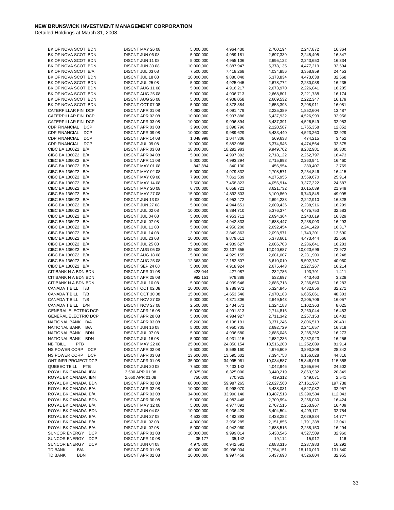| BK OF NOVA SCOT BDN                | DISCNT MAY 26 08 | 5,000,000  | 4,964,430  | 2,700,194  | 2,247,872    | 16,364  |
|------------------------------------|------------------|------------|------------|------------|--------------|---------|
| BK OF NOVA SCOT BDN                | DISCNT JUN 06 08 | 5,000,000  | 4,959,181  | 2,697,339  | 2,245,495    | 16,347  |
| BK OF NOVA SCOT BDN                | DISCNT JUN 11 08 | 5,000,000  | 4,955,106  | 2,695,122  | 2,243,650    | 16,334  |
| BK OF NOVA SCOT BDN                | DISCNT JUN 30 08 | 10,000,000 | 9,887,947  | 5,378,135  | 4,477,219    | 32,594  |
| BK OF NOVA SCOT B/A                | DISCNT JUL 03 08 | 7,500,000  | 7,418,268  | 4,034,856  | 3,358,959    | 24,453  |
|                                    |                  |            |            |            |              |         |
| BK OF NOVA SCOT BDN                | DISCNT JUL 18 08 | 10,000,000 | 9,880,040  | 5,373,834  | 4,473,638    | 32,568  |
| BK OF NOVA SCOT BDN                | DISCNT JUL 25 08 | 5,000,000  | 4,925,045  | 2,678,772  | 2,230,038    | 16,235  |
| BK OF NOVA SCOT BDN                | DISCNT AUG 11 08 | 5,000,000  | 4,916,217  | 2,673,970  | 2,226,041    | 16,205  |
| BK OF NOVA SCOT BDN                | DISCNT AUG 25 08 | 5,000,000  | 4,906,713  | 2,668,801  | 2,221,738    | 16,174  |
| BK OF NOVA SCOT BDN                | DISCNT AUG 26 08 | 5,000,000  | 4,908,058  | 2,669,532  | 2,222,347    | 16,179  |
|                                    |                  |            |            |            |              |         |
| BK OF NOVA SCOT BDN                | DISCNT OCT 07 08 | 5,000,000  | 4,878,384  | 2,653,393  | 2,208,911    | 16,081  |
| CATERPILLAR FIN DCP                | DISCNT APR 01 08 | 4,092,000  | 4,091,479  | 2,225,389  | 1,852,604    | 13,487  |
| CATERPILLAR FIN DCP                | DISCNT APR 02 08 | 10,000,000 | 9,997,886  | 5,437,932  | 4,526,999    | 32,956  |
| CATERPILLAR FIN DCP                | DISCNT APR 03 08 | 10,000,000 | 9,996,894  | 5,437,391  | 4,526,549    | 32,953  |
| <b>CDP FINANCIAL</b><br><b>DCP</b> | DISCNT APR 03 08 | 3,900,000  | 3,898,796  | 2,120,587  | 1,765,358    | 12,852  |
|                                    |                  |            |            |            |              |         |
| <b>CDP FINANCIAL</b><br><b>DCP</b> | DISCNT APR 09 08 | 10,000,000 | 9,989,629  | 5,433,440  | 4,523,260    | 32,929  |
| <b>CDP FINANCIAL</b><br><b>DCP</b> | DISCNT APR 14 08 | 1,048,998  | 1,047,306  | 569,638    | 474,215      | 3,452   |
| <b>DCP</b><br><b>CDP FINANCIAL</b> | DISCNT JUL 09 08 | 10,000,000 | 9,882,086  | 5,374,946  | 4,474,564    | 32,575  |
| CIBC BA 1360Z2 B/A                 | DISCNT APR 03 08 | 18,300,000 | 18,292,983 | 9,949,702  | 8,282,981    | 60,300  |
| CIBC BA 1360Z2 B/A                 | DISCNT APR 04 08 | 5,000,000  | 4,997,392  | 2,718,122  | 2,262,797    | 16,473  |
|                                    |                  |            |            |            |              |         |
| CIBC BA 1360Z2 B/A                 | DISCNT APR 11 08 | 5,000,000  | 4,993,294  | 2,715,893  | 2,260,941    | 16,460  |
| CIBC BA 1360Z2 B/A                 | DISCNT MAY 01 08 | 842,894    | 840,130    | 456,954    | 380,407      | 2,769   |
| CIBC BA 1360Z2 B/A                 | DISCNT MAY 02 08 | 5,000,000  | 4,979,832  | 2,708,571  | 2,254,846    | 16,415  |
| CIBC BA 1360Z2 B/A                 | DISCNT MAY 09 08 | 7,900,000  | 7,861,539  | 4,275,955  | 3,559,670    | 25,914  |
| CIBC BA 1360Z2 B/A                 | DISCNT MAY 14 08 | 7,500,000  | 7,458,823  | 4,056,914  | 3,377,322    | 24,587  |
|                                    |                  |            |            |            |              |         |
| CIBC BA 1360Z2 B/A                 | DISCNT MAY 2008  | 6,700,000  | 6,658,721  | 3,621,732  | 3,015,039    | 21,949  |
| CIBC BA 1360Z2 B/A                 | DISCNT MAY 27 08 | 15,000,000 | 14,893,803 | 8,100,860  | 6,743,848    | 49,095  |
| CIBC BA 1360Z2 B/A                 | DISCNT JUN 1308  | 5,000,000  | 4,953,472  | 2,694,233  | 2,242,910    | 16,328  |
| CIBC BA 1360Z2 B/A                 | DISCNT JUN 27 08 | 5,000,000  | 4,944,651  | 2,689,436  | 2,238,916    | 16,299  |
| CIBC BA 1360Z2 B/A                 | DISCNT JUL 02 08 | 10,000,000 | 9,884,710  | 5,376,374  | 4,475,753    | 32,583  |
|                                    |                  |            |            |            |              |         |
| CIBC BA 1360Z2 B/A                 | DISCNT JUL 04 08 | 5,000,000  | 4,953,712  | 2,694,364  | 2,243,019    | 16,329  |
| CIBC BA 1360Z2 B/A                 | DISCNT JUL 07 08 | 5,000,000  | 4,942,833  | 2,688,447  | 2,238,093    | 16,293  |
| CIBC BA 1360Z2 B/A                 | DISCNT JUL 11 08 | 5,000,000  | 4,950,200  | 2,692,454  | 2,241,429    | 16,317  |
| CIBC BA 1360Z2 B/A                 | DISCNT JUL 14 08 | 3,900,000  | 3,849,863  | 2,093,971  | 1,743,201    | 12,690  |
| CIBC BA 1360Z2 B/A                 | DISCNT JUL 23 08 | 10,000,000 | 9,879,611  |            |              | 32,566  |
|                                    |                  |            |            | 5,373,601  | 4,473,444    |         |
| CIBC BA 1360Z2 B/A                 | DISCNT JUL 25 08 | 5,000,000  | 4,939,627  | 2,686,703  | 2,236,641    | 16,283  |
| CIBC BA 1360Z2 B/A                 | DISCNT AUG 05 08 | 22,500,000 | 22,137,355 | 12,040,687 | 10,023,696   | 72,972  |
| CIBC BA 1360Z2 B/A                 | DISCNT AUG 1808  | 5,000,000  | 4,929,155  | 2,681,007  | 2,231,900    | 16,248  |
| CIBC BA 1360Z2 B/A                 | DISCNT AUG 25 08 | 12,363,000 | 12,152,807 | 6,610,010  | 5,502,737    | 40,060  |
| CIBC BA 1360Z2 B/A                 | DISCNT SEP 24 08 | 5,000,000  | 4,918,924  | 2,675,443  | 2,227,267    | 16,214  |
|                                    |                  |            |            |            |              |         |
| CITIBANK N A BDN BDN               | DISCNT APR 01 08 | 428,044    | 427,987    | 232,786    | 193,791      | 1,411   |
| CITIBANK N A BDN BDN               | DISCNT APR 25 08 | 982,151    | 979,388    | 532,697    | 443,463      | 3,228   |
| CITIBANK N A BDN BDN               | DISCNT JUL 10 08 | 5,000,000  | 4,939,646  | 2,686,713  | 2,236,650    | 16,283  |
| CANADA T BILL T/B                  | DISCNT OCT 02 08 | 10,000,000 | 9,789,972  | 5,324,845  | 4,432,856    | 32,271  |
| CANADA T BILL T/B                  | DISCNT OCT 30 08 | 15,000,000 | 14,653,546 | 7,970,183  | 6,635,061    | 48,303  |
|                                    |                  |            |            |            |              |         |
| CANADA T BILL T/B                  | DISCNT NOV 27 08 | 5,000,000  | 4,871,306  | 2,649,543  | 2,205,706    | 16,057  |
| CANADA T BILL D/N                  | DISCNT NOV 27 08 | 2,500,000  | 2,434,571  | 1,324,183  | 1,102,363    | 8,025   |
| <b>GENERAL ELECTRIC DCP</b>        | DISCNT APR 16 08 | 5,000,000  | 4,991,313  | 2,714,816  | 2,260,044    | 16,453  |
| <b>GENERAL ELECTRIC DCP</b>        | DISCNT APR 28 08 | 5,000,000  | 4,984,927  | 2,711,342  | 2,257,153    | 16,432  |
| NATIONAL BANK B/A                  | DISCNT APR 03 08 | 6,200,000  | 6,198,191  | 3,371,246  | 2,806,513    | 20,431  |
| B/A                                |                  |            |            |            |              |         |
| NATIONAL BANK                      | DISCNT JUN 1608  | 5,000,000  | 4,950,705  | 2,692,729  | 2,241,657    | 16,319  |
| <b>BDN</b><br>NATIONAL BANK        | DISCNT JUL 07 08 | 5,000,000  | 4,936,580  | 2,685,046  | 2,235,262    | 16,273  |
| NATIONAL BANK BDN                  | DISCNT JUL 16 08 | 5,000,000  | 4,931,415  | 2,682,236  | 2,232,923    | 16,256  |
| <b>NB TBILL</b><br><b>PTB</b>      | DISCNT MAY 22 08 | 25,000,000 | 24,850,154 | 13,516,200 | 11,252,039   | 81,914  |
| NS POWER CORP<br><b>DCP</b>        | DISCNT APR 02 08 | 8,600,000  | 8,598,160  | 4,676,609  | 3,893,209    | 28,342  |
| NS POWER CORP<br><b>DCP</b>        | DISCNT APR 03 08 | 13,600,000 | 13,595,602 | 7,394,758  | 6,156,028    | 44,816  |
|                                    |                  |            |            |            |              |         |
| ONT INFR PROJECT DCP               | DISCNT APR 01 08 | 35,000,000 | 34,995,961 | 19,034,587 | 15,846,016   | 115,358 |
| QUEBEC TBILL PTB                   | DISCNT JUN 2008  | 7,500,000  | 7,433,142  | 4,042,946  | 3,365,694    | 24,502  |
| ROYAL BK CANADA IBN                | 3.500 APR 01 08  | 6,325,000  | 6,325,000  | 3,440,219  | 2,863,932    | 20,849  |
| ROYAL BK CANADA IBN                | 2.650 APR 01 08  | 750,000    | 770,925    | 419,312    | 349,071      | 2,541   |
| ROYAL BK CANADA BDN                | DISCNT APR 02 08 | 60,000,000 | 59,987,265 | 32,627,560 | 27, 161, 967 | 197,738 |
|                                    |                  |            |            |            |              |         |
| ROYAL BK CANADA B/A                | DISCNT APR 02 08 | 10,000,000 | 9,998,070  | 5,438,031  | 4,527,082    | 32,957  |
| ROYAL BK CANADA B/A                | DISCNT APR 03 08 | 34,000,000 | 33,990,140 | 18,487,513 | 15,390,584   | 112,043 |
| ROYAL BK CANADA BDN                | DISCNT APR 30 08 | 5,000,000  | 4,982,448  | 2,709,994  | 2,256,030    | 16,424  |
| ROYAL BK CANADA B/A                | DISCNT MAY 1208  | 5,000,000  | 4,977,891  | 2,707,515  | 2,253,967    | 16,409  |
| ROYAL BK CANADA BDN                | DISCNT JUN 04 08 | 10,000,000 | 9,936,429  | 5,404,504  | 4,499,171    | 32,754  |
|                                    |                  |            |            |            |              |         |
| ROYAL BK CANADA B/A                | DISCNT JUN 27 08 | 4,533,000  | 4,482,893  | 2,438,282  | 2,029,834    | 14,777  |
| ROYAL BK CANADA B/A                | DISCNT JUL 02 08 | 4,000,000  | 3,956,285  | 2,151,855  | 1,791,388    | 13,041  |
| ROYAL BK CANADA B/A                | DISCNT JUL 07 08 | 5,000,000  | 4,942,960  | 2,688,516  | 2,238,150    | 16,294  |
| SUNCOR ENERGY<br><b>DCP</b>        | DISCNT APR 01 08 | 10,000,000 | 9,999,014  | 5,438,545  | 4,527,509    | 32,960  |
| SUNCOR ENERGY<br><b>DCP</b>        | DISCNT APR 10 08 | 35,177     | 35,142     | 19,114     | 15,912       | 116     |
| <b>DCP</b><br>SUNCOR ENERGY        | DISCNT JUN 04 08 | 4,975,000  | 4,942,591  | 2,688,315  | 2,237,983    | 16,292  |
|                                    |                  |            |            |            |              |         |
| <b>TD BANK</b><br>B/A              | DISCNT APR 01 08 | 40,000,000 | 39,996,004 | 21,754,151 | 18,110,013   | 131,840 |
| TD BANK<br><b>BDN</b>              | DISCNT APR 02 08 | 10,000,000 | 9,997,458  | 5,437,698  | 4,526,804    | 32,955  |